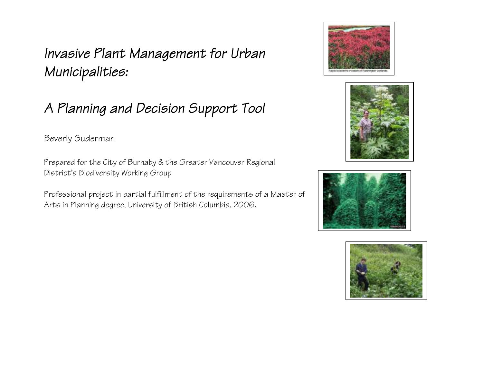# *Invasive Plant Management for Urban Municipalities:*

# *A Planning and Decision Support Tool*

Beverly Suderman

Prepared for the City of Burnaby & the Greater Vancouver Regional District's Biodiversity Working Group

Professional project in partial fulfillment of the requirements of a Master of Arts in Planning degree, University of British Columbia, 2006.







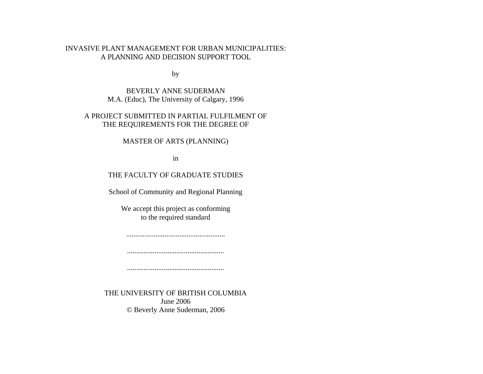#### INVASIVE PLANT MANAGEMENT FOR URBAN MUNICIPALITIES: A PLANNING AND DECISION SUPPORT TOOL

by

BEVERLY ANNE SUDERMAN M.A. (Educ), The University of Calgary, 1996

#### A PROJECT SUBMITTED IN PARTIAL FULFILMENT OF THE REQUIREMENTS FOR THE DEGREE OF

MASTER OF ARTS (PLANNING)

in

#### THE FACULTY OF GRADUATE STUDIES

School of Community and Regional Planning

We accept this project as conforming to the required standard

......................................................

.....................................................

.....................................................

THE UNIVERSITY OF BRITISH COLUMBIA June 2006 © Beverly Anne Suderman, 2006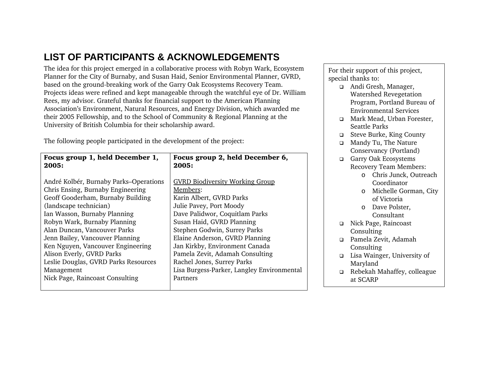# **LIST OF PARTICIPANTS & ACKNOWLEDGEMENTS**

The idea for this project emerged in a collaborative process with Robyn Wark, Ecosystem Planner for the City of Burnaby, and Susan Haid, Senior Environmental Planner, GVRD, based on the ground-breaking work of the Garry Oak Ecosystems Recovery Team. Projects ideas were refined and kept manageable through the watchful eye of Dr. William Rees, my advisor. Grateful thanks for financial support to the American Planning Association's Environment, Natural Resources, and Energy Division, which awarded me their 2005 Fellowship, and to the School of Community & Regional Planning at the University of British Columbia for their scholarship award.

The following people participated in the development of the project:

| Focus group 1, held December 1,        | Focus group 2, held December 6,            |  |
|----------------------------------------|--------------------------------------------|--|
| 2005:                                  | 2005:                                      |  |
|                                        |                                            |  |
| André Kolbér, Burnaby Parks–Operations | <b>GVRD Biodiversity Working Group</b>     |  |
| Chris Ensing, Burnaby Engineering      | Members:                                   |  |
| Geoff Gooderham, Burnaby Building      | Karin Albert, GVRD Parks                   |  |
| (landscape technician)                 | Julie Pavey, Port Moody                    |  |
| Ian Wasson, Burnaby Planning           | Dave Palidwor, Coquitlam Parks             |  |
| Robyn Wark, Burnaby Planning           | Susan Haid, GVRD Planning                  |  |
| Alan Duncan, Vancouver Parks           | Stephen Godwin, Surrey Parks               |  |
| Jenn Bailey, Vancouver Planning        | Elaine Anderson, GVRD Planning             |  |
| Ken Nguyen, Vancouver Engineering      | Jan Kirkby, Environment Canada             |  |
| Alison Everly, GVRD Parks              | Pamela Zevit, Adamah Consulting            |  |
| Leslie Douglas, GVRD Parks Resources   | Rachel Jones, Surrey Parks                 |  |
| Management                             | Lisa Burgess-Parker, Langley Environmental |  |
| Nick Page, Raincoast Consulting        | Partners                                   |  |
|                                        |                                            |  |

For their support of this project, special thanks to:

- Andi Gresh, Manager, Watershed Revegetation Program, Portland Bureau of Environmental Services
- **D** Mark Mead, Urban Forester, Seattle Parks
- □ Steve Burke, King County
- Mandy Tu, The Nature Conservancy (Portland)
- Garry Oak Ecosystems Recovery Team Members:
	- <sup>o</sup>Chris Junck, Outreach Coordinator
	- o Michelle Gorman, City of Victoria
	- o Dave Polster, Consultant
- Nick Page, Raincoast Consulting
- Pamela Zevit, Adamah Consulting
- Lisa Wainger, University of Maryland
- Rebekah Mahaffey, colleague at SCARP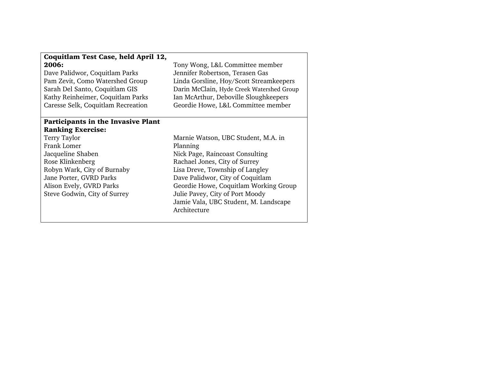#### Coquitlam Test Case, held April 12, 2006: Dave Palidwor, Coquitlam Parks Pam Zevit, Como Watershed Group Sarah Del Santo, Coquitlam GIS Kathy Reinheimer, Coquitlam Parks Caresse Selk, Coquitlam Recreation Tony Wong, L&L Committee member Jennifer Robertson, Terasen Gas Linda Gorsline, Hoy/Scott Streamkeepers Darin McClain, Hyde Creek Watershed Group Ian McArthur, Deboville Sloughkeepers Geordie Howe, L&L Committee member Participants in the Invasive Plant Ranking Exercise: Terry Taylor Frank Lomer Jacqueline Shaben Rose Klinkenberg Robyn Wark, City of Burnaby Jane Porter, GVRD Parks Alison Evely, GVRD Parks Steve Godwin, City of Surrey Marnie Watson, UBC Student, M.A. in Planning Nick Page, Raincoast Consulting Rachael Jones, City of Surrey Lisa Dreve, Township of Langley Dave Palidwor, City of Coquitlam Geordie Howe, Coquitlam Working Group Julie Pavey, City of Port Moody Jamie Vala, UBC Student, M. Landscape Architecture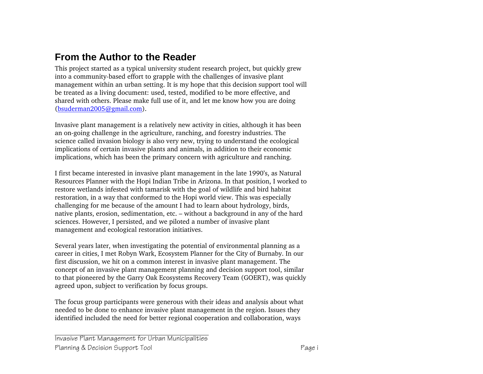# **From the Author to the Reader**

This project started as a typical university student research project, but quickly grew into a community-based effort to grapple with the challenges of invasive plant management within an urban setting. It is my hope that this decision support tool will be treated as a living document: used, tested, modified to be more effective, and shared with others. Please make full use of it, and let me know how you are doing (bsuderman2005@gmail.com).

Invasive plant management is a relatively new activity in cities, although it has been an on-going challenge in the agriculture, ranching, and forestry industries. The science called invasion biology is also very new, trying to understand the ecological implications of certain invasive plants and animals, in addition to their economic implications, which has been the primary concern with agriculture and ranching.

I first became interested in invasive plant management in the late 1990's, as Natural Resources Planner with the Hopi Indian Tribe in Arizona. In that position, I worked to restore wetlands infested with tamarisk with the goal of wildlife and bird habitat restoration, in a way that conformed to the Hopi world view. This was especially challenging for me because of the amount I had to learn about hydrology, birds, native plants, erosion, sedimentation, etc. – without a background in any of the hard sciences. However, I persisted, and we piloted a number of invasive plant management and ecological restoration initiatives.

Several years later, when investigating the potential of environmental planning as a career in cities, I met Robyn Wark, Ecosystem Planner for the City of Burnaby. In our first discussion, we hit on a common interest in invasive plant management. The concept of an invasive plant management planning and decision support tool, similar to that pioneered by the Garry Oak Ecosystems Recovery Team (GOERT), was quickly agreed upon, subject to verification by focus groups.

The focus group participants were generous with their ideas and analysis about what needed to be done to enhance invasive plant management in the region. Issues they identified included the need for better regional cooperation and collaboration, ways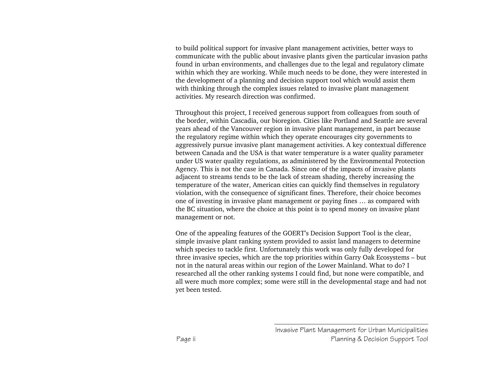to build political support for invasive plant management activities, better ways to communicate with the public about invasive plants given the particular invasion paths found in urban environments, and challenges due to the legal and regulatory climate within which they are working. While much needs to be done, they were interested in the development of a planning and decision support tool which would assist them with thinking through the complex issues related to invasive plant management activities. My research direction was confirmed.

Throughout this project, I received generous support from colleagues from south of the border, within Cascadia, our bioregion. Cities like Portland and Seattle are several years ahead of the Vancouver region in invasive plant management, in part because the regulatory regime within which they operate encourages city governments to aggressively pursue invasive plant management activities. A key contextual difference between Canada and the USA is that water temperature is a water quality parameter under US water quality regulations, as administered by the Environmental Protection Agency. This is not the case in Canada. Since one of the impacts of invasive plants adjacent to streams tends to be the lack of stream shading, thereby increasing the temperature of the water, American cities can quickly find themselves in regulatory violation, with the consequence of significant fines. Therefore, their choice becomes one of investing in invasive plant management or paying fines … as compared with the BC situation, where the choice at this point is to spend money on invasive plant management or not.

One of the appealing features of the GOERT's Decision Support Tool is the clear, simple invasive plant ranking system provided to assist land managers to determine which species to tackle first. Unfortunately this work was only fully developed for three invasive species, which are the top priorities within Garry Oak Ecosystems – but not in the natural areas within our region of the Lower Mainland. What to do? I researched all the other ranking systems I could find, but none were compatible, and all were much more complex; some were still in the developmental stage and had not yet been tested.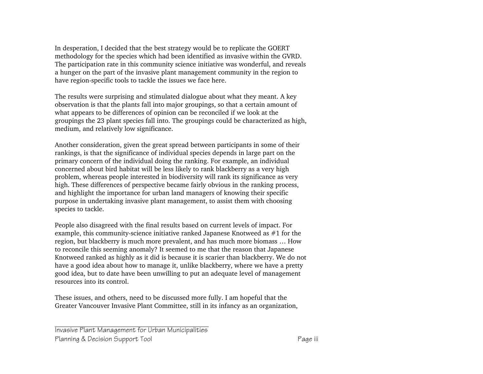In desperation, I decided that the best strategy would be to replicate the GOERT methodology for the species which had been identified as invasive within the GVRD. The participation rate in this community science initiative was wonderful, and reveals a hunger on the part of the invasive plant management community in the region to have region-specific tools to tackle the issues we face here.

The results were surprising and stimulated dialogue about what they meant. A key observation is that the plants fall into major groupings, so that a certain amount of what appears to be differences of opinion can be reconciled if we look at the groupings the 23 plant species fall into. The groupings could be characterized as high, medium, and relatively low significance.

Another consideration, given the great spread between participants in some of their rankings, is that the significance of individual species depends in large part on the primary concern of the individual doing the ranking. For example, an individual concerned about bird habitat will be less likely to rank blackberry as a very high problem, whereas people interested in biodiversity will rank its significance as very high. These differences of perspective became fairly obvious in the ranking process, and highlight the importance for urban land managers of knowing their specific purpose in undertaking invasive plant management, to assist them with choosing species to tackle.

People also disagreed with the final results based on current levels of impact. For example, this community-science initiative ranked Japanese Knotweed as #1 for the region, but blackberry is much more prevalent, and has much more biomass … How to reconcile this seeming anomaly? It seemed to me that the reason that Japanese Knotweed ranked as highly as it did is because it is scarier than blackberry. We do not have a good idea about how to manage it, unlike blackberry, where we have a pretty good idea, but to date have been unwilling to put an adequate level of management resources into its control.

These issues, and others, need to be discussed more fully. I am hopeful that the Greater Vancouver Invasive Plant Committee, still in its infancy as an organization,

Invasive Plant Management for Urban Municipalities Planning & Decision Support Tool **Page iii** Page iii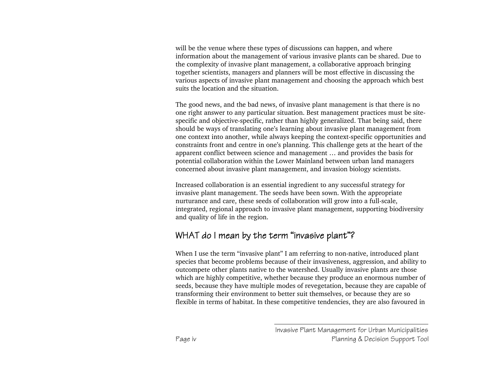will be the venue where these types of discussions can happen, and where information about the management of various invasive plants can be shared. Due to the complexity of invasive plant management, a collaborative approach bringing together scientists, managers and planners will be most effective in discussing the various aspects of invasive plant management and choosing the approach which best suits the location and the situation.

The good news, and the bad news, of invasive plant management is that there is no one right answer to any particular situation. Best management practices must be sitespecific and objective-specific, rather than highly generalized. That being said, there should be ways of translating one's learning about invasive plant management from one context into another, while always keeping the context-specific opportunities and constraints front and centre in one's planning. This challenge gets at the heart of the apparent conflict between science and management … and provides the basis for potential collaboration within the Lower Mainland between urban land managers concerned about invasive plant management, and invasion biology scientists.

Increased collaboration is an essential ingredient to any successful strategy for invasive plant management. The seeds have been sown. With the appropriate nurturance and care, these seeds of collaboration will grow into a full-scale, integrated, regional approach to invasive plant management, supporting biodiversity and quality of life in the region.

# WHAT do I mean by the term "invasive plant"?

When I use the term "invasive plant" I am referring to non-native, introduced plant species that become problems because of their invasiveness, aggression, and ability to outcompete other plants native to the watershed. Usually invasive plants are those which are highly competitive, whether because they produce an enormous number of seeds, because they have multiple modes of revegetation, because they are capable of transforming their environment to better suit themselves, or because they are so flexible in terms of habitat. In these competitive tendencies, they are also favoured in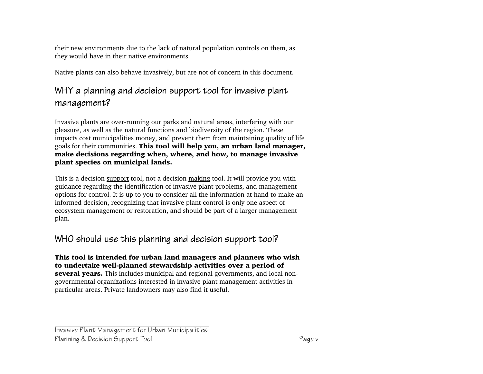their new environments due to the lack of natural population controls on them, as they would have in their native environments.

Native plants can also behave invasively, but are not of concern in this document.

# WHY a planning and decision support tool for invasive plant management?

Invasive plants are over-running our parks and natural areas, interfering with our pleasure, as well as the natural functions and biodiversity of the region. These impacts cost municipalities money, and prevent them from maintaining quality of life goals for their communities. This tool will help you, an urban land manager, make decisions regarding when, where, and how, to manage invasive plant species on municipal lands.

This is a decision support tool, not a decision making tool. It will provide you with guidance regarding the identification of invasive plant problems, and management options for control. It is up to you to consider all the information at hand to make an informed decision, recognizing that invasive plant control is only one aspect of ecosystem management or restoration, and should be part of a larger management plan.

# WHO should use this planning and decision support tool?

This tool is intended for urban land managers and planners who wish to undertake well-planned stewardship activities over a period of several years. This includes municipal and regional governments, and local nongovernmental organizations interested in invasive plant management activities in particular areas. Private landowners may also find it useful.

Invasive Plant Management for Urban Municipalities Planning & Decision Support Tool **Page v** Page v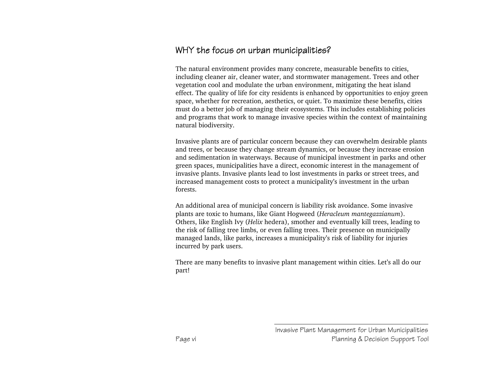## WHY the focus on urban municipalities?

The natural environment provides many concrete, measurable benefits to cities, including cleaner air, cleaner water, and stormwater management. Trees and other vegetation cool and modulate the urban environment, mitigating the heat island effect. The quality of life for city residents is enhanced by opportunities to enjoy green space, whether for recreation, aesthetics, or quiet. To maximize these benefits, cities must do a better job of managing their ecosystems. This includes establishing policies and programs that work to manage invasive species within the context of maintaining natural biodiversity.

Invasive plants are of particular concern because they can overwhelm desirable plants and trees, or because they change stream dynamics, or because they increase erosion and sedimentation in waterways. Because of municipal investment in parks and other green spaces, municipalities have a direct, economic interest in the management of invasive plants. Invasive plants lead to lost investments in parks or street trees, and increased management costs to protect a municipality's investment in the urban forests.

An additional area of municipal concern is liability risk avoidance. Some invasive plants are toxic to humans, like Giant Hogweed (*Heracleum mantegazzianum*). Others, like English Ivy (*Helix* hedera), smother and eventually kill trees, leading to the risk of falling tree limbs, or even falling trees. Their presence on municipally managed lands, like parks, increases a municipality's risk of liability for injuries incurred by park users.

There are many benefits to invasive plant management within cities. Let's all do our part!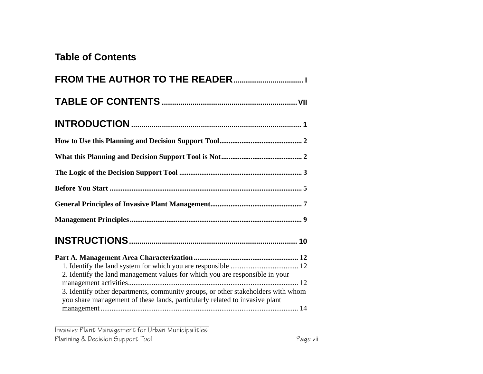# **Table of Contents**

| 2. Identify the land management values for which you are responsible in your                                                                                    |
|-----------------------------------------------------------------------------------------------------------------------------------------------------------------|
| 3. Identify other departments, community groups, or other stakeholders with whom<br>you share management of these lands, particularly related to invasive plant |

Invasive Plant Management for Urban Municipalities Planning & Decision Support Tool **Page vii** Page vii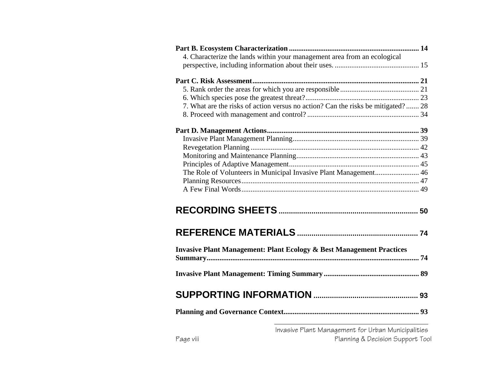| 4. Characterize the lands within your management area from an ecological          |  |
|-----------------------------------------------------------------------------------|--|
|                                                                                   |  |
|                                                                                   |  |
|                                                                                   |  |
|                                                                                   |  |
|                                                                                   |  |
| 7. What are the risks of action versus no action? Can the risks be mitigated?  28 |  |
|                                                                                   |  |
|                                                                                   |  |
|                                                                                   |  |
|                                                                                   |  |
|                                                                                   |  |
|                                                                                   |  |
| The Role of Volunteers in Municipal Invasive Plant Management 46                  |  |
|                                                                                   |  |
|                                                                                   |  |
|                                                                                   |  |
|                                                                                   |  |
|                                                                                   |  |
|                                                                                   |  |
|                                                                                   |  |
|                                                                                   |  |
| <b>Invasive Plant Management: Plant Ecology &amp; Best Management Practices</b>   |  |
|                                                                                   |  |
|                                                                                   |  |
|                                                                                   |  |
|                                                                                   |  |
|                                                                                   |  |
|                                                                                   |  |
|                                                                                   |  |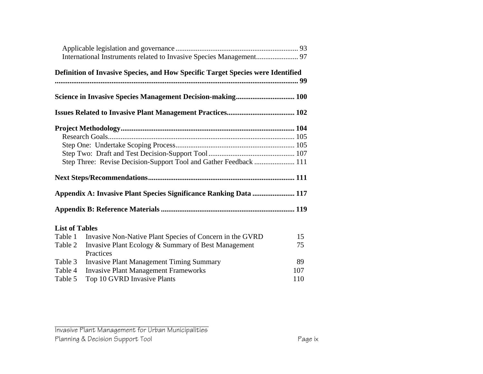|                       | Definition of Invasive Species, and How Specific Target Species were Identified |     |
|-----------------------|---------------------------------------------------------------------------------|-----|
|                       |                                                                                 |     |
|                       |                                                                                 |     |
|                       |                                                                                 |     |
|                       |                                                                                 |     |
|                       |                                                                                 |     |
|                       |                                                                                 |     |
|                       | Step Three: Revise Decision-Support Tool and Gather Feedback  111               |     |
|                       |                                                                                 |     |
|                       | Appendix A: Invasive Plant Species Significance Ranking Data  117               |     |
|                       |                                                                                 |     |
| <b>List of Tables</b> |                                                                                 |     |
| Table 1               | Invasive Non-Native Plant Species of Concern in the GVRD                        | 15  |
| Table 2               | Invasive Plant Ecology & Summary of Best Management<br>Practices                | 75  |
| Table 3               | <b>Invasive Plant Management Timing Summary</b>                                 | 89  |
| Table 4               | <b>Invasive Plant Management Frameworks</b>                                     | 107 |
| Table 5               | Top 10 GVRD Invasive Plants                                                     | 110 |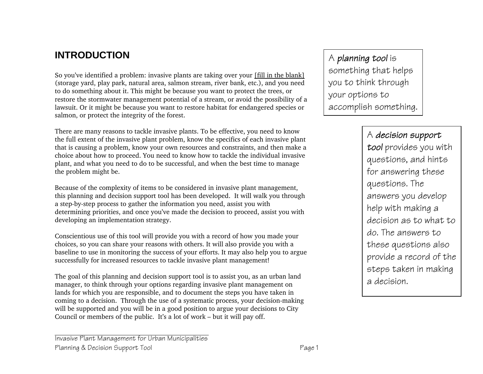# **INTRODUCTION**

So you've identified a problem: invasive plants are taking over your [fill in the blank] (storage yard, play park, natural area, salmon stream, river bank, etc.), and you need to do something about it. This might be because you want to protect the trees, or restore the stormwater management potential of a stream, or avoid the possibility of a lawsuit. Or it might be because you want to restore habitat for endangered species or salmon, or protect the integrity of the forest.

There are many reasons to tackle invasive plants. To be effective, you need to know the full extent of the invasive plant problem, know the specifics of each invasive plant that is causing a problem, know your own resources and constraints, and then make a choice about how to proceed. You need to know how to tackle the individual invasive plant, and what you need to do to be successful, and when the best time to manage the problem might be.

Because of the complexity of items to be considered in invasive plant management, this planning and decision support tool has been developed. It will walk you through a step-by-step process to gather the information you need, assist you with determining priorities, and once you've made the decision to proceed, assist you with developing an implementation strategy.

Conscientious use of this tool will provide you with a record of how you made your choices, so you can share your reasons with others. It will also provide you with a baseline to use in monitoring the success of your efforts. It may also help you to argue successfully for increased resources to tackle invasive plant management!

The goal of this planning and decision support tool is to assist you, as an urban land manager, to think through your options regarding invasive plant management on lands for which you are responsible, and to document the steps you have taken in coming to a decision. Through the use of a systematic process, your decision-making will be supported and you will be in a good position to argue your decisions to City Council or members of the public. It's a lot of work – but it will pay off.

# <sup>A</sup>*planning tool* is

something that helps you to think through your options to accomplish something.

#### <sup>A</sup>*decision support*

*tool* provides you with questions, and hints for answering these questions. The answers you develop help with making a decision as to what to do. The answers to these questions also provide a record of the steps taken in making a decision.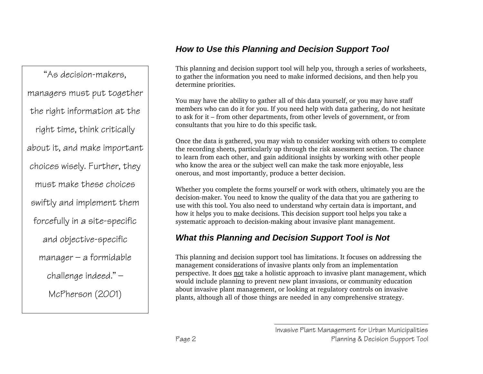# *How to Use this Planning and Decision Support Tool*

"As decision-makers, managers must put together the right information at the right time, think critically about it, and make important choices wisely. Further, they must make these choices swiftly and implement them forcefully in a site-specific and objective-specific  $m$ anager – a formidable challenge indeed." — McPherson (2001)

This planning and decision support tool will help you, through a series of worksheets, to gather the information you need to make informed decisions, and then help you determine priorities.

You may have the ability to gather all of this data yourself, or you may have staff members who can do it for you. If you need help with data gathering, do not hesitate to ask for it – from other departments, from other levels of government, or from consultants that you hire to do this specific task.

Once the data is gathered, you may wish to consider working with others to complete the recording sheets, particularly up through the risk assessment section. The chance to learn from each other, and gain additional insights by working with other people who know the area or the subject well can make the task more enjoyable, less onerous, and most importantly, produce a better decision.

Whether you complete the forms yourself or work with others, ultimately you are the decision-maker. You need to know the quality of the data that you are gathering to use with this tool. You also need to understand why certain data is important, and how it helps you to make decisions. This decision support tool helps you take a systematic approach to decision-making about invasive plant management.

# *What this Planning and Decision Support Tool is Not*

This planning and decision support tool has limitations. It focuses on addressing the management considerations of invasive plants only from an implementation perspective. It does not take a holistic approach to invasive plant management, which would include planning to prevent new plant invasions, or community education about invasive plant management, or looking at regulatory controls on invasive plants, although all of those things are needed in any comprehensive strategy.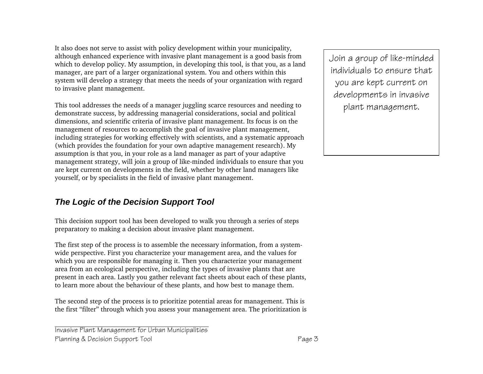It also does not serve to assist with policy development within your municipality, although enhanced experience with invasive plant management is a good basis from which to develop policy. My assumption, in developing this tool, is that you, as a land manager, are part of a larger organizational system. You and others within this system will develop a strategy that meets the needs of your organization with regard to invasive plant management.

This tool addresses the needs of a manager juggling scarce resources and needing to demonstrate success, by addressing managerial considerations, social and political dimensions, and scientific criteria of invasive plant management. Its focus is on the management of resources to accomplish the goal of invasive plant management, including strategies for working effectively with scientists, and a systematic approach (which provides the foundation for your own adaptive management research). My assumption is that you, in your role as a land manager as part of your adaptive management strategy, will join a group of like-minded individuals to ensure that you are kept current on developments in the field, whether by other land managers like yourself, or by specialists in the field of invasive plant management.

#### *The Logic of the Decision Support Tool*

This decision support tool has been developed to walk you through a series of steps preparatory to making a decision about invasive plant management.

The first step of the process is to assemble the necessary information, from a systemwide perspective. First you characterize your management area, and the values for which you are responsible for managing it. Then you characterize your management area from an ecological perspective, including the types of invasive plants that are present in each area. Lastly you gather relevant fact sheets about each of these plants, to learn more about the behaviour of these plants, and how best to manage them.

The second step of the process is to prioritize potential areas for management. This is the first "filter" through which you assess your management area. The prioritization is

Invasive Plant Management for Urban Municipalities Planning & Decision Support Tool **Page 3**  Join a group of like-minded individuals to ensure that you are kept current on developments in invasive plant management.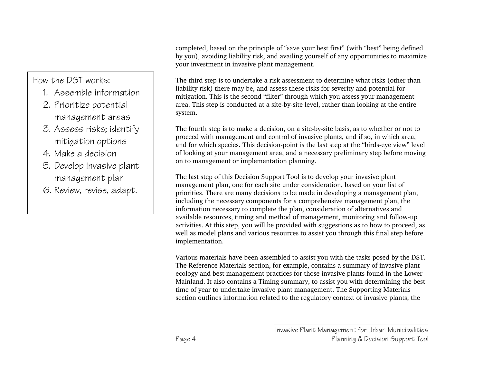How the DST works:

- 1. Assemble information
- 2. Prioritize potential management areas
- 3. Assess risks; identify mitigation options
- 4. Make a decision
- 5. Develop invasive plant management plan
- 6. Review, revise, adapt.

completed, based on the principle of "save your best first" (with "best" being defined by you), avoiding liability risk, and availing yourself of any opportunities to maximize your investment in invasive plant management.

The third step is to undertake a risk assessment to determine what risks (other than liability risk) there may be, and assess these risks for severity and potential for mitigation. This is the second "filter" through which you assess your management area. This step is conducted at a site-by-site level, rather than looking at the entire system.

The fourth step is to make a decision, on a site-by-site basis, as to whether or not to proceed with management and control of invasive plants, and if so, in which area, and for which species. This decision-point is the last step at the "birds-eye view" level of looking at your management area, and a necessary preliminary step before moving on to management or implementation planning.

The last step of this Decision Support Tool is to develop your invasive plant management plan, one for each site under consideration, based on your list of priorities. There are many decisions to be made in developing a management plan, including the necessary components for a comprehensive management plan, the information necessary to complete the plan, consideration of alternatives and available resources, timing and method of management, monitoring and follow-up activities. At this step, you will be provided with suggestions as to how to proceed, as well as model plans and various resources to assist you through this final step before implementation.

Various materials have been assembled to assist you with the tasks posed by the DST. The Reference Materials section, for example, contains a summary of invasive plant ecology and best management practices for those invasive plants found in the Lower Mainland. It also contains a Timing summary, to assist you with determining the best time of year to undertake invasive plant management. The Supporting Materials section outlines information related to the regulatory context of invasive plants, the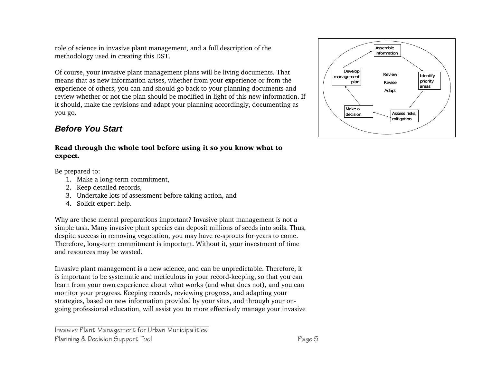role of science in invasive plant management, and a full description of the methodology used in creating this DST.

Of course, your invasive plant management plans will be living documents. That means that as new information arises, whether from your experience or from the experience of others, you can and should go back to your planning documents and review whether or not the plan should be modified in light of this new information. If it should, make the revisions and adapt your planning accordingly, documenting as you go.

#### *Before You Start*

#### Read through the whole tool before using it so you know what to expect.

Be prepared to:

- 1. Make a long-term commitment,
- 2. Keep detailed records,
- 3. Undertake lots of assessment before taking action, and
- 4. Solicit expert help.

Why are these mental preparations important? Invasive plant management is not a simple task. Many invasive plant species can deposit millions of seeds into soils. Thus, despite success in removing vegetation, you may have re-sprouts for years to come. Therefore, long-term commitment is important. Without it, your investment of time and resources may be wasted.

Invasive plant management is a new science, and can be unpredictable. Therefore, it is important to be systematic and meticulous in your record-keeping, so that you can learn from your own experience about what works (and what does not), and you can monitor your progress. Keeping records, reviewing progress, and adapting your strategies, based on new information provided by your sites, and through your ongoing professional education, will assist you to more effectively manage your invasive

Invasive Plant Management for Urban Municipalities Planning & Decision Support Tool **Page 5** 

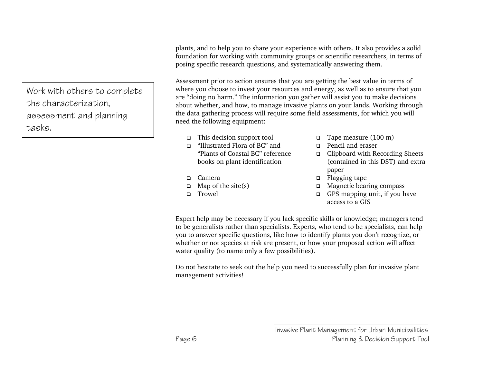Work with others to complete the characterization, assessment and planning tasks.

plants, and to help you to share your experience with others. It also provides a solid foundation for working with community groups or scientific researchers, in terms of posing specific research questions, and systematically answering them.

Assessment prior to action ensures that you are getting the best value in terms of where you choose to invest your resources and energy, as well as to ensure that you are "doing no harm." The information you gather will assist you to make decisions about whether, and how, to manage invasive plants on your lands. Working through the data gathering process will require some field assessments, for which you will need the following equipment:

- $\Box$  This decision support tool  $\Box$  Tape measure (100 m)
- "Illustrated Flora of BC" and "Plants of Coastal BC" reference books on plant identification
- 
- 
- 
- 
- Pencil and eraser
- □ Clipboard with Recording Sheets (contained in this DST) and extra paper
- □ Camera a Flagging tape
- $\Box$  Map of the site(s)  $\Box$  Magnetic bearing compass
- Trowel GPS mapping unit, if you have access to a GIS

Expert help may be necessary if you lack specific skills or knowledge; managers tend to be generalists rather than specialists. Experts, who tend to be specialists, can help you to answer specific questions, like how to identify plants you don't recognize, or whether or not species at risk are present, or how your proposed action will affect water quality (to name only a few possibilities).

Do not hesitate to seek out the help you need to successfully plan for invasive plant management activities!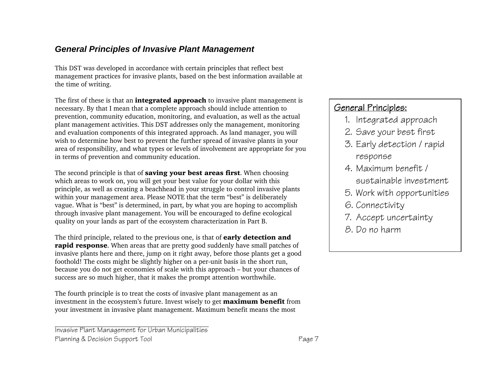#### *General Principles of Invasive Plant Management*

This DST was developed in accordance with certain principles that reflect best management practices for invasive plants, based on the best information available at the time of writing.

The first of these is that an **integrated approach** to invasive plant management is necessary. By that I mean that a complete approach should include attention to prevention, community education, monitoring, and evaluation, as well as the actual plant management activities. This DST addresses only the management, monitoring and evaluation components of this integrated approach. As land manager, you will wish to determine how best to prevent the further spread of invasive plants in your area of responsibility, and what types or levels of involvement are appropriate for you in terms of prevention and community education.

The second principle is that of **saving your best areas first**. When choosing which areas to work on, you will get your best value for your dollar with this principle, as well as creating a beachhead in your struggle to control invasive plants within your management area. Please NOTE that the term "best" is deliberately vague. What is "best" is determined, in part, by what you are hoping to accomplish through invasive plant management. You will be encouraged to define ecological quality on your lands as part of the ecosystem characterization in Part B.

The third principle, related to the previous one, is that of **early detection and rapid response**. When areas that are pretty good suddenly have small patches of invasive plants here and there, jump on it right away, before those plants get a good foothold! The costs might be slightly higher on a per-unit basis in the short run, because you do not get economies of scale with this approach – but your chances of success are so much higher, that it makes the prompt attention worthwhile.

The fourth principle is to treat the costs of invasive plant management as an investment in the ecosystem's future. Invest wisely to get **maximum benefit** from your investment in invasive plant management. Maximum benefit means the most

Invasive Plant Management for Urban Municipalities Planning & Decision Support Tool **Page 7** Page 7

# General Principles:

- 1. Integrated approach
- 2. Save your best first
- 3. Early detection / rapid response
- 4. Maximum benefit / sustainable investment
- 5. Work with opportunities
- 6. Connectivity
- 7. Accept uncertainty
- 8. Do no harm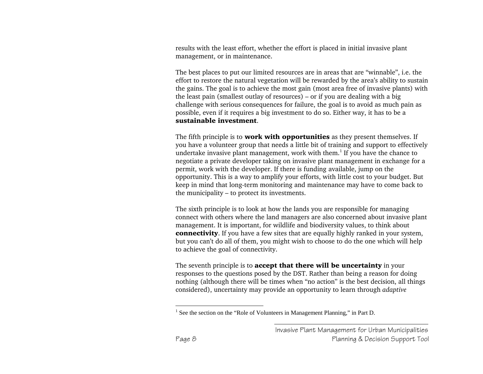results with the least effort, whether the effort is placed in initial invasive plant management, or in maintenance.

The best places to put our limited resources are in areas that are "winnable", i.e. the effort to restore the natural vegetation will be rewarded by the area's ability to sustain the gains. The goal is to achieve the most gain (most area free of invasive plants) with the least pain (smallest outlay of resources) – or if you are dealing with a big challenge with serious consequences for failure, the goal is to avoid as much pain as possible, even if it requires a big investment to do so. Either way, it has to be a sustainable investment.

The fifth principle is to **work with opportunities** as they present themselves. If you have a volunteer group that needs a little bit of training and support to effectively undertake invasive plant management, work with them.<sup>1</sup> If you have the chance to negotiate a private developer taking on invasive plant management in exchange for a permit, work with the developer. If there is funding available, jump on the opportunity. This is a way to amplify your efforts, with little cost to your budget. But keep in mind that long-term monitoring and maintenance may have to come back to the municipality – to protect its investments.

The sixth principle is to look at how the lands you are responsible for managing connect with others where the land managers are also concerned about invasive plant management. It is important, for wildlife and biodiversity values, to think about **connectivity**. If you have a few sites that are equally highly ranked in your system, but you can't do all of them, you might wish to choose to do the one which will help to achieve the goal of connectivity.

The seventh principle is to **accept that there will be uncertainty** in your responses to the questions posed by the DST. Rather than being a reason for doing nothing (although there will be times when "no action" is the best decision, all things considered), uncertainty may provide an opportunity to learn through *adaptive* 

<sup>&</sup>lt;sup>1</sup> See the section on the "Role of Volunteers in Management Planning," in Part D.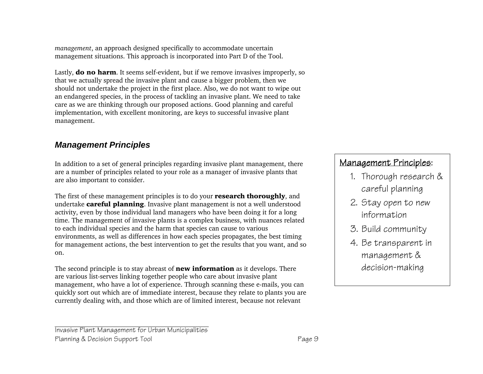*management*, an approach designed specifically to accommodate uncertain management situations. This approach is incorporated into Part D of the Tool.

Lastly, **do no harm**. It seems self-evident, but if we remove invasives improperly, so that we actually spread the invasive plant and cause a bigger problem, then we should not undertake the project in the first place. Also, we do not want to wipe out an endangered species, in the process of tackling an invasive plant. We need to take care as we are thinking through our proposed actions. Good planning and careful implementation, with excellent monitoring, are keys to successful invasive plant management.

#### *Management Principles*

In addition to a set of general principles regarding invasive plant management, there are a number of principles related to your role as a manager of invasive plants that are also important to consider.

The first of these management principles is to do your **research thoroughly**, and undertake **careful planning**. Invasive plant management is not a well understood activity, even by those individual land managers who have been doing it for a long time. The management of invasive plants is a complex business, with nuances related to each individual species and the harm that species can cause to various environments, as well as differences in how each species propagates, the best timing for management actions, the best intervention to get the results that you want, and so on.

The second principle is to stay abreast of **new information** as it develops. There are various list-serves linking together people who care about invasive plant management, who have a lot of experience. Through scanning these e-mails, you can quickly sort out which are of immediate interest, because they relate to plants you are currently dealing with, and those which are of limited interest, because not relevant

# Management Principles:

- 1. Thorough research & careful planning
- 2. Stay open to new information
- 3. Build community
- 4. Be transparent in management & decision-making

Invasive Plant Management for Urban Municipalities Planning & Decision Support Tool **Page 9** Page 9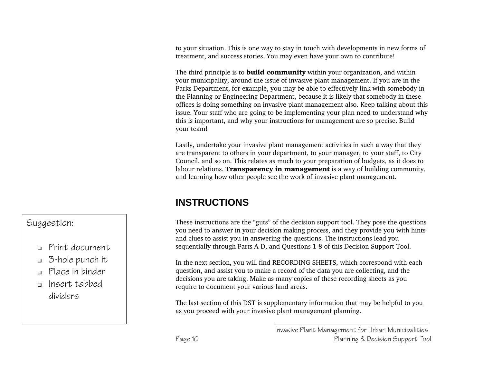to your situation. This is one way to stay in touch with developments in new forms of treatment, and success stories. You may even have your own to contribute!

The third principle is to **build community** within your organization, and within your municipality, around the issue of invasive plant management. If you are in the Parks Department, for example, you may be able to effectively link with somebody in the Planning or Engineering Department, because it is likely that somebody in these offices is doing something on invasive plant management also. Keep talking about this issue. Your staff who are going to be implementing your plan need to understand why this is important, and why your instructions for management are so precise. Build your team!

Lastly, undertake your invasive plant management activities in such a way that they are transparent to others in your department, to your manager, to your staff, to City Council, and so on. This relates as much to your preparation of budgets, as it does to labour relations. **Transparency in management** is a way of building community, and learning how other people see the work of invasive plant management.

# **INSTRUCTIONS**

These instructions are the "guts" of the decision support tool. They pose the questions you need to answer in your decision making process, and they provide you with hints and clues to assist you in answering the questions. The instructions lead you sequentially through Parts A-D, and Questions 1-8 of this Decision Support Tool.

In the next section, you will find RECORDING SHEETS, which correspond with each question, and assist you to make a record of the data you are collecting, and the decisions you are taking. Make as many copies of these recording sheets as you require to document your various land areas.

The last section of this DST is supplementary information that may be helpful to you as you proceed with your invasive plant management planning.

#### Suggestion:

- Print document
- 3-hole punch it
- Place in binder
- Insert tabbed dividers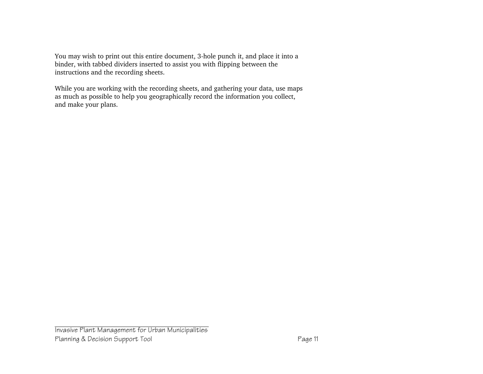You may wish to print out this entire document, 3-hole punch it, and place it into a binder, with tabbed dividers inserted to assist you with flipping between the instructions and the recording sheets.

While you are working with the recording sheets, and gathering your data, use maps as much as possible to help you geographically record the information you collect, and make your plans.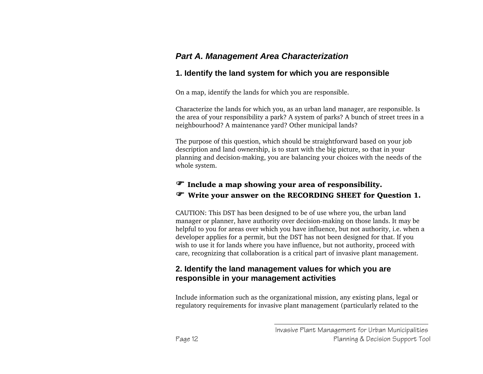## *Part A. Management Area Characterization*

#### **1. Identify the land system for which you are responsible**

On a map, identify the lands for which you are responsible.

Characterize the lands for which you, as an urban land manager, are responsible. Is the area of your responsibility a park? A system of parks? A bunch of street trees in a neighbourhood? A maintenance yard? Other municipal lands?

The purpose of this question, which should be straightforward based on your job description and land ownership, is to start with the big picture, so that in your planning and decision-making, you are balancing your choices with the needs of the whole system.

#### $\mathcal F$  Include a map showing your area of responsibility. ) Write your answer on the RECORDING SHEET for Question 1.

CAUTION: This DST has been designed to be of use where you, the urban land manager or planner, have authority over decision-making on those lands. It may be helpful to you for areas over which you have influence, but not authority, i.e. when a developer applies for a permit, but the DST has not been designed for that. If you wish to use it for lands where you have influence, but not authority, proceed with care, recognizing that collaboration is a critical part of invasive plant management.

#### **2. Identify the land management values for which you are responsible in your management activities**

Include information such as the organizational mission, any existing plans, legal or regulatory requirements for invasive plant management (particularly related to the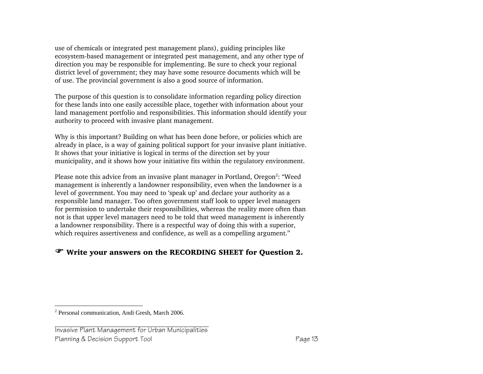use of chemicals or integrated pest management plans), guiding principles like ecosystem-based management or integrated pest management, and any other type of direction you may be responsible for implementing. Be sure to check your regional district level of government; they may have some resource documents which will be of use. The provincial government is also a good source of information.

The purpose of this question is to consolidate information regarding policy direction for these lands into one easily accessible place, together with information about your land management portfolio and responsibilities. This information should identify your authority to proceed with invasive plant management.

Why is this important? Building on what has been done before, or policies which are already in place, is a way of gaining political support for your invasive plant initiative. It shows that your initiative is logical in terms of the direction set by your municipality, and it shows how your initiative fits within the regulatory environment.

Please note this advice from an invasive plant manager in Portland, Oregon<sup>2</sup>: "Weed management is inherently a landowner responsibility, even when the landowner is a level of government. You may need to 'speak up' and declare your authority as a responsible land manager. Too often government staff look to upper level managers for permission to undertake their responsibilities, whereas the reality more often than not is that upper level managers need to be told that weed management is inherently a landowner responsibility. There is a respectful way of doing this with a superior, which requires assertiveness and confidence, as well as a compelling argument."

#### ) Write your answers on the RECORDING SHEET for Question 2.

#### Invasive Plant Management for Urban Municipalities Planning & Decision Support Tool **Page 13**

<sup>2</sup> Personal communication, Andi Gresh, March 2006.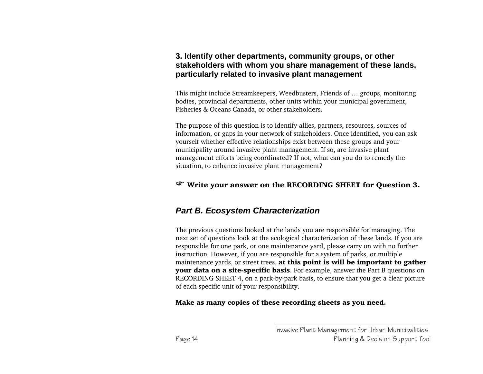#### **3. Identify other departments, community groups, or other stakeholders with whom you share management of these lands, particularly related to invasive plant management**

This might include Streamkeepers, Weedbusters, Friends of … groups, monitoring bodies, provincial departments, other units within your municipal government, Fisheries & Oceans Canada, or other stakeholders.

The purpose of this question is to identify allies, partners, resources, sources of information, or gaps in your network of stakeholders. Once identified, you can ask yourself whether effective relationships exist between these groups and your municipality around invasive plant management. If so, are invasive plant management efforts being coordinated? If not, what can you do to remedy the situation, to enhance invasive plant management?

#### ) Write your answer on the RECORDING SHEET for Question 3.

#### *Part B. Ecosystem Characterization*

The previous questions looked at the lands you are responsible for managing. The next set of questions look at the ecological characterization of these lands. If you are responsible for one park, or one maintenance yard, please carry on with no further instruction. However, if you are responsible for a system of parks, or multiple maintenance yards, or street trees, at this point is will be important to gather your data on a site-specific basis. For example, answer the Part B questions on RECORDING SHEET 4, on a park-by-park basis, to ensure that you get a clear picture of each specific unit of your responsibility.

Make as many copies of these recording sheets as you need.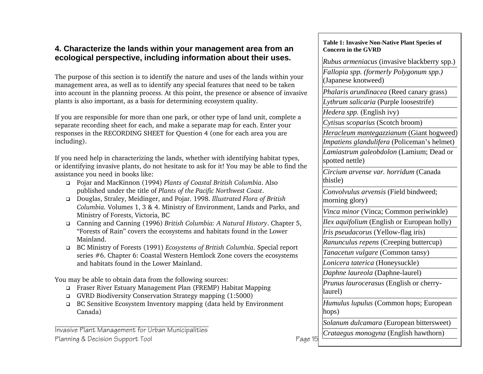#### **4. Characterize the lands within your management area from an ecological perspective, including information about their uses.**

The purpose of this section is to identify the nature and uses of the lands within your management area, as well as to identify any special features that need to be taken into account in the planning process. At this point, the presence or absence of invasive plants is also important, as a basis for determining ecosystem quality.

If you are responsible for more than one park, or other type of land unit, complete a separate recording sheet for each, and make a separate map for each. Enter your responses in the RECORDING SHEET for Question 4 (one for each area you are including).

If you need help in characterizing the lands, whether with identifying habitat types, or identifying invasive plants, do not hesitate to ask for it! You may be able to find the assistance you need in books like:

- Pojar and MacKinnon (1994) *Plants of Coastal British Columbia*. Also published under the title of *Plants of the Pacific Northwest Coast*.
- Douglas, Straley, Meidinger, and Pojar. 1998. *Illustrated Flora of British Columbia.* Volumes 1, 3 & 4. Ministry of Environment, Lands and Parks, and Ministry of Forests, Victoria, BC
- Canning and Canning (1996) *British Columbia: A Natural History*. Chapter 5, "Forests of Rain" covers the ecosystems and habitats found in the Lower Mainland.
- BC Ministry of Forests (1991) *Ecosystems of British Columbia*. Special report series #6. Chapter 6: Coastal Western Hemlock Zone covers the ecosystems and habitats found in the Lower Mainland.

You may be able to obtain data from the following sources:

- Fraser River Estuary Management Plan (FREMP) Habitat Mapping
- GVRD Biodiversity Conservation Strategy mapping (1:5000)
- BC Sensitive Ecosystem Inventory mapping (data held by Environment Canada)

Invasive Plant Management for Urban Municipalities Planning & Decision Support Tool **Page 15** 

#### **Table 1: Invasive Non-Native Plant Species of Concern in the GVRD**

*Rubus armeniacus* (invasive blackberry spp.)

*Fallopia spp. (formerly Polygonum spp.)* (Japanese knotweed)

*Phalaris arundinacea* (Reed canary grass)

*Lythrum salicaria* (Purple loosestrife)

*Hedera spp.* (English ivy)

*Cytisus scoparius* (Scotch broom)

*Heracleum mantegazzianum* (Giant hogweed) *Impatiens glandulifera* (Policeman's helmet)

*Lamiastrum galeobdolon* (Lamium; Dead or spotted nettle)

*Circium arvense var. horridum* (Canada thistle)

*Convolvulus arvensis* (Field bindweed; morning glory)

*Vinca minor* (Vinca; Common periwinkle)

*Ilex aquifolium* (English or European holly)

*Iris pseudacorus* (Yellow-flag iris)

*Ranunculus repens* (Creeping buttercup)

*Tanacetun vulgare* (Common tansy)

*Lonicera taterica* (Honeysuckle)

*Daphne laureola* (Daphne-laurel)

*Prunus laurocerasus* (English or cherrylaurel)

*Humulus lupulus* (Common hops; European hops)

*Solanum dulcamara* (European bittersweet)

*Crataegus monogyna* (English hawthorn)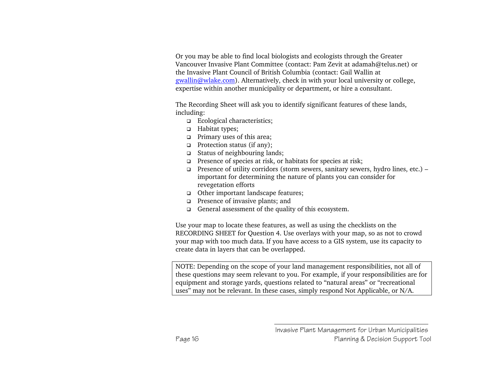Or you may be able to find local biologists and ecologists through the Greater Vancouver Invasive Plant Committee (contact: Pam Zevit at adamah@telus.net) or the Invasive Plant Council of British Columbia (contact: Gail Wallin at gwallin@wlake.com). Alternatively, check in with your local university or college, expertise within another municipality or department, or hire a consultant.

The Recording Sheet will ask you to identify significant features of these lands, including:

- Ecological characteristics;
- □ Habitat types;
- **D** Primary uses of this area;
- **Protection status (if any);**
- Status of neighbouring lands;
- **Presence of species at risk, or habitats for species at risk;**
- **Presence of utility corridors (storm sewers, sanitary sewers, hydro lines, etc.)** important for determining the nature of plants you can consider for revegetation efforts
- □ Other important landscape features;
- **Presence of invasive plants; and**
- General assessment of the quality of this ecosystem.

Use your map to locate these features, as well as using the checklists on the RECORDING SHEET for Question 4. Use overlays with your map, so as not to crowd your map with too much data. If you have access to a GIS system, use its capacity to create data in layers that can be overlapped.

NOTE: Depending on the scope of your land management responsibilities, not all of these questions may seem relevant to you. For example, if your responsibilities are for equipment and storage yards, questions related to "natural areas" or "recreational uses" may not be relevant. In these cases, simply respond Not Applicable, or N/A.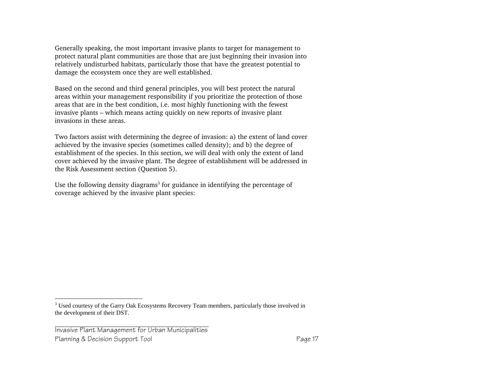Generally speaking, the most important invasive plants to target for management to protect natural plant communities are those that are just beginning their invasion into relatively undisturbed habitats, particularly those that have the greatest potential to damage the ecosystem once they are well established.

Based on the second and third general principles, you will best protect the natural areas within your management responsibility if you prioritize the protection of those areas that are in the best condition, i.e. most highly functioning with the fewest invasive plants – which means acting quickly on new reports of invasive plant invasions in these areas.

Two factors assist with determining the degree of invasion: a) the extent of land cover achieved by the invasive species (sometimes called density); and b) the degree of establishment of the species. In this section, we will deal with only the extent of land cover achieved by the invasive plant. The degree of establishment will be addressed in the Risk Assessment section (Question 5).

Use the following density diagrams<sup>3</sup> for guidance in identifying the percentage of coverage achieved by the invasive plant species:

<sup>&</sup>lt;sup>3</sup> Used courtesy of the Garry Oak Ecosystems Recovery Team members, particularly those involved in the development of their DST.

Invasive Plant Management for Urban Municipalities Planning & Decision Support Tool **Page 17** Page 17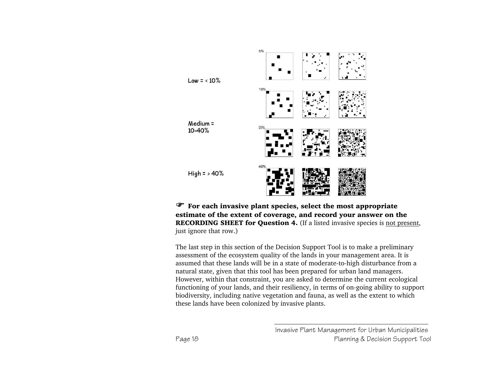

 $\mathcal{F}$  For each invasive plant species, select the most appropriate estimate of the extent of coverage, and record your answer on the RECORDING SHEET for Question 4. (If a listed invasive species is not present, just ignore that row.)

The last step in this section of the Decision Support Tool is to make a preliminary assessment of the ecosystem quality of the lands in your management area. It is assumed that these lands will be in a state of moderate-to-high disturbance from a natural state, given that this tool has been prepared for urban land managers. However, within that constraint, you are asked to determine the current ecological functioning of your lands, and their resiliency, in terms of on-going ability to support biodiversity, including native vegetation and fauna, as well as the extent to which these lands have been colonized by invasive plants.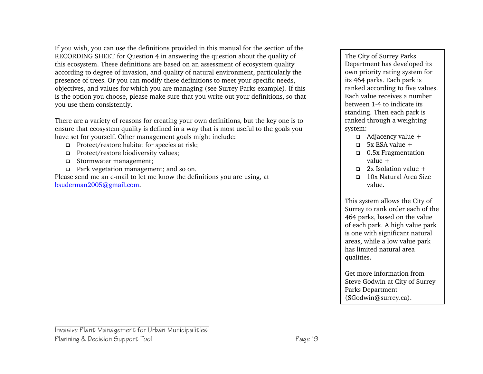If you wish, you can use the definitions provided in this manual for the section of the RECORDING SHEET for Question 4 in answering the question about the quality of this ecosystem. These definitions are based on an assessment of ecosystem quality according to degree of invasion, and quality of natural environment, particularly the presence of trees. Or you can modify these definitions to meet your specific needs, objectives, and values for which you are managing (see Surrey Parks example). If this is the option you choose, please make sure that you write out your definitions, so that you use them consistently.

There are a variety of reasons for creating your own definitions, but the key one is to ensure that ecosystem quality is defined in a way that is most useful to the goals you have set for yourself. Other management goals might include:

- □ Protect/restore habitat for species at risk;
- □ Protect/restore biodiversity values;
- Stormwater management;
- Park vegetation management; and so on.

Please send me an e-mail to let me know the definitions you are using, at bsuderman2005@gmail.com.

The City of Surrey Parks Department has developed its own priority rating system for its 464 parks. Each park is ranked according to five values. Each value receives a number between 1-4 to indicate its standing. Then each park is ranked through a weighting system:

- $\Box$  Adjacency value +
- $\Box$  5x ESA value +
- 0.5x Fragmentation value +
- $\Box$  2x Isolation value +
- 10x Natural Area Size value.

This system allows the City of Surrey to rank order each of the 464 parks, based on the value of each park. A high value park is one with significant natural areas, while a low value park has limited natural area qualities.

Get more information from Steve Godwin at City of Surrey Parks Department (SGodwin@surrey.ca).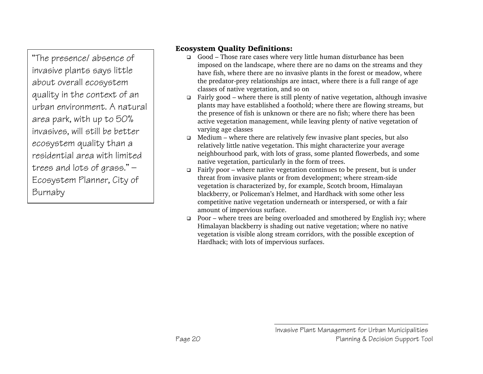"The presence/ absence of invasive plants says little about overall ecosystem quality in the context of an urban environment. A natural area park, with up to 50% invasives, will still be better ecosystem quality than a residential area with limited trees and lots of grass." — Ecosystem Planner, City of Burnaby

#### Ecosystem Quality Definitions:

- Good Those rare cases where very little human disturbance has been imposed on the landscape, where there are no dams on the streams and they have fish, where there are no invasive plants in the forest or meadow, where the predator-prey relationships are intact, where there is a full range of age classes of native vegetation, and so on
- **Fairly good where there is still plenty of native vegetation, although invasive** plants may have established a foothold; where there are flowing streams, but the presence of fish is unknown or there are no fish; where there has been active vegetation management, while leaving plenty of native vegetation of varying age classes
- $\Box$  Medium where there are relatively few invasive plant species, but also relatively little native vegetation. This might characterize your average neighbourhood park, with lots of grass, some planted flowerbeds, and some native vegetation, particularly in the form of trees.
- **Fairly poor where native vegetation continues to be present, but is under** threat from invasive plants or from development; where stream-side vegetation is characterized by, for example, Scotch broom, Himalayan blackberry, or Policeman's Helmet, and Hardhack with some other less competitive native vegetation underneath or interspersed, or with a fair amount of impervious surface.
- $\Box$  Poor where trees are being overloaded and smothered by English ivy; where Himalayan blackberry is shading out native vegetation; where no native vegetation is visible along stream corridors, with the possible exception of Hardhack; with lots of impervious surfaces.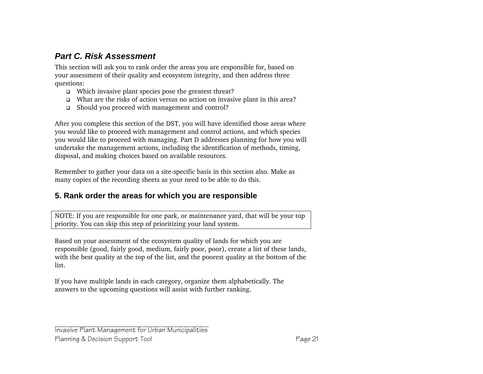## *Part C. Risk Assessment*

This section will ask you to rank order the areas you are responsible for, based on your assessment of their quality and ecosystem integrity, and then address three questions:

- □ Which invasive plant species pose the greatest threat?
- What are the risks of action versus no action on invasive plant in this area?
- Should you proceed with management and control?

After you complete this section of the DST, you will have identified those areas where you would like to proceed with management and control actions, and which species you would like to proceed with managing. Part D addresses planning for how you will undertake the management actions, including the identification of methods, timing, disposal, and making choices based on available resources.

Remember to gather your data on a site-specific basis in this section also. Make as many copies of the recording sheets as your need to be able to do this.

#### **5. Rank order the areas for which you are responsible**

NOTE: If you are responsible for one park, or maintenance yard, that will be your top priority. You can skip this step of prioritizing your land system.

Based on your assessment of the ecosystem quality of lands for which you are responsible (good, fairly good, medium, fairly poor, poor), create a list of these lands, with the best quality at the top of the list, and the poorest quality at the bottom of the list.

If you have multiple lands in each category, organize them alphabetically. The answers to the upcoming questions will assist with further ranking.

Invasive Plant Management for Urban Municipalities Planning & Decision Support Tool **Page 21**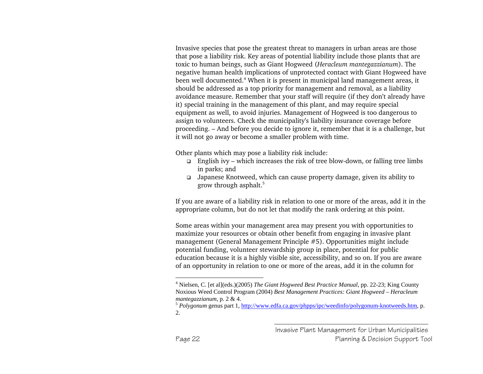Invasive species that pose the greatest threat to managers in urban areas are those that pose a liability risk. Key areas of potential liability include those plants that are toxic to human beings, such as Giant Hogweed (*Heracleum mantegazzianum*). The negative human health implications of unprotected contact with Giant Hogweed have been well documented.4 When it is present in municipal land management areas, it should be addressed as a top priority for management and removal, as a liability avoidance measure. Remember that your staff will require (if they don't already have it) special training in the management of this plant, and may require special equipment as well, to avoid injuries. Management of Hogweed is too dangerous to assign to volunteers. Check the municipality's liability insurance coverage before proceeding. – And before you decide to ignore it, remember that it is a challenge, but it will not go away or become a smaller problem with time.

Other plants which may pose a liability risk include:

- $\Box$  English ivy which increases the risk of tree blow-down, or falling tree limbs in parks; and
- Japanese Knotweed, which can cause property damage, given its ability to grow through asphalt.5

If you are aware of a liability risk in relation to one or more of the areas, add it in the appropriate column, but do not let that modify the rank ordering at this point.

Some areas within your management area may present you with opportunities to maximize your resources or obtain other benefit from engaging in invasive plant management (General Management Principle #5). Opportunities might include potential funding, volunteer stewardship group in place, potential for public education because it is a highly visible site, accessibility, and so on. If you are aware of an opportunity in relation to one or more of the areas, add it in the column for

<sup>4</sup> Nielsen, C. [et al](eds.)(2005) *The Giant Hogweed Best Practice Manual*, pp. 22-23; King County Noxious Weed Control Program (2004) *Best Management Practices: Giant Hogweed – Heracleum mantegazzianum*, p. 2 & 4.

*Polygonum* genus part 1, http://www.edfa.ca.gov/phpps/ipc/weedinfo/polygonum-knotweeds.htm, p. 2.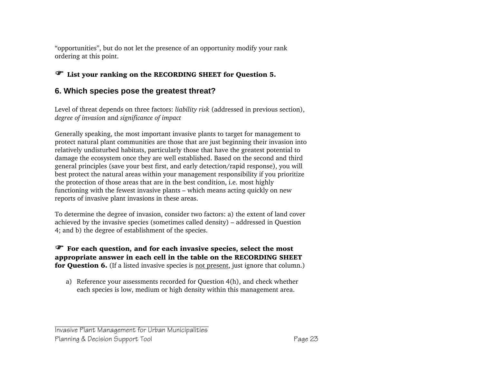"opportunities", but do not let the presence of an opportunity modify your rank ordering at this point.

### ) List your ranking on the RECORDING SHEET for Question 5.

### **6. Which species pose the greatest threat?**

Level of threat depends on three factors: *liability risk* (addressed in previous section), *degree of invasion* and *significance of impact*

Generally speaking, the most important invasive plants to target for management to protect natural plant communities are those that are just beginning their invasion into relatively undisturbed habitats, particularly those that have the greatest potential to damage the ecosystem once they are well established. Based on the second and third general principles (save your best first, and early detection/rapid response), you will best protect the natural areas within your management responsibility if you prioritize the protection of those areas that are in the best condition, i.e. most highly functioning with the fewest invasive plants – which means acting quickly on new reports of invasive plant invasions in these areas.

To determine the degree of invasion, consider two factors: a) the extent of land cover achieved by the invasive species (sometimes called density) – addressed in Question 4; and b) the degree of establishment of the species.

#### $\mathscr F$  For each question, and for each invasive species, select the most appropriate answer in each cell in the table on the RECORDING SHEET for Question 6. (If a listed invasive species is not present, just ignore that column.)

a) Reference your assessments recorded for Question 4(h), and check whether each species is low, medium or high density within this management area.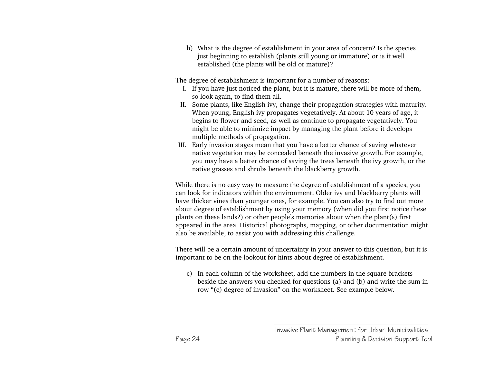b) What is the degree of establishment in your area of concern? Is the species just beginning to establish (plants still young or immature) or is it well established (the plants will be old or mature)?

The degree of establishment is important for a number of reasons:

- I. If you have just noticed the plant, but it is mature, there will be more of them, so look again, to find them all.
- II. Some plants, like English ivy, change their propagation strategies with maturity. When young, English ivy propagates vegetatively. At about 10 years of age, it begins to flower and seed, as well as continue to propagate vegetatively. You might be able to minimize impact by managing the plant before it develops multiple methods of propagation.
- III. Early invasion stages mean that you have a better chance of saving whatever native vegetation may be concealed beneath the invasive growth. For example, you may have a better chance of saving the trees beneath the ivy growth, or the native grasses and shrubs beneath the blackberry growth.

While there is no easy way to measure the degree of establishment of a species, you can look for indicators within the environment. Older ivy and blackberry plants will have thicker vines than younger ones, for example. You can also try to find out more about degree of establishment by using your memory (when did you first notice these plants on these lands?) or other people's memories about when the plant(s) first appeared in the area. Historical photographs, mapping, or other documentation might also be available, to assist you with addressing this challenge.

There will be a certain amount of uncertainty in your answer to this question, but it is important to be on the lookout for hints about degree of establishment.

c) In each column of the worksheet, add the numbers in the square brackets beside the answers you checked for questions (a) and (b) and write the sum in row "(c) degree of invasion" on the worksheet. See example below.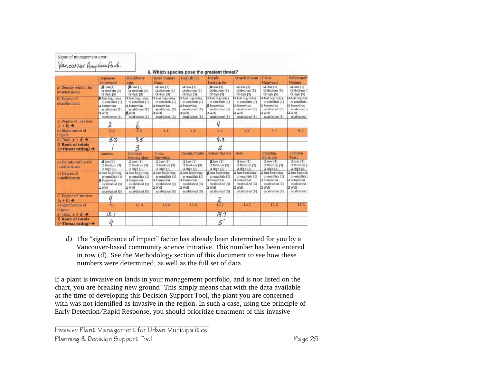| Name of management area:                               |                                                                                                                         |                                                                                                                         |                                                                                                                 |                                                                                                                         |                                                                                                                          |                                                                                                                |                                                                                                                         |                                                                                                                 |
|--------------------------------------------------------|-------------------------------------------------------------------------------------------------------------------------|-------------------------------------------------------------------------------------------------------------------------|-----------------------------------------------------------------------------------------------------------------|-------------------------------------------------------------------------------------------------------------------------|--------------------------------------------------------------------------------------------------------------------------|----------------------------------------------------------------------------------------------------------------|-------------------------------------------------------------------------------------------------------------------------|-----------------------------------------------------------------------------------------------------------------|
| Vancouver Anywhere Park                                |                                                                                                                         |                                                                                                                         |                                                                                                                 | 6. Which species pose the greatest threat?                                                                              |                                                                                                                          |                                                                                                                |                                                                                                                         |                                                                                                                 |
|                                                        | Japanese                                                                                                                | <b>Blackberry</b>                                                                                                       | <b>Reed Canary</b>                                                                                              | English Ivy                                                                                                             | Purple                                                                                                                   | Scotch Broom                                                                                                   | Giant                                                                                                                   | Policeman's                                                                                                     |
|                                                        | Knotweed                                                                                                                | SDD.                                                                                                                    | Grass                                                                                                           |                                                                                                                         | Loosestrife                                                                                                              |                                                                                                                | Hogweed                                                                                                                 | Helmet                                                                                                          |
| a) Density within the<br>invaded areas                 | $M$ Low $[1]$<br>Q Medium [3]<br>$\Box$ High $[5]$                                                                      | Low [1]<br>O Medium [3]<br>$Q$ High $[5]$                                                                               | DIow[1]<br>Medium [3]<br><b>QHigh</b> [5]                                                                       | $\square$ Low $\square$<br>O Medium [3]<br>Q High [5]                                                                   | <b>MLow</b> [1]<br>Medium [3]<br><b>Q</b> High [5]                                                                       | $\square$ Low $\square$<br>D Medium [3]<br>Q High [5]                                                          | $\square$ Low $\square$<br>D Medium [3]<br>$\Box$ High [5]                                                              | $Q$ Low [1]<br><b>Q</b> Medium I<br>$Q$ High $[5]$                                                              |
| b) Degree of<br>establishment                          | Just beginning<br>to establish [1]<br><b>Q</b> Somewhat<br>established [3]<br><b>D</b> Well<br>established [5]          | <b>Q</b> Just beginning<br>to establish [1]<br>Somewhat<br>established [3]<br><b>M</b> Well<br>established [5]          | $\square$ Just beginning<br>to establish [1]<br>Somewhat<br>established [3]<br><b>D</b> Well<br>established [5] | <b>Q</b> Just beginning<br>to establish [1]<br><b>Q</b> Somewhat<br>established [3]<br><b>D</b> Well<br>established [5] | $\square$ Just beginning<br>to establish [1]<br>X Somewhat<br>established [3]<br><b>D</b> Well<br>established [5]        | <b>Q</b> Just beginning<br>to establish [1]<br>Somewhat<br>established [3]<br><b>Q</b> Well<br>established [5] | Just beginning<br>to establish [1]<br>Somewhat<br>established [3]<br><b>D</b> Well<br>established [5]                   | Just beginnin<br>to establish f<br><b>Q</b> Somewhat<br>established [<br><b>D</b> Well<br>established I         |
| c) Degree of invasion<br>$(a + b) \rightarrow$         | $\lambda$                                                                                                               |                                                                                                                         |                                                                                                                 |                                                                                                                         | 4                                                                                                                        |                                                                                                                |                                                                                                                         |                                                                                                                 |
| d) Significance of<br>impact                           | 3.3                                                                                                                     | $\frac{6}{3.5}$                                                                                                         | 5.1                                                                                                             | 5.3                                                                                                                     | 5.3                                                                                                                      | 6.2                                                                                                            | 7.7                                                                                                                     | 8.3                                                                                                             |
| e) Total $(c + d) \rightarrow$                         | 5.3                                                                                                                     | 9.5                                                                                                                     |                                                                                                                 |                                                                                                                         | 9.3                                                                                                                      |                                                                                                                |                                                                                                                         |                                                                                                                 |
| f) Rank of totals<br>$($ =Threat rating) $\rightarrow$ |                                                                                                                         | 3                                                                                                                       |                                                                                                                 |                                                                                                                         | 2                                                                                                                        |                                                                                                                |                                                                                                                         |                                                                                                                 |
|                                                        | Lamium                                                                                                                  | Bindweed:<br>Morning glory                                                                                              | Vinca:<br>Periwinkle                                                                                            | Canada Thistle                                                                                                          | Yellow-flag Iris                                                                                                         | Holly                                                                                                          | <b>Creeping</b><br><b>Buttercup</b>                                                                                     | Common<br>Tansy                                                                                                 |
| a) Density within the<br>invaded areas                 | MLow[1]<br>$\Box$ Medium [3]<br>$\Box$ High $[5]$                                                                       | $\Box$ Low [1]<br>Q Medium [3]<br><b>Q</b> High [5]                                                                     | $\Box$ Low [1]<br>D Medium [3]<br>Q High [5]                                                                    | $\Box$ Low [1]<br><b>D</b> Medium [3]<br>Q High [5]                                                                     | (1)<br>D Medium [3]<br>D High [5]                                                                                        | $\square$ Low [1]<br>O Medium [3]<br>D High [5]                                                                | <b>QLow</b> [1]<br>C Medium [3]<br>$Q$ High $[5]$                                                                       | $\underline{\square}$ Low $[1]$<br><b>Q</b> Medium [<br>$\Box$ High $[5]$                                       |
| b) Degree of<br>establishment                          | <b>Q</b> Just beginning<br>to establish [1]<br><b>X</b> Somewhat<br>established [3]<br><b>D</b> Well<br>established [5] | <b>Q</b> Just beginning<br>to establish [1]<br><b>Q</b> Somewhat<br>established [3]<br><b>D</b> Well<br>established [5] | D Just beginning<br>to establish [1]<br>Somewhat<br>established [3]<br><b>D</b> Well<br>established [5]         | $\n  Just beginning\n$<br>to establish [1]<br>Somewhat<br>established [3]<br><b>D</b> Well<br>established [5]           | <b>M</b> Just beginning<br>to establish [1]<br>$\square$ Somewhat<br>established [3]<br><b>D</b> Well<br>established [5] | <b>Q</b> Just beginning<br>to establish [1]<br>Somewhat<br>established [3]<br><b>D</b> Well<br>established [5] | <b>Q</b> Just beginning<br>to establish [1]<br><b>Q</b> Somewhat<br>established [3]<br><b>D</b> Well<br>established [5] | <b>Q</b> Just beginni<br>to establish  <br><b>Q</b> Somewhat<br>established [<br><b>D</b> Well<br>established ( |
| c) Degree of invasion<br>$(a + b) \rightarrow$         |                                                                                                                         |                                                                                                                         |                                                                                                                 |                                                                                                                         | $\frac{2}{12.7}$                                                                                                         |                                                                                                                |                                                                                                                         |                                                                                                                 |
| d) Significance of<br>impact                           | 9.1                                                                                                                     | 11.4                                                                                                                    | 12.0                                                                                                            | 12.0                                                                                                                    |                                                                                                                          | 12.7                                                                                                           | 12.8                                                                                                                    | 15.3                                                                                                            |
| e) Total $(c + d) \rightarrow$                         | 13.1                                                                                                                    |                                                                                                                         |                                                                                                                 |                                                                                                                         | 14.7                                                                                                                     |                                                                                                                |                                                                                                                         |                                                                                                                 |
| f) Rank of totals<br>$($ =Threat rating) $\rightarrow$ | 4                                                                                                                       |                                                                                                                         |                                                                                                                 |                                                                                                                         | 5                                                                                                                        |                                                                                                                |                                                                                                                         |                                                                                                                 |

d) The "significance of impact" factor has already been determined for you by a Vancouver-based community science initiative. This number has been entered in row (d). See the Methodology section of this document to see how these numbers were determined, as well as the full set of data.

If a plant is invasive on lands in your management portfolio, and is not listed on the chart, you are breaking new ground! This simply means that with the data available at the time of developing this Decision Support Tool, the plant you are concerned with was not identified as invasive in the region. In such a case, using the principle of Early Detection/Rapid Response, you should prioritize treatment of this invasive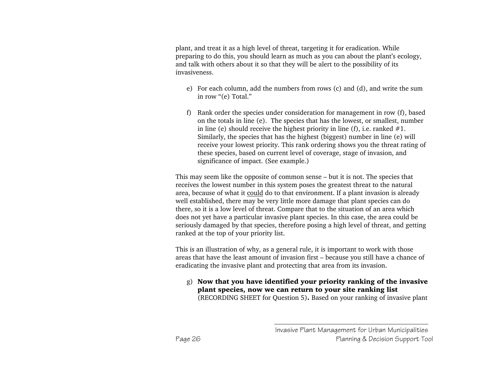plant, and treat it as a high level of threat, targeting it for eradication. While preparing to do this, you should learn as much as you can about the plant's ecology, and talk with others about it so that they will be alert to the possibility of its invasiveness.

- e) For each column, add the numbers from rows (c) and (d), and write the sum in row "(e) Total."
- f) Rank order the species under consideration for management in row (f), based on the totals in line (e). The species that has the lowest, or smallest, number in line (e) should receive the highest priority in line (f), i.e. ranked  $#1$ . Similarly, the species that has the highest (biggest) number in line (e) will receive your lowest priority. This rank ordering shows you the threat rating of these species, based on current level of coverage, stage of invasion, and significance of impact. (See example.)

This may seem like the opposite of common sense – but it is not. The species that receives the lowest number in this system poses the greatest threat to the natural area, because of what it could do to that environment. If a plant invasion is already well established, there may be very little more damage that plant species can do there, so it is a low level of threat. Compare that to the situation of an area which does not yet have a particular invasive plant species. In this case, the area could be seriously damaged by that species, therefore posing a high level of threat, and getting ranked at the top of your priority list.

This is an illustration of why, as a general rule, it is important to work with those areas that have the least amount of invasion first – because you still have a chance of eradicating the invasive plant and protecting that area from its invasion.

 $g$ ) Now that you have identified your priority ranking of the invasive plant species, now we can return to your site ranking list (RECORDING SHEET for Question 5). Based on your ranking of invasive plant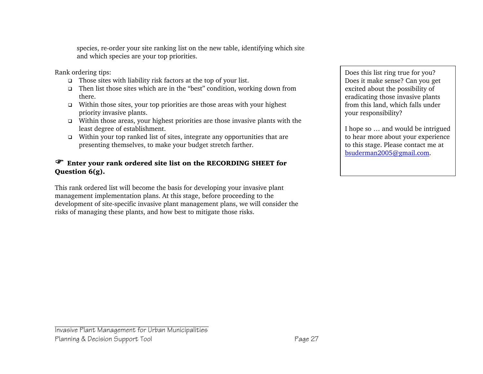species, re-order your site ranking list on the new table, identifying which site and which species are your top priorities.

Rank ordering tips:

- $\Box$  Those sites with liability risk factors at the top of your list.
- Then list those sites which are in the "best" condition, working down from there.
- $\Box$  Within those sites, your top priorities are those areas with your highest priority invasive plants.
- Within those areas, your highest priorities are those invasive plants with the least degree of establishment.
- $\Box$  Within your top ranked list of sites, integrate any opportunities that are presenting themselves, to make your budget stretch farther.

#### ) Enter your rank ordered site list on the RECORDING SHEET for Question 6(g).

This rank ordered list will become the basis for developing your invasive plant management implementation plans. At this stage, before proceeding to the development of site-specific invasive plant management plans, we will consider the risks of managing these plants, and how best to mitigate those risks.

Does this list ring true for you? Does it make sense? Can you get excited about the possibility of eradicating those invasive plants from this land, which falls under your responsibility?

I hope so … and would be intrigued to hear more about your experience to this stage. Please contact me at bsuderman2005@gmail.com.

#### Invasive Plant Management for Urban Municipalities Planning & Decision Support Tool **Page 27**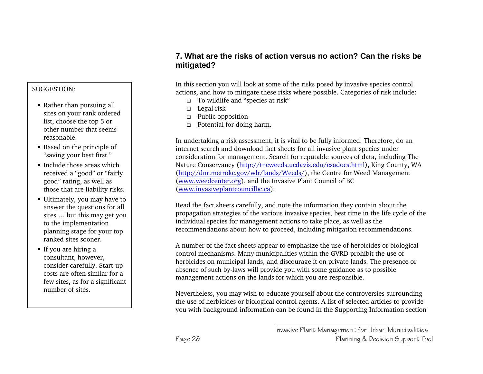#### SUGGESTION:

- Rather than pursuing all sites on your rank ordered list, choose the top 5 or other number that seems reasonable.
- Based on the principle of "saving your best first."
- **Include those areas which** received a "good" or "fairly good" rating, as well as those that are liability risks.
- Ultimately, you may have to answer the questions for all sites … but this may get you to the implementation planning stage for your top ranked sites sooner.
- If you are hiring a consultant, however, consider carefully. Start-up costs are often similar for a few sites, as for a significant number of sites.

### **7. What are the risks of action versus no action? Can the risks be mitigated?**

In this section you will look at some of the risks posed by invasive species control actions, and how to mitigate these risks where possible. Categories of risk include:

- To wildlife and "species at risk"
- $\Box$  Legal risk
- Public opposition
- **p** Potential for doing harm.

In undertaking a risk assessment, it is vital to be fully informed. Therefore, do an internet search and download fact sheets for all invasive plant species under consideration for management. Search for reputable sources of data, including The Nature Conservancy (http://tncweeds.ucdavis.edu/esadocs.html), King County, WA (http://dnr.metrokc.gov/wlr/lands/Weeds/), the Centre for Weed Management (www.weedcenter.org), and the Invasive Plant Council of BC (www.invasiveplantcouncilbc.ca).

Read the fact sheets carefully, and note the information they contain about the propagation strategies of the various invasive species, best time in the life cycle of the individual species for management actions to take place, as well as the recommendations about how to proceed, including mitigation recommendations.

A number of the fact sheets appear to emphasize the use of herbicides or biological control mechanisms. Many municipalities within the GVRD prohibit the use of herbicides on municipal lands, and discourage it on private lands. The presence or absence of such by-laws will provide you with some guidance as to possible management actions on the lands for which you are responsible.

Nevertheless, you may wish to educate yourself about the controversies surrounding the use of herbicides or biological control agents. A list of selected articles to provide you with background information can be found in the Supporting Information section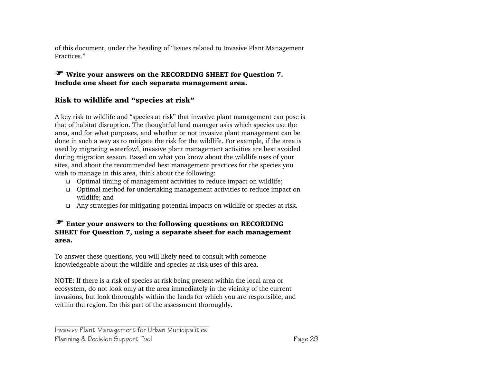of this document, under the heading of "Issues related to Invasive Plant Management Practices."

#### ) Write your answers on the RECORDING SHEET for Question 7. Include one sheet for each separate management area.

#### Risk to wildlife and "species at risk"

A key risk to wildlife and "species at risk" that invasive plant management can pose is that of habitat disruption. The thoughtful land manager asks which species use the area, and for what purposes, and whether or not invasive plant management can be done in such a way as to mitigate the risk for the wildlife. For example, if the area is used by migrating waterfowl, invasive plant management activities are best avoided during migration season. Based on what you know about the wildlife uses of your sites, and about the recommended best management practices for the species you wish to manage in this area, think about the following:

- Optimal timing of management activities to reduce impact on wildlife;
- Optimal method for undertaking management activities to reduce impact on wildlife; and
- Any strategies for mitigating potential impacts on wildlife or species at risk.

#### ) Enter your answers to the following questions on RECORDING SHEET for Question 7, using a separate sheet for each management area.

To answer these questions, you will likely need to consult with someone knowledgeable about the wildlife and species at risk uses of this area.

NOTE: If there is a risk of species at risk being present within the local area or ecosystem, do not look only at the area immediately in the vicinity of the current invasions, but look thoroughly within the lands for which you are responsible, and within the region. Do this part of the assessment thoroughly.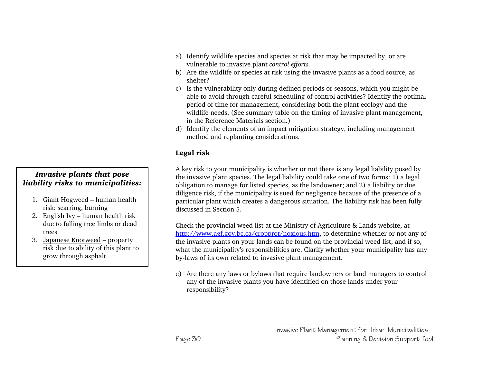- *Invasive plants that pose liability risks to municipalities:*
	- 1. Giant Hogweed human health risk: scarring, burning
	- 2. English Ivy human health risk due to falling tree limbs or dead trees
	- 3. Japanese Knotweed property risk due to ability of this plant to grow through asphalt.
- a) Identify wildlife species and species at risk that may be impacted by, or are vulnerable to invasive plant *control efforts.*
- b) Are the wildlife or species at risk using the invasive plants as a food source, as shelter?
- c) Is the vulnerability only during defined periods or seasons, which you might be able to avoid through careful scheduling of control activities? Identify the optimal period of time for management, considering both the plant ecology and the wildlife needs. (See summary table on the timing of invasive plant management, in the Reference Materials section.)
- d) Identify the elements of an impact mitigation strategy, including management method and replanting considerations.

#### Legal risk

A key risk to your municipality is whether or not there is any legal liability posed by the invasive plant species. The legal liability could take one of two forms: 1) a legal obligation to manage for listed species, as the landowner; and 2) a liability or due diligence risk, if the municipality is sued for negligence because of the presence of a particular plant which creates a dangerous situation. The liability risk has been fully discussed in Section 5.

Check the provincial weed list at the Ministry of Agriculture & Lands website, at http://www.agf.gov.bc.ca/cropprot/noxious.htm, to determine whether or not any of the invasive plants on your lands can be found on the provincial weed list, and if so, what the municipality's responsibilities are. Clarify whether your municipality has any by-laws of its own related to invasive plant management.

e) Are there any laws or bylaws that require landowners or land managers to control any of the invasive plants you have identified on those lands under your responsibility?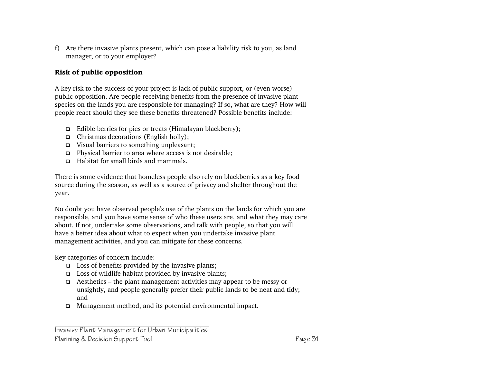f) Are there invasive plants present, which can pose a liability risk to you, as land manager, or to your employer?

#### Risk of public opposition

A key risk to the success of your project is lack of public support, or (even worse) public opposition. Are people receiving benefits from the presence of invasive plant species on the lands you are responsible for managing? If so, what are they? How will people react should they see these benefits threatened? Possible benefits include:

- $\Box$  Edible berries for pies or treats (Himalayan blackberry);
- $\Box$  Christmas decorations (English holly);
- Visual barriers to something unpleasant;
- □ Physical barrier to area where access is not desirable;
- □ Habitat for small birds and mammals.

There is some evidence that homeless people also rely on blackberries as a key food source during the season, as well as a source of privacy and shelter throughout the year.

No doubt you have observed people's use of the plants on the lands for which you are responsible, and you have some sense of who these users are, and what they may care about. If not, undertake some observations, and talk with people, so that you will have a better idea about what to expect when you undertake invasive plant management activities, and you can mitigate for these concerns.

Key categories of concern include:

- $\Box$  Loss of benefits provided by the invasive plants;
- $\Box$  Loss of wildlife habitat provided by invasive plants;
- $\Box$  Aesthetics the plant management activities may appear to be messy or unsightly, and people generally prefer their public lands to be neat and tidy; and
- Management method, and its potential environmental impact.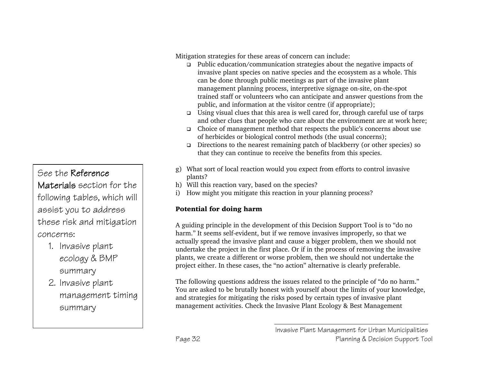# See the Reference

Materials section for the following tables, which will assist you to address these risk and mitigation concerns:

- 1. Invasive plant ecology & BMP summary
- 2. Invasive plant management timing summary

Mitigation strategies for these areas of concern can include:

- Public education/communication strategies about the negative impacts of invasive plant species on native species and the ecosystem as a whole. This can be done through public meetings as part of the invasive plant management planning process, interpretive signage on-site, on-the-spot trained staff or volunteers who can anticipate and answer questions from the public, and information at the visitor centre (if appropriate);
- **Using visual clues that this area is well cared for, through careful use of tarps** and other clues that people who care about the environment are at work here;
- Choice of management method that respects the public's concerns about use of herbicides or biological control methods (the usual concerns);
- Directions to the nearest remaining patch of blackberry (or other species) so that they can continue to receive the benefits from this species.
- g) What sort of local reaction would you expect from efforts to control invasive plants?
- h) Will this reaction vary, based on the species?
- i) How might you mitigate this reaction in your planning process?

### Potential for doing harm

A guiding principle in the development of this Decision Support Tool is to "do no harm." It seems self-evident, but if we remove invasives improperly, so that we actually spread the invasive plant and cause a bigger problem, then we should not undertake the project in the first place. Or if in the process of removing the invasive plants, we create a different or worse problem, then we should not undertake the project either. In these cases, the "no action" alternative is clearly preferable.

The following questions address the issues related to the principle of "do no harm." You are asked to be brutally honest with yourself about the limits of your knowledge, and strategies for mitigating the risks posed by certain types of invasive plant management activities. Check the Invasive Plant Ecology & Best Management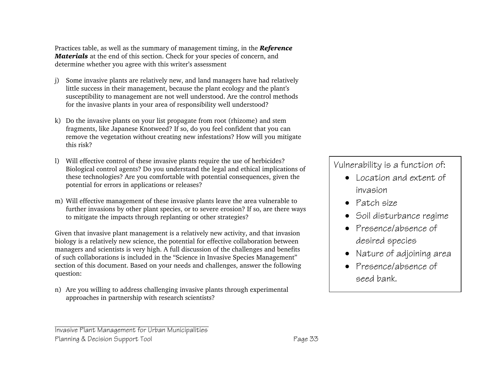Practices table, as well as the summary of management timing, in the *Reference Materials* at the end of this section. Check for your species of concern, and determine whether you agree with this writer's assessment

- j) Some invasive plants are relatively new, and land managers have had relatively little success in their management, because the plant ecology and the plant's susceptibility to management are not well understood. Are the control methods for the invasive plants in your area of responsibility well understood?
- k) Do the invasive plants on your list propagate from root (rhizome) and stem fragments, like Japanese Knotweed? If so, do you feel confident that you can remove the vegetation without creating new infestations? How will you mitigate this risk?
- l) Will effective control of these invasive plants require the use of herbicides? Biological control agents? Do you understand the legal and ethical implications of these technologies? Are you comfortable with potential consequences, given the potential for errors in applications or releases?
- m) Will effective management of these invasive plants leave the area vulnerable to further invasions by other plant species, or to severe erosion? If so, are there ways to mitigate the impacts through replanting or other strategies?

Given that invasive plant management is a relatively new activity, and that invasion biology is a relatively new science, the potential for effective collaboration between managers and scientists is very high. A full discussion of the challenges and benefits of such collaborations is included in the "Science in Invasive Species Management" section of this document. Based on your needs and challenges, answer the following question:

n) Are you willing to address challenging invasive plants through experimental approaches in partnership with research scientists?

# Vulnerability is a function of:

- Location and extent of invasion
- Patch size
- Soil disturbance regime
- Presence/absence of desired species
- Nature of adjoining area
- Presence/absence of seed bank.

Invasive Plant Management for Urban Municipalities Planning & Decision Support Tool **Page 33**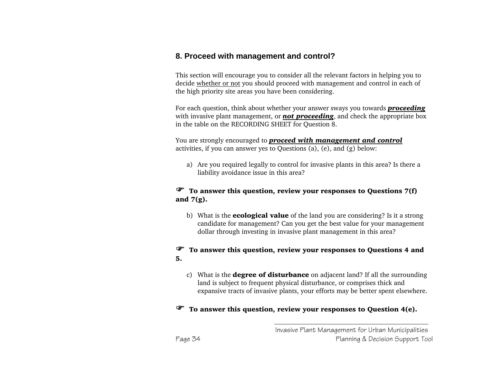### **8. Proceed with management and control?**

This section will encourage you to consider all the relevant factors in helping you to decide whether or not you should proceed with management and control in each of the high priority site areas you have been considering.

For each question, think about whether your answer sways you towards *proceeding* with invasive plant management, or *not proceeding*, and check the appropriate box in the table on the RECORDING SHEET for Question 8.

You are strongly encouraged to *proceed with management and control* activities, if you can answer yes to Questions (a), (e), and (g) below:

a) Are you required legally to control for invasive plants in this area? Is there a liability avoidance issue in this area?

#### $\mathcal{F}$  To answer this question, review your responses to Questions 7(f) and  $7(g)$ .

b) What is the **ecological value** of the land you are considering? Is it a strong candidate for management? Can you get the best value for your management dollar through investing in invasive plant management in this area?

#### ) To answer this question, review your responses to Questions 4 and 5.

c) What is the **degree of disturbance** on adjacent land? If all the surrounding land is subject to frequent physical disturbance, or comprises thick and expansive tracts of invasive plants, your efforts may be better spent elsewhere.

#### $\mathcal{F}$  To answer this question, review your responses to Question 4(e).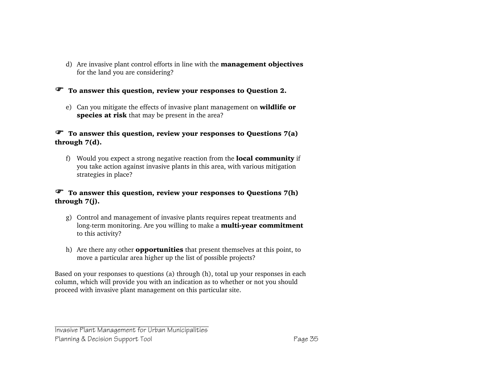d) Are invasive plant control efforts in line with the **management objectives** for the land you are considering?

) To answer this question, review your responses to Question 2.

e) Can you mitigate the effects of invasive plant management on **wildlife or** species at risk that may be present in the area?

#### $\mathcal{F}$  To answer this question, review your responses to Questions 7(a) through 7(d).

f) Would you expect a strong negative reaction from the **local community** if you take action against invasive plants in this area, with various mitigation strategies in place?

#### $\mathcal{F}$  To answer this question, review your responses to Questions 7(h) through 7(j).

- g) Control and management of invasive plants requires repeat treatments and long-term monitoring. Are you willing to make a **multi-year commitment** to this activity?
- h) Are there any other **opportunities** that present themselves at this point, to move a particular area higher up the list of possible projects?

Based on your responses to questions (a) through (h), total up your responses in each column, which will provide you with an indication as to whether or not you should proceed with invasive plant management on this particular site.

Invasive Plant Management for Urban Municipalities Planning & Decision Support Tool **Page 35**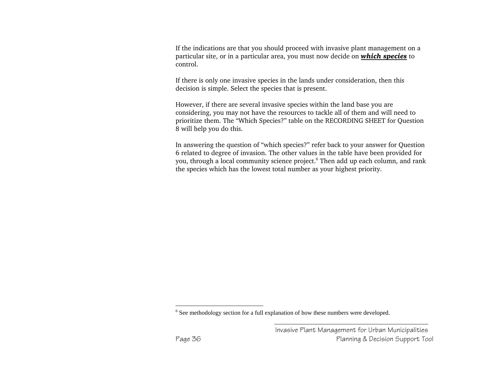If the indications are that you should proceed with invasive plant management on a particular site, or in a particular area, you must now decide on *which species* to control.

If there is only one invasive species in the lands under consideration, then this decision is simple. Select the species that is present.

However, if there are several invasive species within the land base you are considering, you may not have the resources to tackle all of them and will need to prioritize them. The "Which Species?" table on the RECORDING SHEET for Question 8 will help you do this.

In answering the question of "which species?" refer back to your answer for Question 6 related to degree of invasion. The other values in the table have been provided for you, through a local community science project.<sup>6</sup> Then add up each column, and rank the species which has the lowest total number as your highest priority.

<sup>&</sup>lt;sup>6</sup> See methodology section for a full explanation of how these numbers were developed.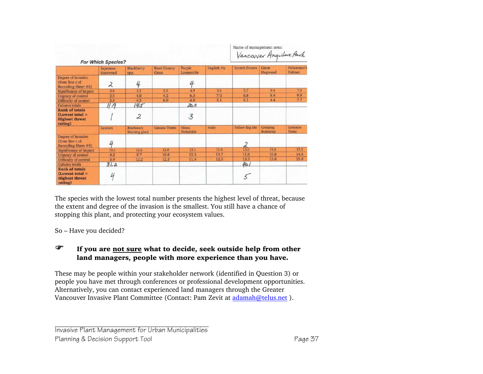|                                                                                | <b>For Which Species?</b> |                            |                             |                       |              | Name of management area:<br>Vancouver Anywhere Park |                                     |                        |
|--------------------------------------------------------------------------------|---------------------------|----------------------------|-----------------------------|-----------------------|--------------|-----------------------------------------------------|-------------------------------------|------------------------|
|                                                                                | Japanese<br>Knotweed      | Blackberry<br>spp.         | <b>Reed Canary</b><br>Grass | Purple<br>Loosestrife | English Ivy  | <b>Scotch Broom</b>                                 | Giant<br>Hogweed                    | Policeman's<br>Helmet  |
| Degree of invasion<br>(from line c of<br>Recording Sheet #6)                   | 2                         | 4                          |                             | 4                     |              |                                                     |                                     |                        |
| Significance of impact                                                         | 3.9                       | 2.2                        | 5.2                         | 4.9                   | 3.6          | 5.7                                                 | 9.4                                 | 7.3                    |
| <b>Urgency of control</b>                                                      | 2.5                       | 4.0                        | 4.2                         | 6.3                   | 7/3          | 6.8                                                 | 9.4                                 | 9.9                    |
| Difficulty of control                                                          | 3.5                       | 4.3                        | 6.0                         | 4.8                   | 5.1          | 6.1                                                 | 4.4                                 | 7.7                    |
| Column totals                                                                  | 11.9                      | 14.5                       |                             | 20,0                  |              |                                                     |                                     |                        |
| <b>Rank of totals</b><br>$(Lowest total =$<br><b>Highest threat</b><br>rating) |                           | 2                          |                             | 3                     |              |                                                     |                                     |                        |
|                                                                                | Lamium                    | Bindweed:<br>Morning glory | Canada Thistle              | Vinca:<br>Periwinkle  | <b>Holly</b> | Yellow-flag Iris                                    | <b>Creeping</b><br><b>Buttercup</b> | Common<br><b>Tansy</b> |
| Degree of invasion<br>(from line c of<br>Recording Sheet #6)                   | 4                         |                            |                             |                       |              | 2                                                   |                                     |                        |
| Significance of impact                                                         | 10.1                      | 12.2                       | 12.8                        | 12.1                  | 11.8         | 13.0                                                | 13.8                                | 15.2                   |
| <b>Urgency of control</b>                                                      | 8.2                       | 9.7                        | 10.8                        | 12.5                  | 13.7         | 11.8                                                | 10.8                                | 14.6                   |
| Difficulty of control                                                          | 8.9                       | 12.2                       | 12.3                        | 11.4                  | 12.5         | 13.3                                                | 13.8                                | 15.9                   |
| Column totals                                                                  | 31.2                      |                            |                             |                       |              | 40.1                                                |                                     |                        |
| <b>Rank of totals</b><br>$Lowest total =$<br><b>Highest threat</b><br>rating)  | Ц                         |                            |                             |                       |              |                                                     |                                     |                        |

The species with the lowest total number presents the highest level of threat, because the extent and degree of the invasion is the smallest. You still have a chance of stopping this plant, and protecting your ecosystem values.

So – Have you decided?

#### **FF** If you are not sure what to decide, seek outside help from other land managers, people with more experience than you have.

These may be people within your stakeholder network (identified in Question 3) or people you have met through conferences or professional development opportunities. Alternatively, you can contact experienced land managers through the Greater Vancouver Invasive Plant Committee (Contact: Pam Zevit at adamah@telus.net ).

Invasive Plant Management for Urban Municipalities Planning & Decision Support Tool **Page 37**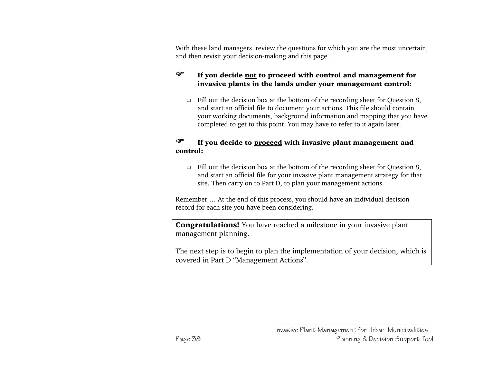With these land managers, review the questions for which you are the most uncertain, and then revisit your decision-making and this page.

#### $\mathscr{F}$  If you decide not to proceed with control and management for invasive plants in the lands under your management control:

 $\Box$  Fill out the decision box at the bottom of the recording sheet for Question 8, and start an official file to document your actions. This file should contain your working documents, background information and mapping that you have completed to get to this point. You may have to refer to it again later.

#### **F** If you decide to proceed with invasive plant management and control:

Fill out the decision box at the bottom of the recording sheet for Question 8, and start an official file for your invasive plant management strategy for that site. Then carry on to Part D, to plan your management actions.

Remember … At the end of this process, you should have an individual decision record for each site you have been considering.

**Congratulations!** You have reached a milestone in your invasive plant management planning.

The next step is to begin to plan the implementation of your decision, which is covered in Part D "Management Actions".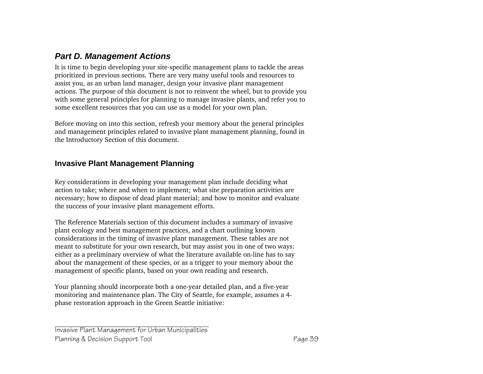## *Part D. Management Actions*

It is time to begin developing your site-specific management plans to tackle the areas prioritized in previous sections. There are very many useful tools and resources to assist you, as an urban land manager, design your invasive plant management actions. The purpose of this document is not to reinvent the wheel, but to provide you with some general principles for planning to manage invasive plants, and refer you to some excellent resources that you can use as a model for your own plan.

Before moving on into this section, refresh your memory about the general principles and management principles related to invasive plant management planning, found in the Introductory Section of this document.

### **Invasive Plant Management Planning**

Key considerations in developing your management plan include deciding what action to take; where and when to implement; what site preparation activities are necessary; how to dispose of dead plant material; and how to monitor and evaluate the success of your invasive plant management efforts.

The Reference Materials section of this document includes a summary of invasive plant ecology and best management practices, and a chart outlining known considerations in the timing of invasive plant management. These tables are not meant to substitute for your own research, but may assist you in one of two ways: either as a preliminary overview of what the literature available on-line has to say about the management of these species, or as a trigger to your memory about the management of specific plants, based on your own reading and research.

Your planning should incorporate both a one-year detailed plan, and a five-year monitoring and maintenance plan. The City of Seattle, for example, assumes a 4 phase restoration approach in the Green Seattle initiative: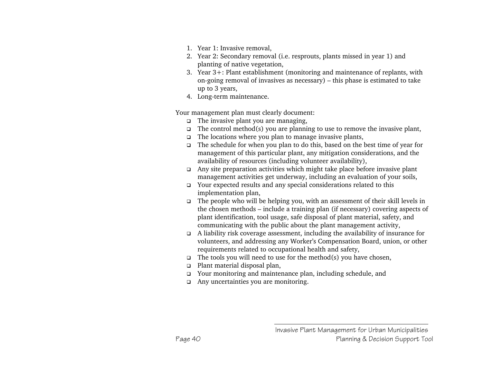- 1. Year 1: Invasive removal,
- 2. Year 2: Secondary removal (i.e. resprouts, plants missed in year 1) and planting of native vegetation,
- 3. Year 3+: Plant establishment (monitoring and maintenance of replants, with on-going removal of invasives as necessary) – this phase is estimated to take up to 3 years,
- 4. Long-term maintenance.

Your management plan must clearly document:

- $\Box$  The invasive plant you are managing,
- $\Box$  The control method(s) you are planning to use to remove the invasive plant,
- $\Box$  The locations where you plan to manage invasive plants,
- The schedule for when you plan to do this, based on the best time of year for management of this particular plant, any mitigation considerations, and the availability of resources (including volunteer availability),
- Any site preparation activities which might take place before invasive plant management activities get underway, including an evaluation of your soils,
- Your expected results and any special considerations related to this implementation plan,
- The people who will be helping you, with an assessment of their skill levels in the chosen methods – include a training plan (if necessary) covering aspects of plant identification, tool usage, safe disposal of plant material, safety, and communicating with the public about the plant management activity,
- A liability risk coverage assessment, including the availability of insurance for volunteers, and addressing any Worker's Compensation Board, union, or other requirements related to occupational health and safety,
- $\Box$  The tools you will need to use for the method(s) you have chosen,
- **Plant material disposal plan,**
- Your monitoring and maintenance plan, including schedule, and
- Any uncertainties you are monitoring.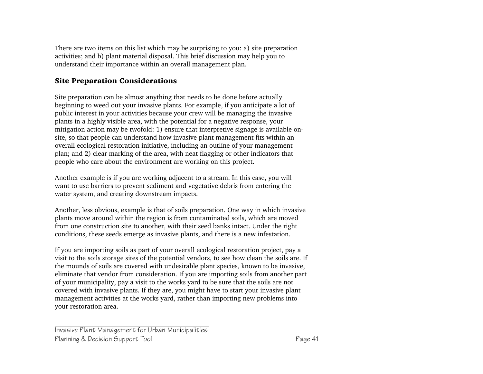There are two items on this list which may be surprising to you: a) site preparation activities; and b) plant material disposal. This brief discussion may help you to understand their importance within an overall management plan.

#### Site Preparation Considerations

Site preparation can be almost anything that needs to be done before actually beginning to weed out your invasive plants. For example, if you anticipate a lot of public interest in your activities because your crew will be managing the invasive plants in a highly visible area, with the potential for a negative response, your mitigation action may be twofold: 1) ensure that interpretive signage is available onsite, so that people can understand how invasive plant management fits within an overall ecological restoration initiative, including an outline of your management plan; and 2) clear marking of the area, with neat flagging or other indicators that people who care about the environment are working on this project.

Another example is if you are working adjacent to a stream. In this case, you will want to use barriers to prevent sediment and vegetative debris from entering the water system, and creating downstream impacts.

Another, less obvious, example is that of soils preparation. One way in which invasive plants move around within the region is from contaminated soils, which are moved from one construction site to another, with their seed banks intact. Under the right conditions, these seeds emerge as invasive plants, and there is a new infestation.

If you are importing soils as part of your overall ecological restoration project, pay a visit to the soils storage sites of the potential vendors, to see how clean the soils are. If the mounds of soils are covered with undesirable plant species, known to be invasive, eliminate that vendor from consideration. If you are importing soils from another part of your municipality, pay a visit to the works yard to be sure that the soils are not covered with invasive plants. If they are, you might have to start your invasive plant management activities at the works yard, rather than importing new problems into your restoration area.

Invasive Plant Management for Urban Municipalities Planning & Decision Support Tool **Page 41**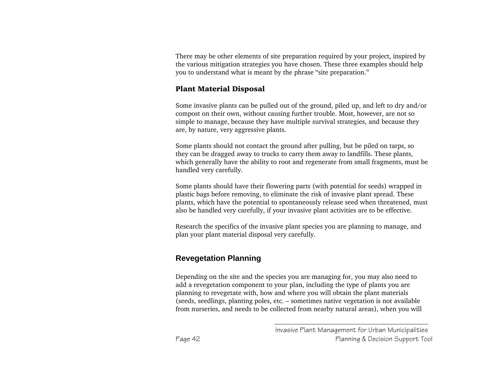There may be other elements of site preparation required by your project, inspired by the various mitigation strategies you have chosen. These three examples should help you to understand what is meant by the phrase "site preparation."

#### Plant Material Disposal

Some invasive plants can be pulled out of the ground, piled up, and left to dry and/or compost on their own, without causing further trouble. Most, however, are not so simple to manage, because they have multiple survival strategies, and because they are, by nature, very aggressive plants.

Some plants should not contact the ground after pulling, but be piled on tarps, so they can be dragged away to trucks to carry them away to landfills. These plants, which generally have the ability to root and regenerate from small fragments, must be handled very carefully.

Some plants should have their flowering parts (with potential for seeds) wrapped in plastic bags before removing, to eliminate the risk of invasive plant spread. These plants, which have the potential to spontaneously release seed when threatened, must also be handled very carefully, if your invasive plant activities are to be effective.

Research the specifics of the invasive plant species you are planning to manage, and plan your plant material disposal very carefully.

# **Revegetation Planning**

Depending on the site and the species you are managing for, you may also need to add a revegetation component to your plan, including the type of plants you are planning to revegetate with, how and where you will obtain the plant materials (seeds, seedlings, planting poles, etc. – sometimes native vegetation is not available from nurseries, and needs to be collected from nearby natural areas), when you will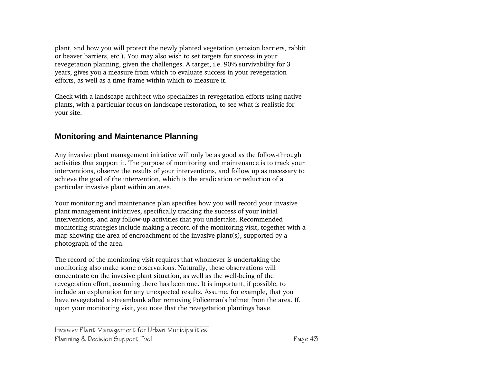plant, and how you will protect the newly planted vegetation (erosion barriers, rabbit or beaver barriers, etc.). You may also wish to set targets for success in your revegetation planning, given the challenges. A target, i.e. 90% survivability for 3 years, gives you a measure from which to evaluate success in your revegetation efforts, as well as a time frame within which to measure it.

Check with a landscape architect who specializes in revegetation efforts using native plants, with a particular focus on landscape restoration, to see what is realistic for your site.

### **Monitoring and Maintenance Planning**

Any invasive plant management initiative will only be as good as the follow-through activities that support it. The purpose of monitoring and maintenance is to track your interventions, observe the results of your interventions, and follow up as necessary to achieve the goal of the intervention, which is the eradication or reduction of a particular invasive plant within an area.

Your monitoring and maintenance plan specifies how you will record your invasive plant management initiatives, specifically tracking the success of your initial interventions, and any follow-up activities that you undertake. Recommended monitoring strategies include making a record of the monitoring visit, together with a map showing the area of encroachment of the invasive plant(s), supported by a photograph of the area.

The record of the monitoring visit requires that whomever is undertaking the monitoring also make some observations. Naturally, these observations will concentrate on the invasive plant situation, as well as the well-being of the revegetation effort, assuming there has been one. It is important, if possible, to include an explanation for any unexpected results. Assume, for example, that you have revegetated a streambank after removing Policeman's helmet from the area. If, upon your monitoring visit, you note that the revegetation plantings have

Invasive Plant Management for Urban Municipalities Planning & Decision Support Tool **Page 43**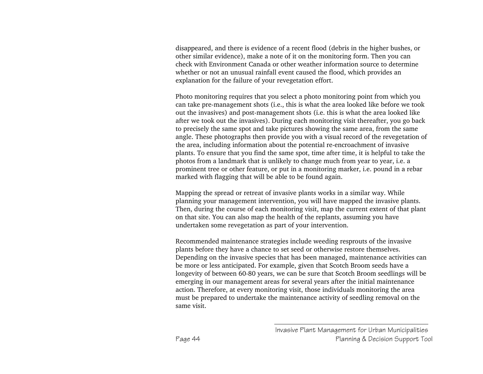disappeared, and there is evidence of a recent flood (debris in the higher bushes, or other similar evidence), make a note of it on the monitoring form. Then you can check with Environment Canada or other weather information source to determine whether or not an unusual rainfall event caused the flood, which provides an explanation for the failure of your revegetation effort.

Photo monitoring requires that you select a photo monitoring point from which you can take pre-management shots (i.e., this is what the area looked like before we took out the invasives) and post-management shots (i.e. this is what the area looked like after we took out the invasives). During each monitoring visit thereafter, you go back to precisely the same spot and take pictures showing the same area, from the same angle. These photographs then provide you with a visual record of the revegetation of the area, including information about the potential re-encroachment of invasive plants. To ensure that you find the same spot, time after time, it is helpful to take the photos from a landmark that is unlikely to change much from year to year, i.e. a prominent tree or other feature, or put in a monitoring marker, i.e. pound in a rebar marked with flagging that will be able to be found again.

Mapping the spread or retreat of invasive plants works in a similar way. While planning your management intervention, you will have mapped the invasive plants. Then, during the course of each monitoring visit, map the current extent of that plant on that site. You can also map the health of the replants, assuming you have undertaken some revegetation as part of your intervention.

Recommended maintenance strategies include weeding resprouts of the invasive plants before they have a chance to set seed or otherwise restore themselves. Depending on the invasive species that has been managed, maintenance activities can be more or less anticipated. For example, given that Scotch Broom seeds have a longevity of between 60-80 years, we can be sure that Scotch Broom seedlings will be emerging in our management areas for several years after the initial maintenance action. Therefore, at every monitoring visit, those individuals monitoring the area must be prepared to undertake the maintenance activity of seedling removal on the same visit.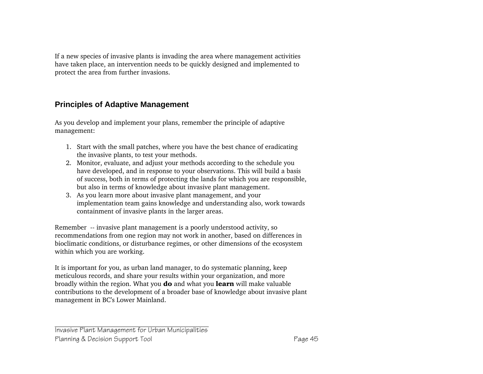If a new species of invasive plants is invading the area where management activities have taken place, an intervention needs to be quickly designed and implemented to protect the area from further invasions.

### **Principles of Adaptive Management**

As you develop and implement your plans, remember the principle of adaptive management:

- 1. Start with the small patches, where you have the best chance of eradicating the invasive plants, to test your methods.
- 2. Monitor, evaluate, and adjust your methods according to the schedule you have developed, and in response to your observations. This will build a basis of success, both in terms of protecting the lands for which you are responsible, but also in terms of knowledge about invasive plant management.
- 3. As you learn more about invasive plant management, and your implementation team gains knowledge and understanding also, work towards containment of invasive plants in the larger areas.

Remember -- invasive plant management is a poorly understood activity, so recommendations from one region may not work in another, based on differences in bioclimatic conditions, or disturbance regimes, or other dimensions of the ecosystem within which you are working.

It is important for you, as urban land manager, to do systematic planning, keep meticulous records, and share your results within your organization, and more broadly within the region. What you **do** and what you **learn** will make valuable contributions to the development of a broader base of knowledge about invasive plant management in BC's Lower Mainland.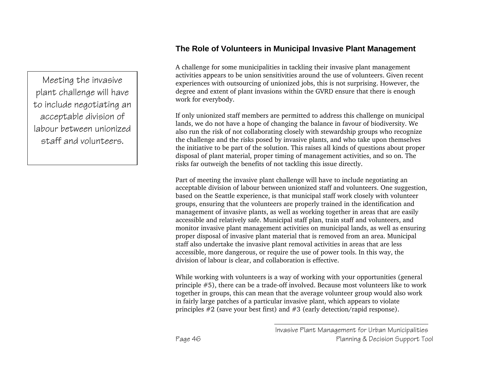### **The Role of Volunteers in Municipal Invasive Plant Management**

A challenge for some municipalities in tackling their invasive plant management activities appears to be union sensitivities around the use of volunteers. Given recent experiences with outsourcing of unionized jobs, this is not surprising. However, the degree and extent of plant invasions within the GVRD ensure that there is enough work for everybody.

If only unionized staff members are permitted to address this challenge on municipal lands, we do not have a hope of changing the balance in favour of biodiversity. We also run the risk of not collaborating closely with stewardship groups who recognize the challenge and the risks posed by invasive plants, and who take upon themselves the initiative to be part of the solution. This raises all kinds of questions about proper disposal of plant material, proper timing of management activities, and so on. The risks far outweigh the benefits of not tackling this issue directly.

Part of meeting the invasive plant challenge will have to include negotiating an acceptable division of labour between unionized staff and volunteers. One suggestion, based on the Seattle experience, is that municipal staff work closely with volunteer groups, ensuring that the volunteers are properly trained in the identification and management of invasive plants, as well as working together in areas that are easily accessible and relatively safe. Municipal staff plan, train staff and volunteers, and monitor invasive plant management activities on municipal lands, as well as ensuring proper disposal of invasive plant material that is removed from an area. Municipal staff also undertake the invasive plant removal activities in areas that are less accessible, more dangerous, or require the use of power tools. In this way, the division of labour is clear, and collaboration is effective.

While working with volunteers is a way of working with your opportunities (general principle #5), there can be a trade-off involved. Because most volunteers like to work together in groups, this can mean that the average volunteer group would also work in fairly large patches of a particular invasive plant, which appears to violate principles #2 (save your best first) and #3 (early detection/rapid response).

Meeting the invasive plant challenge will have to include negotiating an acceptable division of labour between unionized staff and volunteers.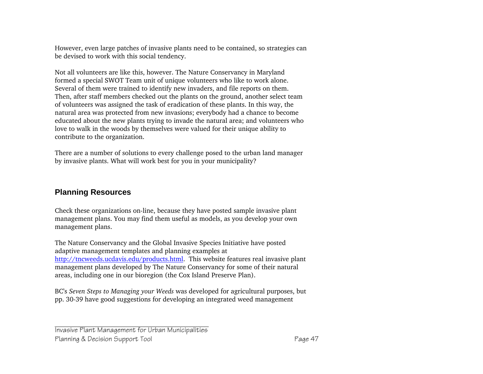However, even large patches of invasive plants need to be contained, so strategies can be devised to work with this social tendency.

Not all volunteers are like this, however. The Nature Conservancy in Maryland formed a special SWOT Team unit of unique volunteers who like to work alone. Several of them were trained to identify new invaders, and file reports on them. Then, after staff members checked out the plants on the ground, another select team of volunteers was assigned the task of eradication of these plants. In this way, the natural area was protected from new invasions; everybody had a chance to become educated about the new plants trying to invade the natural area; and volunteers who love to walk in the woods by themselves were valued for their unique ability to contribute to the organization.

There are a number of solutions to every challenge posed to the urban land manager by invasive plants. What will work best for you in your municipality?

### **Planning Resources**

Check these organizations on-line, because they have posted sample invasive plant management plans. You may find them useful as models, as you develop your own management plans.

The Nature Conservancy and the Global Invasive Species Initiative have posted adaptive management templates and planning examples at http://tncweeds.ucdavis.edu/products.html. This website features real invasive plant management plans developed by The Nature Conservancy for some of their natural areas, including one in our bioregion (the Cox Island Preserve Plan).

BC's *Seven Steps to Managing your Weeds* was developed for agricultural purposes, but pp. 30-39 have good suggestions for developing an integrated weed management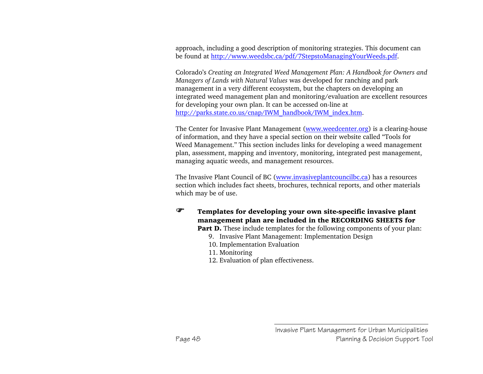approach, including a good description of monitoring strategies. This document can be found at http://www.weedsbc.ca/pdf/7StepstoManagingYourWeeds.pdf.

Colorado's *Creating an Integrated Weed Management Plan: A Handbook for Owners and Managers of Lands with Natural Values* was developed for ranching and park management in a very different ecosystem, but the chapters on developing an integrated weed management plan and monitoring/evaluation are excellent resources for developing your own plan. It can be accessed on-line at http://parks.state.co.us/cnap/IWM\_handbook/IWM\_index.htm.

The Center for Invasive Plant Management (www.weedcenter.org) is a clearing-house of information, and they have a special section on their website called "Tools for Weed Management." This section includes links for developing a weed management plan, assessment, mapping and inventory, monitoring, integrated pest management, managing aquatic weeds, and management resources.

The Invasive Plant Council of BC (www.invasiveplantcouncilbc.ca) has a resources section which includes fact sheets, brochures, technical reports, and other materials which may be of use.

# ) Templates for developing your own site-specific invasive plant management plan are included in the RECORDING SHEETS for

**Part D.** These include templates for the following components of your plan:

- 9. Invasive Plant Management: Implementation Design
- 10. Implementation Evaluation
- 11. Monitoring
- 12. Evaluation of plan effectiveness.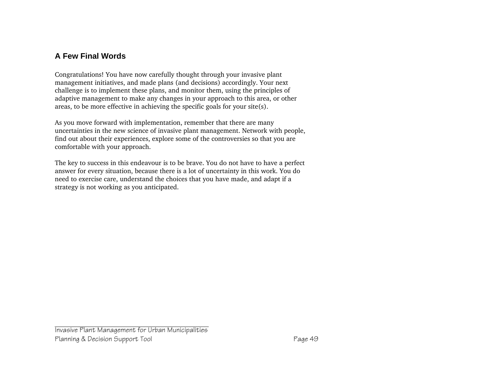# **A Few Final Words**

Congratulations! You have now carefully thought through your invasive plant management initiatives, and made plans (and decisions) accordingly. Your next challenge is to implement these plans, and monitor them, using the principles of adaptive management to make any changes in your approach to this area, or other areas, to be more effective in achieving the specific goals for your site(s).

As you move forward with implementation, remember that there are many uncertainties in the new science of invasive plant management. Network with people, find out about their experiences, explore some of the controversies so that you are comfortable with your approach.

The key to success in this endeavour is to be brave. You do not have to have a perfect answer for every situation, because there is a lot of uncertainty in this work. You do need to exercise care, understand the choices that you have made, and adapt if a strategy is not working as you anticipated.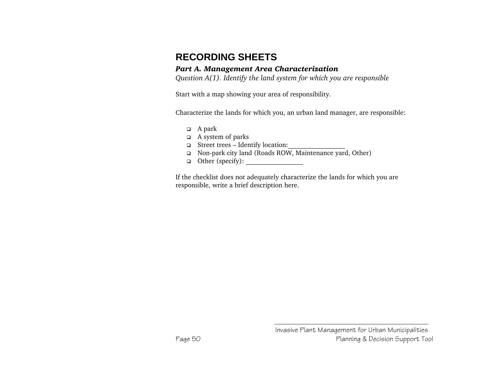# **RECORDING SHEETS**

#### *Part A. Management Area Characterization*

*Question A(1). Identify the land system for which you are responsible* 

Start with a map showing your area of responsibility.

Characterize the lands for which you, an urban land manager, are responsible:

- A park
- A system of parks
- Street trees Identify location:\_\_\_\_\_\_\_\_\_\_\_\_\_\_\_\_\_
- □ Non-park city land (Roads ROW, Maintenance yard, Other)
- Other (specify): \_\_\_\_\_\_\_\_\_\_\_\_\_\_\_\_\_

If the checklist does not adequately characterize the lands for which you are responsible, write a brief description here.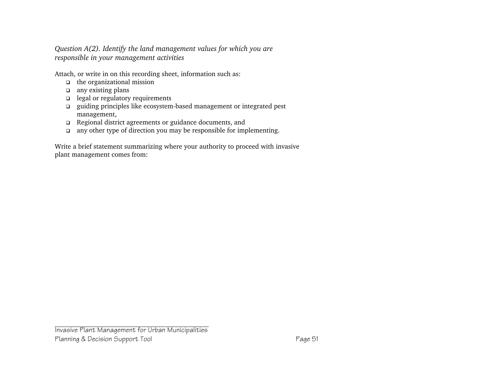*Question A(2). Identify the land management values for which you are responsible in your management activities*

Attach, or write in on this recording sheet, information such as:

- the organizational mission
- $\Box$  any existing plans
- □ legal or regulatory requirements
- guiding principles like ecosystem-based management or integrated pest management,
- Regional district agreements or guidance documents, and
- any other type of direction you may be responsible for implementing.

Write a brief statement summarizing where your authority to proceed with invasive plant management comes from: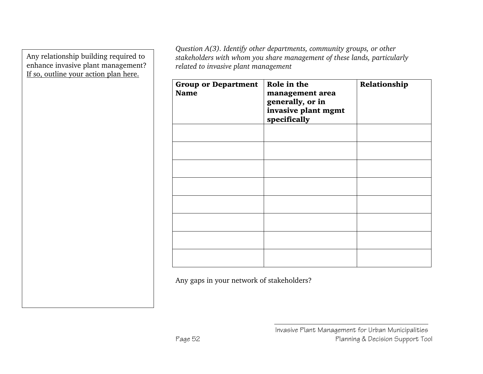Any relationship building required to enhance invasive plant management? If so, outline your action plan here.

*Question A(3). Identify other departments, community groups, or other stakeholders with whom you share management of these lands, particularly related to invasive plant management* 

| <b>Group or Department</b><br><b>Name</b> | Role in the<br>management area<br>generally, or in<br>invasive plant mgmt<br>specifically | Relationship |
|-------------------------------------------|-------------------------------------------------------------------------------------------|--------------|
|                                           |                                                                                           |              |
|                                           |                                                                                           |              |
|                                           |                                                                                           |              |
|                                           |                                                                                           |              |
|                                           |                                                                                           |              |
|                                           |                                                                                           |              |
|                                           |                                                                                           |              |
|                                           |                                                                                           |              |

Any gaps in your network of stakeholders?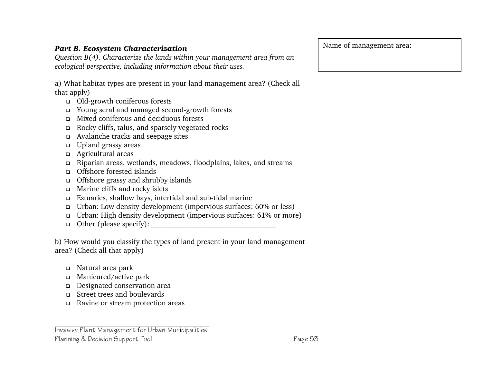### *Part B. Ecosystem Characterization*

*Question B(4). Characterize the lands within your management area from an ecological perspective, including information about their uses.* 

a) What habitat types are present in your land management area? (Check all that apply)

- Old-growth coniferous forests
- Young seral and managed second-growth forests
- Mixed coniferous and deciduous forests
- Rocky cliffs, talus, and sparsely vegetated rocks
- Avalanche tracks and seepage sites
- Upland grassy areas
- Agricultural areas
- Riparian areas, wetlands, meadows, floodplains, lakes, and streams
- Offshore forested islands
- □ Offshore grassy and shrubby islands
- Marine cliffs and rocky islets
- Estuaries, shallow bays, intertidal and sub-tidal marine
- Urban: Low density development (impervious surfaces: 60% or less)
- Urban: High density development (impervious surfaces: 61% or more)
- Other (please specify): \_\_\_\_\_\_\_\_\_\_\_\_\_\_\_\_\_\_\_\_\_\_\_\_\_\_\_\_\_\_\_\_\_\_

b) How would you classify the types of land present in your land management area? (Check all that apply)

- Natural area park
- Manicured/active park
- Designated conservation area
- Street trees and boulevards
- Ravine or stream protection areas

Name of management area:

Invasive Plant Management for Urban Municipalities Planning & Decision Support Tool **Page 53**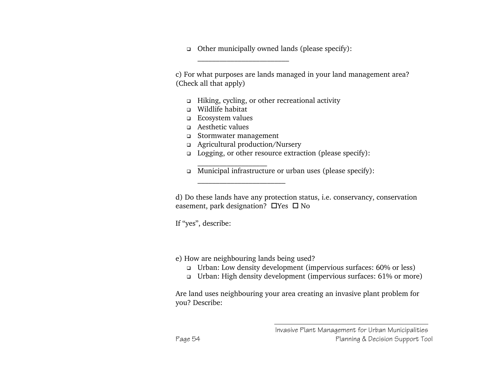$\Box$  Other municipally owned lands (please specify):

c) For what purposes are lands managed in your land management area? (Check all that apply)

- Hiking, cycling, or other recreational activity
- Wildlife habitat
- Ecosystem values
- Aesthetic values
- Stormwater management
- Agricultural production/Nursery

 $\overline{\phantom{a}}$  , and the contract of the contract of the contract of the contract of the contract of the contract of the contract of the contract of the contract of the contract of the contract of the contract of the contrac

\_\_\_\_\_\_\_\_\_\_\_\_\_\_\_\_\_\_\_\_\_\_\_\_\_

- Logging, or other resource extraction (please specify):
- \_\_\_\_\_\_\_\_\_\_\_\_\_\_\_\_\_\_\_ Municipal infrastructure or urban uses (please specify):

d) Do these lands have any protection status, i.e. conservancy, conservation easement, park designation? ⊔Yes □ No

If "yes", describe:

#### e) How are neighbouring lands being used?

- Urban: Low density development (impervious surfaces: 60% or less)
- Urban: High density development (impervious surfaces: 61% or more)

Are land uses neighbouring your area creating an invasive plant problem for you? Describe: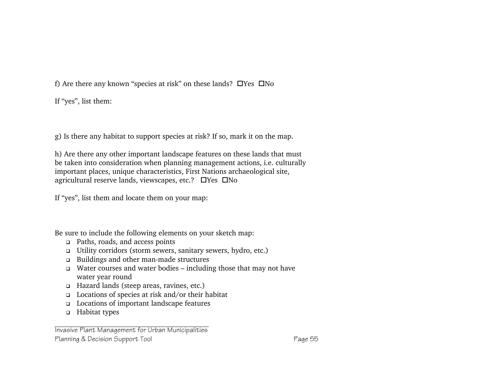f) Are there any known "species at risk" on these lands? □ Yes □ No

If "yes", list them:

g) Is there any habitat to support species at risk? If so, mark it on the map.

h) Are there any other important landscape features on these lands that must be taken into consideration when planning management actions, i.e. culturally important places, unique characteristics, First Nations archaeological site, agricultural reserve lands, viewscapes, etc.? ⊔Yes ⊔No

If "yes", list them and locate them on your map:

Be sure to include the following elements on your sketch map:

- Paths, roads, and access points
- Utility corridors (storm sewers, sanitary sewers, hydro, etc.)
- Buildings and other man-made structures
- Water courses and water bodies including those that may not have water year round
- Hazard lands (steep areas, ravines, etc.)
- Locations of species at risk and/or their habitat
- Locations of important landscape features
- □ Habitat types

Invasive Plant Management for Urban Municipalities Planning & Decision Support Tool **Page 55**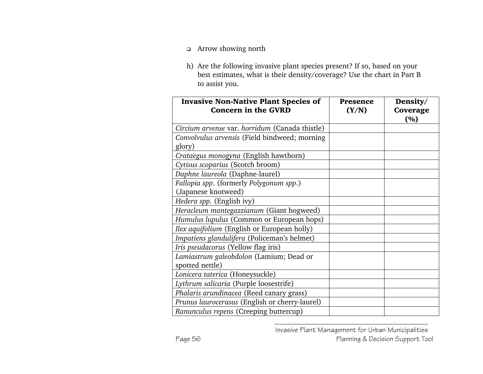- Arrow showing north
- h) Are the following invasive plant species present? If so, based on your best estimates, what is their density/coverage? Use the chart in Part B to assist you.

| <b>Invasive Non-Native Plant Species of</b><br><b>Concern in the GVRD</b> | Presence<br>(Y/N) | Density/<br><b>Coverage</b><br>(%) |
|---------------------------------------------------------------------------|-------------------|------------------------------------|
| Circium arvense var. horridum (Canada thistle)                            |                   |                                    |
| Convolvulus arvensis (Field bindweed; morning<br>glory)                   |                   |                                    |
| Crataegus monogyna (English hawthorn)                                     |                   |                                    |
| Cytisus scoparius (Scotch broom)                                          |                   |                                    |
| Daphne laureola (Daphne-laurel)                                           |                   |                                    |
| Fallopia spp. (formerly Polygonum spp.)<br>(Japanese knotweed)            |                   |                                    |
| Hedera spp. (English ivy)                                                 |                   |                                    |
| Heracleum mantegazzianum (Giant hogweed)                                  |                   |                                    |
| Humulus lupulus (Common or European hops)                                 |                   |                                    |
| Ilex aquifolium (English or European holly)                               |                   |                                    |
| Impatiens glandulifera (Policeman's helmet)                               |                   |                                    |
| Iris pseudacorus (Yellow flag iris)                                       |                   |                                    |
| Lamiastrum galeobdolon (Lamium; Dead or<br>spotted nettle)                |                   |                                    |
| Lonicera taterica (Honeysuckle)                                           |                   |                                    |
| Lythrum salicaria (Purple loosestrife)                                    |                   |                                    |
| Phalaris arundinacea (Reed canary grass)                                  |                   |                                    |
| Prunus laurocerasus (English or cherry-laurel)                            |                   |                                    |
| Ranunculus repens (Creeping buttercup)                                    |                   |                                    |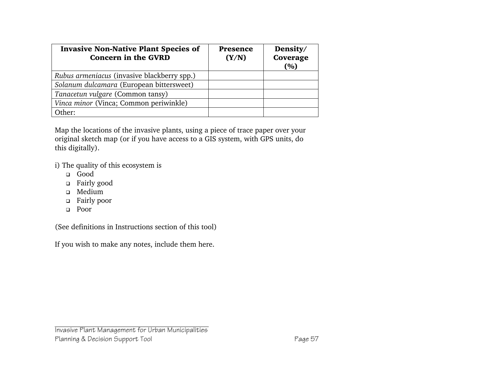| <b>Invasive Non-Native Plant Species of</b><br><b>Concern in the GVRD</b> | Presence<br>(Y/N) | Density/<br>Coverage<br>(%) |
|---------------------------------------------------------------------------|-------------------|-----------------------------|
| Rubus armeniacus (invasive blackberry spp.)                               |                   |                             |
| Solanum dulcamara (European bittersweet)                                  |                   |                             |
| Tanacetun vulgare (Common tansy)                                          |                   |                             |
| Vinca minor (Vinca; Common periwinkle)                                    |                   |                             |
| )ther:                                                                    |                   |                             |

Map the locations of the invasive plants, using a piece of trace paper over your original sketch map (or if you have access to a GIS system, with GPS units, do this digitally).

i) The quality of this ecosystem is

- **□** Good
- □ Fairly good
- Medium
- □ Fairly poor
- Poor

(See definitions in Instructions section of this tool)

If you wish to make any notes, include them here.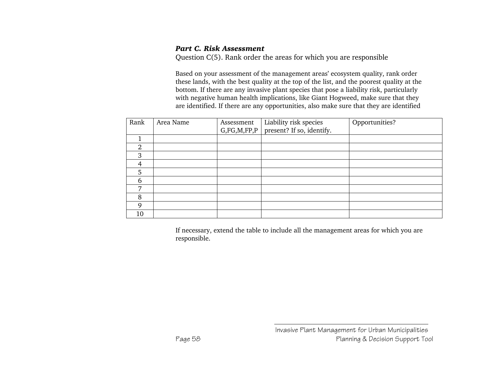#### *Part C. Risk Assessment*

Question C(5). Rank order the areas for which you are responsible

Based on your assessment of the management areas' ecosystem quality, rank order these lands, with the best quality at the top of the list, and the poorest quality at the bottom. If there are any invasive plant species that pose a liability risk, particularly with negative human health implications, like Giant Hogweed, make sure that they are identified. If there are any opportunities, also make sure that they are identified

| Rank | Area Name | Assessment  | Liability risk species    | Opportunities? |
|------|-----------|-------------|---------------------------|----------------|
|      |           | G,FG,M,FP,P | present? If so, identify. |                |
|      |           |             |                           |                |
| 2    |           |             |                           |                |
| 3    |           |             |                           |                |
| 4    |           |             |                           |                |
| 5    |           |             |                           |                |
| 6    |           |             |                           |                |
| ⇁    |           |             |                           |                |
| 8    |           |             |                           |                |
| 9    |           |             |                           |                |
| 10   |           |             |                           |                |

If necessary, extend the table to include all the management areas for which you are responsible.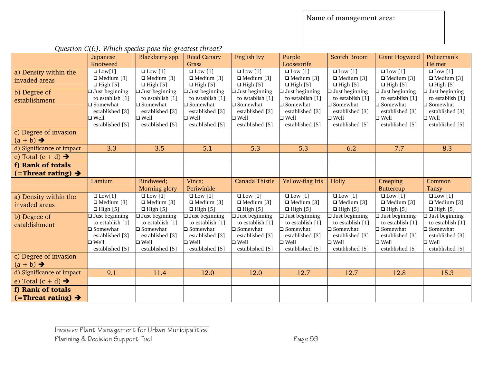|                                                        | Japanese              | Blackberry spp.          | <b>Reed Canary</b>    | English Ivy              | Purple                | <b>Scotch Broom</b>   | <b>Giant Hogweed</b>     | Policeman's           |
|--------------------------------------------------------|-----------------------|--------------------------|-----------------------|--------------------------|-----------------------|-----------------------|--------------------------|-----------------------|
|                                                        | Knotweed              |                          | Grass                 |                          | Loosestrife           |                       |                          | Helmet                |
| a) Density within the                                  | $\Box$ Low[1]         | $\Box$ Low [1]           | $\Box$ Low [1]        | $\overline{\Box$ Low [1] | $\Box$ Low [1]        | $\Box$ Low [1]        | $\Box$ Low [1]           | $\Box$ Low [1]        |
| invaded areas                                          | $\Box$ Medium [3]     | $\Box$ Medium [3]        | $\Box$ Medium [3]     | $\Box$ Medium [3]        | $\Box$ Medium [3]     | $\Box$ Medium [3]     | $\Box$ Medium [3]        | $\Box$ Medium [3]     |
|                                                        | $\Box$ High [5]       | $\Box$ High [5]          | $\Box$ High [5]       | $\Box$ High [5]          | $\Box$ High [5]       | $\Box$ High [5]       | $\Box$ High [5]          | $\Box$ High [5]       |
| b) Degree of                                           | □ Just beginning      | $\square$ Just beginning | $\Box$ Just beginning | Just beginning           | $\Box$ Just beginning | $\Box$ Just beginning | $\square$ Just beginning | $\Box$ Just beginning |
| establishment                                          | to establish [1]      | to establish [1]         | to establish [1]      | to establish [1]         | to establish [1]      | to establish [1]      | to establish [1]         | to establish [1]      |
|                                                        | $\square$ Somewhat    | $\square$ Somewhat       | $\square$ Somewhat    | $\square$ Somewhat       | $\square$ Somewhat    | $\square$ Somewhat    | □ Somewhat               | $\square$ Somewhat    |
|                                                        | established [3]       | established [3]          | established [3]       | established [3]          | established [3]       | established [3]       | established [3]          | established [3]       |
|                                                        | $\square$ Well        | $\square$ Well           | $\square$ Well        | $\square$ Well           | $\square$ Well        | $\square$ Well        | $\square$ Well           | $\Box$ Well           |
|                                                        | established [5]       | established [5]          | established [5]       | established [5]          | established [5]       | established [5]       | established [5]          | established [5]       |
| c) Degree of invasion                                  |                       |                          |                       |                          |                       |                       |                          |                       |
| $(a + b) \rightarrow$                                  |                       |                          |                       |                          |                       |                       |                          |                       |
| d) Significance of impact                              | 3.3                   | 3.5                      | 5.1                   | 5.3                      | 5.3                   | 6.2                   | 7.7                      | 8.3                   |
| e) Total $(c + d) \rightarrow$                         |                       |                          |                       |                          |                       |                       |                          |                       |
| f) Rank of totals                                      |                       |                          |                       |                          |                       |                       |                          |                       |
| $($ =Threat rating) $\rightarrow$                      |                       |                          |                       |                          |                       |                       |                          |                       |
|                                                        |                       |                          |                       |                          |                       |                       |                          |                       |
|                                                        | Lamium                | Bindweed;                | Vinca;                | Canada Thistle           | Yellow-flag Iris      | Holly                 | Creeping                 | Common                |
|                                                        |                       | Morning glory            | Periwinkle            |                          |                       |                       | <b>Buttercup</b>         | Tansy                 |
|                                                        | $\Box$ Low[1]         | $\Box$ Low [1]           | $\Box$ Low [1]        | $\Box$ Low [1]           | $\Box$ Low [1]        | $\Box$ Low [1]        | $\Box$ Low [1]           | $\Box$ Low [1]        |
| a) Density within the                                  | $\Box$ Medium [3]     | $\Box$ Medium [3]        | $\Box$ Medium [3]     | $\Box$ Medium [3]        | $\Box$ Medium [3]     | $\Box$ Medium [3]     | $\Box$ Medium [3]        | $\Box$ Medium [3]     |
| invaded areas                                          | $\Box$ High [5]       | $\Box$ High [5]          | $\Box$ High [5]       | $\Box$ High [5]          | $\Box$ High [5]       | $\Box$ High [5]       | $\Box$ High [5]          | $\Box$ High [5]       |
| b) Degree of                                           | $\Box$ Just beginning | $\Box$ Just beginning    | $\Box$ Just beginning | $\Box$ Just beginning    | $\Box$ Just beginning | $\Box$ Just beginning | $\Box$ Just beginning    | $\Box$ Just beginning |
| establishment                                          | to establish [1]      | to establish [1]         | to establish [1]      | to establish [1]         | to establish [1]      | to establish [1]      | to establish [1]         | to establish [1]      |
|                                                        | $\square$ Somewhat    | $\square$ Somewhat       | $\square$ Somewhat    | □ Somewhat               | $\square$ Somewhat    | $\square$ Somewhat    | $\square$ Somewhat       | $\square$ Somewhat    |
|                                                        | established [3]       | established [3]          | established [3]       | established [3]          | established [3]       | established [3]       | established [3]          | established [3]       |
|                                                        | $\Box$ Well           | $\square$ Well           | $\square$ Well        | $\square$ Well           | $\Box$ Well           | $\square$ Well        | $\square$ Well           | $\Box$ Well           |
|                                                        | established [5]       | established [5]          | established [5]       | established [5]          | established [5]       | established [5]       | established [5]          | established [5]       |
| c) Degree of invasion                                  |                       |                          |                       |                          |                       |                       |                          |                       |
| $(a + b) \rightarrow$                                  |                       |                          |                       |                          |                       |                       |                          |                       |
| d) Significance of impact                              | 9.1                   | 11.4                     | 12.0                  | 12.0                     | 12.7                  | 12.7                  | 12.8                     | 15.3                  |
| e) Total $(c + d) \rightarrow$                         |                       |                          |                       |                          |                       |                       |                          |                       |
| f) Rank of totals<br>$($ =Threat rating) $\rightarrow$ |                       |                          |                       |                          |                       |                       |                          |                       |

*Question C(6). Which species pose the greatest threat?*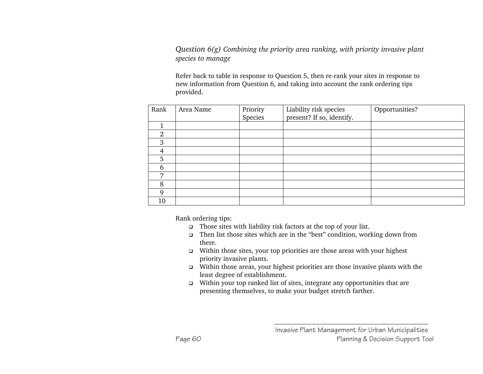*Question 6(g) Combining the priority area ranking, with priority invasive plant species to manage* 

Refer back to table in response to Question 5, then re-rank your sites in response to new information from Question 6, and taking into account the rank ordering tips provided.

| Rank           | Area Name | Priority | Liability risk species    | Opportunities? |
|----------------|-----------|----------|---------------------------|----------------|
|                |           | Species  | present? If so, identify. |                |
|                |           |          |                           |                |
| $\overline{2}$ |           |          |                           |                |
| 3              |           |          |                           |                |
| $\overline{4}$ |           |          |                           |                |
| 5              |           |          |                           |                |
| 6              |           |          |                           |                |
| 7              |           |          |                           |                |
| 8              |           |          |                           |                |
| Q              |           |          |                           |                |
| 10             |           |          |                           |                |

Rank ordering tips:

- □ Those sites with liability risk factors at the top of your list.
- Then list those sites which are in the "best" condition, working down from there.
- $\Box$  Within those sites, your top priorities are those areas with your highest priority invasive plants.
- Within those areas, your highest priorities are those invasive plants with the least degree of establishment.
- $\Box$  Within your top ranked list of sites, integrate any opportunities that are presenting themselves, to make your budget stretch farther.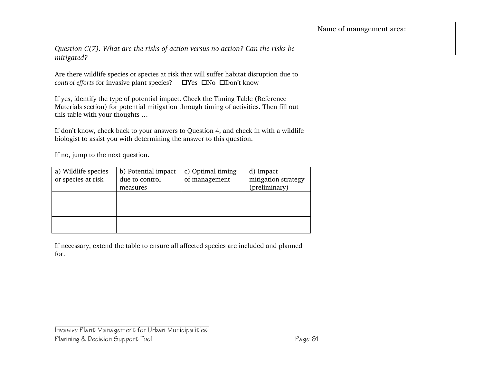*Question C(7). What are the risks of action versus no action? Can the risks be mitigated?* 

Are there wildlife species or species at risk that will suffer habitat disruption due to *control efforts* for invasive plant species? <br>  $\Box$ Yes  $\Box$ No  $\Box$ Don't know

If yes, identify the type of potential impact. Check the Timing Table (Reference Materials section) for potential mitigation through timing of activities. Then fill out this table with your thoughts …

If don't know, check back to your answers to Question 4, and check in with a wildlife biologist to assist you with determining the answer to this question.

If no, jump to the next question.

| a) Wildlife species | b) Potential impact | c) Optimal timing | d) Impact           |
|---------------------|---------------------|-------------------|---------------------|
| or species at risk  | due to control      | of management     | mitigation strategy |
|                     | measures            |                   | (preliminary)       |
|                     |                     |                   |                     |
|                     |                     |                   |                     |
|                     |                     |                   |                     |
|                     |                     |                   |                     |
|                     |                     |                   |                     |

If necessary, extend the table to ensure all affected species are included and planned for.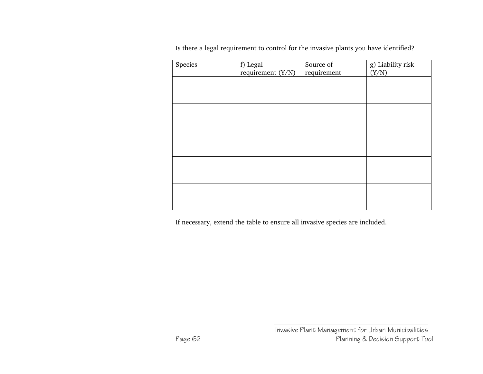| Species | f) Legal<br>requirement (Y/N) | Source of<br>requirement | g) Liability risk<br>(Y/N) |
|---------|-------------------------------|--------------------------|----------------------------|
|         |                               |                          |                            |
|         |                               |                          |                            |
|         |                               |                          |                            |
|         |                               |                          |                            |
|         |                               |                          |                            |

Is there a legal requirement to control for the invasive plants you have identified?

If necessary, extend the table to ensure all invasive species are included.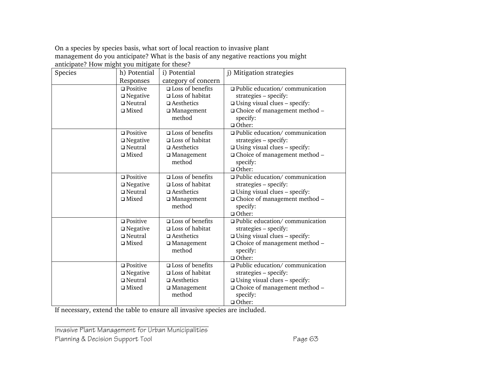On a species by species basis, what sort of local reaction to invasive plant management do you anticipate? What is the basis of any negative reactions you might anticipate? How might you mitigate for these?

| Species | h) Potential       | i) Potential               | j) Mitigation strategies                  |
|---------|--------------------|----------------------------|-------------------------------------------|
|         | Responses          | category of concern        |                                           |
|         | $\square$ Positive | □ Loss of benefits         | $\Box$ Public education/ communication    |
|         | $\square$ Negative | $\square$ Loss of habitat  | strategies - specify:                     |
|         | $\Box$ Neutral     | $\Box$ Aesthetics          | $\square$ Using visual clues - specify:   |
|         | $\square$ Mixed    | □ Management               | □ Choice of management method -           |
|         |                    | method                     | specify:                                  |
|         |                    |                            | $\Box$ Other:                             |
|         | $\square$ Positive | $\square$ Loss of benefits | □ Public education/ communication         |
|         | $\square$ Negative | $\square$ Loss of habitat  | strategies - specify:                     |
|         | $\square$ Neutral  | $\square$ Aesthetics       | $\square$ Using visual clues – specify:   |
|         | $\square$ Mixed    | □ Management               | □ Choice of management method -           |
|         |                    | method                     | specify:                                  |
|         |                    |                            | $\Box$ Other:                             |
|         | $\square$ Positive | □ Loss of benefits         | □ Public education/ communication         |
|         | $\Box$ Negative    | $\square$ Loss of habitat  | strategies - specify:                     |
|         | $\Box$ Neutral     | $\Box$ Aesthetics          | $\square$ Using visual clues - specify:   |
|         | $\square$ Mixed    | □ Management               | $\Box$ Choice of management method $\Box$ |
|         |                    | method                     | specify:                                  |
|         |                    |                            | $\Box$ Other:                             |
|         | $\square$ Positive | $\square$ Loss of benefits | □ Public education/ communication         |
|         | $\square$ Negative | □ Loss of habitat          | strategies - specify:                     |
|         | $\square$ Neutral  | $\square$ Aesthetics       | $\square$ Using visual clues – specify:   |
|         | $\square$ Mixed    | □ Management               | □ Choice of management method -           |
|         |                    | method                     | specify:                                  |
|         |                    |                            | $\Box$ Other:                             |
|         | $\square$ Positive | $\square$ Loss of benefits | $\Box$ Public education/ communication    |
|         | $\square$ Negative | $\square$ Loss of habitat  | strategies - specify:                     |
|         | $\square$ Neutral  | $\Box$ Aesthetics          | $\square$ Using visual clues - specify:   |
|         | $\square$ Mixed    | □ Management               | $\Box$ Choice of management method $-$    |
|         |                    | method                     | specify:                                  |
|         |                    |                            | $\Box$ Other:                             |

If necessary, extend the table to ensure all invasive species are included.

Invasive Plant Management for Urban Municipalities Planning & Decision Support Tool **Page 63**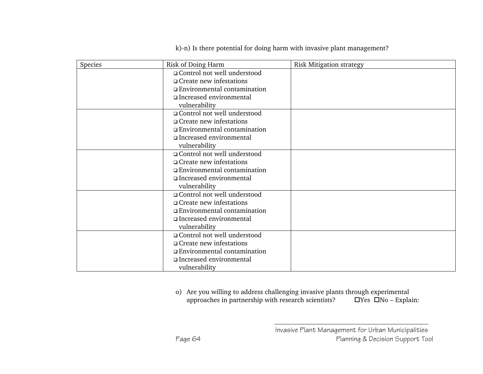k)-n) Is there potential for doing harm with invasive plant management?

| Species | Risk of Doing Harm             | Risk Mitigation strategy |  |
|---------|--------------------------------|--------------------------|--|
|         | □ Control not well understood  |                          |  |
|         | $\Box$ Create new infestations |                          |  |
|         | □ Environmental contamination  |                          |  |
|         | Increased environmental        |                          |  |
|         | vulnerability                  |                          |  |
|         | □ Control not well understood  |                          |  |
|         | $\Box$ Create new infestations |                          |  |
|         | □ Environmental contamination  |                          |  |
|         | □ Increased environmental      |                          |  |
|         | vulnerability                  |                          |  |
|         | □ Control not well understood  |                          |  |
|         | $\Box$ Create new infestations |                          |  |
|         | □ Environmental contamination  |                          |  |
|         | □ Increased environmental      |                          |  |
|         | vulnerability                  |                          |  |
|         | □ Control not well understood  |                          |  |
|         | $\Box$ Create new infestations |                          |  |
|         | □ Environmental contamination  |                          |  |
|         | Increased environmental        |                          |  |
|         | vulnerability                  |                          |  |
|         | □ Control not well understood  |                          |  |
|         | $\Box$ Create new infestations |                          |  |
|         | □ Environmental contamination  |                          |  |
|         | □ Increased environmental      |                          |  |
|         | vulnerability                  |                          |  |

o) Are you willing to address challenging invasive plants through experimental approaches in partnership with research scientists? Yes No – Explain: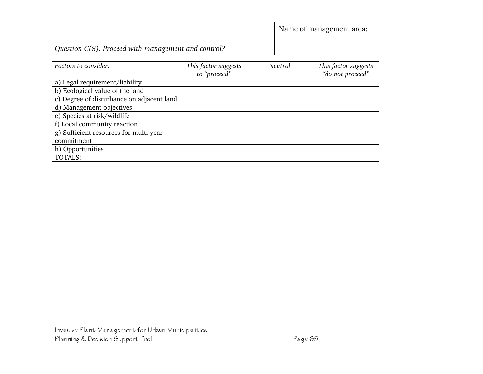#### *Question C(8). Proceed with management and control?*

| Factors to consider:                      | This factor suggests<br>to "proceed" | Neutral | This factor suggests<br>"do not proceed" |
|-------------------------------------------|--------------------------------------|---------|------------------------------------------|
| a) Legal requirement/liability            |                                      |         |                                          |
| b) Ecological value of the land           |                                      |         |                                          |
| c) Degree of disturbance on adjacent land |                                      |         |                                          |
| d) Management objectives                  |                                      |         |                                          |
| e) Species at risk/wildlife               |                                      |         |                                          |
| f) Local community reaction               |                                      |         |                                          |
| g) Sufficient resources for multi-year    |                                      |         |                                          |
| commitment                                |                                      |         |                                          |
| h) Opportunities                          |                                      |         |                                          |
| TOTALS:                                   |                                      |         |                                          |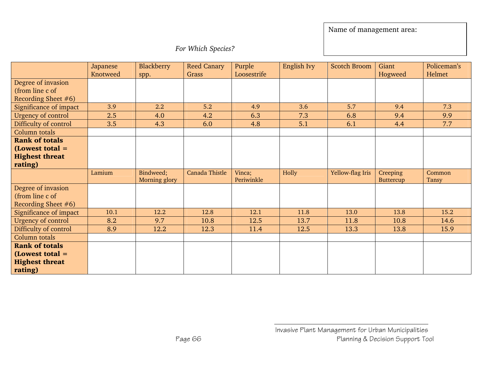*For Which Species?* 

|                           | Japanese | <b>Blackberry</b> | <b>Reed Canary</b> | Purple      | English Ivy | <b>Scotch Broom</b> | Giant     | Policeman's  |
|---------------------------|----------|-------------------|--------------------|-------------|-------------|---------------------|-----------|--------------|
|                           | Knotweed | spp.              | Grass              | Loosestrife |             |                     | Hogweed   | Helmet       |
| Degree of invasion        |          |                   |                    |             |             |                     |           |              |
| (from line c of           |          |                   |                    |             |             |                     |           |              |
| Recording Sheet #6)       |          |                   |                    |             |             |                     |           |              |
| Significance of impact    | 3.9      | 2.2               | 5.2                | 4.9         | 3.6         | 5.7                 | 9.4       | 7.3          |
| Urgency of control        | 2.5      | 4.0               | 4.2                | 6.3         | 7.3         | 6.8                 | 9.4       | 9.9          |
| Difficulty of control     | 3.5      | 4.3               | 6.0                | 4.8         | 5.1         | 6.1                 | 4.4       | 7.7          |
| <b>Column</b> totals      |          |                   |                    |             |             |                     |           |              |
| <b>Rank of totals</b>     |          |                   |                    |             |             |                     |           |              |
| $(Lowest total =$         |          |                   |                    |             |             |                     |           |              |
| <b>Highest threat</b>     |          |                   |                    |             |             |                     |           |              |
| rating)                   |          |                   |                    |             |             |                     |           |              |
|                           | Lamium   | Bindweed;         | Canada Thistle     | Vinca;      | Holly       | Yellow-flag Iris    | Creeping  | Common       |
|                           |          | Morning glory     |                    | Periwinkle  |             |                     | Buttercup | <b>Tansy</b> |
| Degree of invasion        |          |                   |                    |             |             |                     |           |              |
| (from line c of           |          |                   |                    |             |             |                     |           |              |
| Recording Sheet $#6$ )    |          |                   |                    |             |             |                     |           |              |
| Significance of impact    | 10.1     | 12.2              | 12.8               | 12.1        | 11.8        | 13.0                | 13.8      | 15.2         |
| <b>Urgency of control</b> | 8.2      | 9.7               | 10.8               | 12.5        | 13.7        | 11.8                | 10.8      | 14.6         |
| Difficulty of control     | 8.9      | 12.2              | 12.3               | 11.4        | 12.5        | 13.3                | 13.8      | 15.9         |
| Column totals             |          |                   |                    |             |             |                     |           |              |
| <b>Rank of totals</b>     |          |                   |                    |             |             |                     |           |              |
| $(Lowest total =$         |          |                   |                    |             |             |                     |           |              |
| <b>Highest threat</b>     |          |                   |                    |             |             |                     |           |              |
| rating)                   |          |                   |                    |             |             |                     |           |              |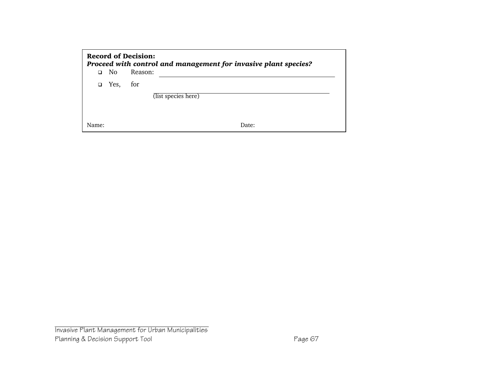|        | <b>Record of Decision:</b><br>Proceed with control and management for invasive plant species? |                     |  |  |  |  |
|--------|-----------------------------------------------------------------------------------------------|---------------------|--|--|--|--|
| n.     | No.                                                                                           | Reason:             |  |  |  |  |
| $\Box$ | Yes,                                                                                          | for                 |  |  |  |  |
|        |                                                                                               | (list species here) |  |  |  |  |
| Name:  |                                                                                               | Date:               |  |  |  |  |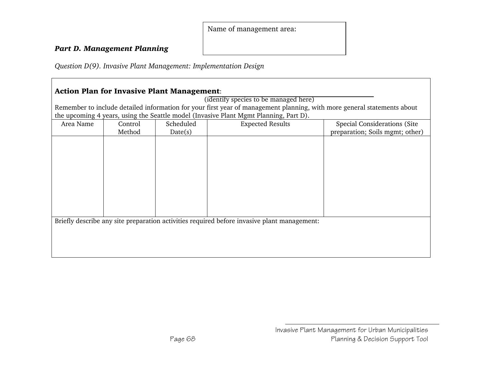#### *Part D. Management Planning*

*Question D(9). Invasive Plant Management: Implementation Design* 

# Action Plan for Invasive Plant Management: (identify species to be managed here) Remember to include detailed information for your first year of management planning, with more general statements about the upcoming 4 years, using the Seattle model (Invasive Plant Mgmt Planning, Part D). Area Name Control Method Scheduled Date(s) Expected Results **Special Considerations (Site** preparation; Soils mgmt; other) Briefly describe any site preparation activities required before invasive plant management: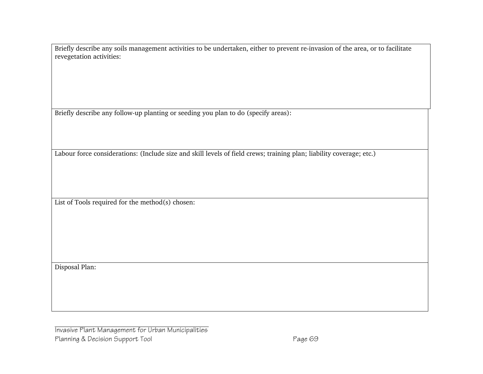Briefly describe any soils management activities to be undertaken, either to prevent re-invasion of the area, or to facilitate revegetation activities:

Briefly describe any follow-up planting or seeding you plan to do (specify areas):

Labour force considerations: (Include size and skill levels of field crews; training plan; liability coverage; etc.)

List of Tools required for the method(s) chosen:

Disposal Plan: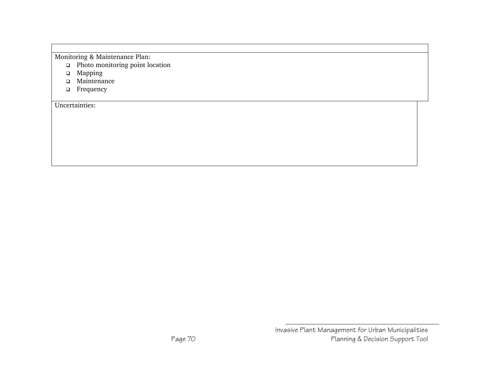Monitoring & Maintenance Plan:

- Photo monitoring point location
- Mapping
- Maintenance
- **D** Frequency

Uncertainties: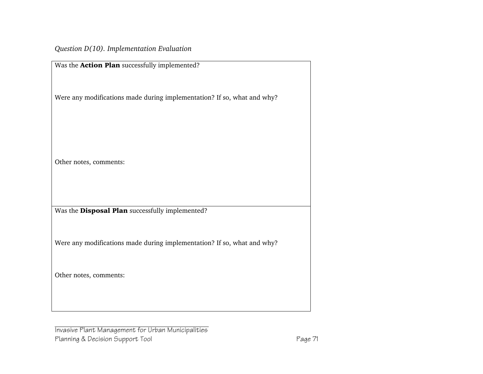*Question D(10). Implementation Evaluation* 

| Was the Action Plan successfully implemented?                           |
|-------------------------------------------------------------------------|
| Were any modifications made during implementation? If so, what and why? |
| Other notes, comments:                                                  |
| Was the Disposal Plan successfully implemented?                         |
| Were any modifications made during implementation? If so, what and why? |
| Other notes, comments:                                                  |
|                                                                         |

Invasive Plant Management for Urban Municipalities Planning & Decision Support Tool **Page 71**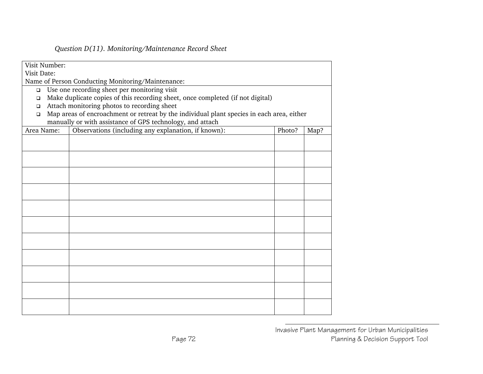#### *Question D(11). Monitoring/Maintenance Record Sheet*

| Visit Number:                                          |                                                                                           |        |      |
|--------------------------------------------------------|-------------------------------------------------------------------------------------------|--------|------|
| Visit Date:                                            |                                                                                           |        |      |
| Name of Person Conducting Monitoring/Maintenance:      |                                                                                           |        |      |
| Use one recording sheet per monitoring visit<br>$\Box$ |                                                                                           |        |      |
| $\Box$                                                 | Make duplicate copies of this recording sheet, once completed (if not digital)            |        |      |
| Attach monitoring photos to recording sheet<br>$\Box$  |                                                                                           |        |      |
| $\Box$                                                 | Map areas of encroachment or retreat by the individual plant species in each area, either |        |      |
|                                                        | manually or with assistance of GPS technology, and attach                                 |        |      |
| Area Name:                                             | Observations (including any explanation, if known):                                       | Photo? | Map? |
|                                                        |                                                                                           |        |      |
|                                                        |                                                                                           |        |      |
|                                                        |                                                                                           |        |      |
|                                                        |                                                                                           |        |      |
|                                                        |                                                                                           |        |      |
|                                                        |                                                                                           |        |      |
|                                                        |                                                                                           |        |      |
|                                                        |                                                                                           |        |      |
|                                                        |                                                                                           |        |      |
|                                                        |                                                                                           |        |      |
|                                                        |                                                                                           |        |      |
|                                                        |                                                                                           |        |      |
|                                                        |                                                                                           |        |      |
|                                                        |                                                                                           |        |      |
|                                                        |                                                                                           |        |      |
|                                                        |                                                                                           |        |      |
|                                                        |                                                                                           |        |      |
|                                                        |                                                                                           |        |      |
|                                                        |                                                                                           |        |      |
|                                                        |                                                                                           |        |      |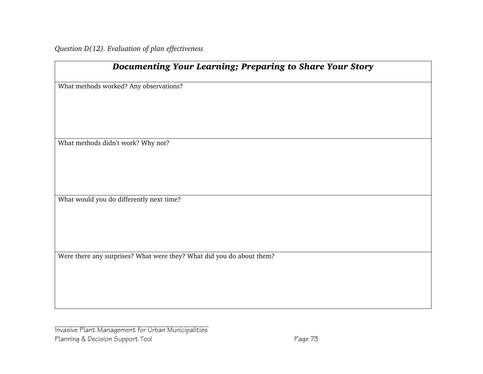*Question D(12). Evaluation of plan effectiveness* 

| <b>Documenting Your Learning; Preparing to Share Your Story</b>       |
|-----------------------------------------------------------------------|
| What methods worked? Any observations?                                |
|                                                                       |
|                                                                       |
| What methods didn't work? Why not?                                    |
|                                                                       |
|                                                                       |
| What would you do differently next time?                              |
|                                                                       |
|                                                                       |
| Were there any surprises? What were they? What did you do about them? |
|                                                                       |
|                                                                       |
|                                                                       |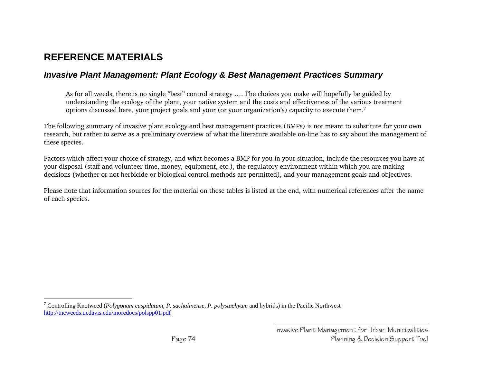## **REFERENCE MATERIALS**

#### *Invasive Plant Management: Plant Ecology & Best Management Practices Summary*

As for all weeds, there is no single "best" control strategy …. The choices you make will hopefully be guided by understanding the ecology of the plant, your native system and the costs and effectiveness of the various treatment options discussed here, your project goals and your (or your organization's) capacity to execute them.<sup>7</sup>

The following summary of invasive plant ecology and best management practices (BMPs) is not meant to substitute for your own research, but rather to serve as a preliminary overview of what the literature available on-line has to say about the management of these species.

Factors which affect your choice of strategy, and what becomes a BMP for you in your situation, include the resources you have at your disposal (staff and volunteer time, money, equipment, etc.), the regulatory environment within which you are making decisions (whether or not herbicide or biological control methods are permitted), and your management goals and objectives.

Please note that information sources for the material on these tables is listed at the end, with numerical references after the name of each species.

<sup>7</sup> Controlling Knotweed (*Polygonum cuspidatum*, *P. sachalinense*, *P. polystachyum* and hybrids) in the Pacific Northwest http://tncweeds.ucdavis.edu/moredocs/polspp01.pdf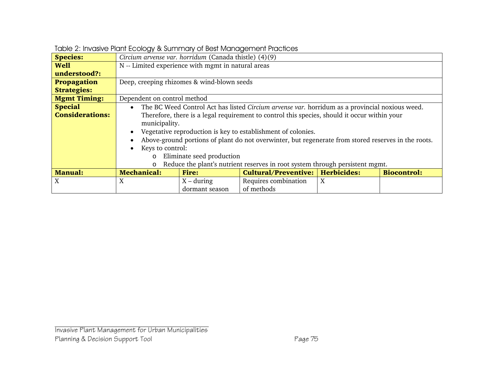| <b>Species:</b>        | Circium arvense var. horridum (Canada thistle) (4)(9)                                          |                                                    |                                                                                                                                                                                                                                                                                                                                                     |                  |                    |  |  |
|------------------------|------------------------------------------------------------------------------------------------|----------------------------------------------------|-----------------------------------------------------------------------------------------------------------------------------------------------------------------------------------------------------------------------------------------------------------------------------------------------------------------------------------------------------|------------------|--------------------|--|--|
| <b>Well</b>            |                                                                                                | N -- Limited experience with mgmt in natural areas |                                                                                                                                                                                                                                                                                                                                                     |                  |                    |  |  |
| understood?:           |                                                                                                |                                                    |                                                                                                                                                                                                                                                                                                                                                     |                  |                    |  |  |
| Propagation            | Deep, creeping rhizomes & wind-blown seeds                                                     |                                                    |                                                                                                                                                                                                                                                                                                                                                     |                  |                    |  |  |
| <b>Strategies:</b>     |                                                                                                |                                                    |                                                                                                                                                                                                                                                                                                                                                     |                  |                    |  |  |
| <b>Mgmt Timing:</b>    | Dependent on control method                                                                    |                                                    |                                                                                                                                                                                                                                                                                                                                                     |                  |                    |  |  |
| <b>Special</b>         | $\bullet$                                                                                      |                                                    | The BC Weed Control Act has listed Circium arvense var. horridum as a provincial noxious weed.                                                                                                                                                                                                                                                      |                  |                    |  |  |
| <b>Considerations:</b> | municipality.<br>$\bullet$<br>$\bullet$<br>Keys to control:<br>$\bullet$<br>$\circ$<br>$\circ$ | Eliminate seed production                          | Therefore, there is a legal requirement to control this species, should it occur within your<br>Vegetative reproduction is key to establishment of colonies.<br>Above-ground portions of plant do not overwinter, but regenerate from stored reserves in the roots.<br>Reduce the plant's nutrient reserves in root system through persistent mgmt. |                  |                    |  |  |
| <b>Manual:</b>         | <b>Mechanical:</b>                                                                             | <b>Fire:</b>                                       | Cultural/Preventive:   Herbicides:                                                                                                                                                                                                                                                                                                                  |                  | <b>Biocontrol:</b> |  |  |
| X                      | X                                                                                              | $X - during$                                       | Requires combination                                                                                                                                                                                                                                                                                                                                | $\boldsymbol{X}$ |                    |  |  |
|                        |                                                                                                | dormant season                                     | of methods                                                                                                                                                                                                                                                                                                                                          |                  |                    |  |  |

|  |  | Table 2: Invasive Plant Ecology & Summary of Best Management Practices |
|--|--|------------------------------------------------------------------------|
|  |  |                                                                        |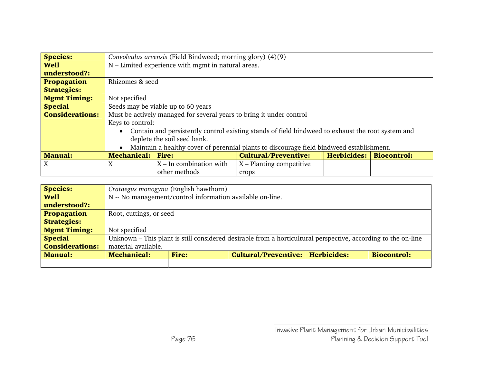| <b>Species:</b>        |                                                                                                     | Convolvulus arvensis (Field Bindweed; morning glory) (4)(9)          |                                                                                          |                           |  |  |  |
|------------------------|-----------------------------------------------------------------------------------------------------|----------------------------------------------------------------------|------------------------------------------------------------------------------------------|---------------------------|--|--|--|
| <b>Well</b>            |                                                                                                     | N – Limited experience with mgmt in natural areas.                   |                                                                                          |                           |  |  |  |
| understood?:           |                                                                                                     |                                                                      |                                                                                          |                           |  |  |  |
| <b>Propagation</b>     | Rhizomes & seed                                                                                     |                                                                      |                                                                                          |                           |  |  |  |
| <b>Strategies:</b>     |                                                                                                     |                                                                      |                                                                                          |                           |  |  |  |
| <b>Mgmt Timing:</b>    | Not specified                                                                                       |                                                                      |                                                                                          |                           |  |  |  |
| <b>Special</b>         |                                                                                                     | Seeds may be viable up to 60 years                                   |                                                                                          |                           |  |  |  |
| <b>Considerations:</b> |                                                                                                     | Must be actively managed for several years to bring it under control |                                                                                          |                           |  |  |  |
|                        |                                                                                                     | Keys to control:                                                     |                                                                                          |                           |  |  |  |
|                        | • Contain and persistently control existing stands of field bindweed to exhaust the root system and |                                                                      |                                                                                          |                           |  |  |  |
|                        |                                                                                                     | deplete the soil seed bank.                                          |                                                                                          |                           |  |  |  |
|                        | $\bullet$                                                                                           |                                                                      | Maintain a healthy cover of perennial plants to discourage field bindweed establishment. |                           |  |  |  |
| <b>Manual:</b>         | <b>Mechanical: Fire:</b>                                                                            |                                                                      | <b>Cultural/Preventive:</b>                                                              | Herbicides:   Biocontrol: |  |  |  |
| X                      | X                                                                                                   | $X$ – In combination with                                            | $X$ – Planting competitive                                                               |                           |  |  |  |
|                        |                                                                                                     | other methods                                                        | crops                                                                                    |                           |  |  |  |

| <b>Species:</b>        |                                                           | Crataegus monogyna (English hawthorn) |                                                                                                               |  |                    |  |  |
|------------------------|-----------------------------------------------------------|---------------------------------------|---------------------------------------------------------------------------------------------------------------|--|--------------------|--|--|
| <b>Well</b>            | N -- No management/control information available on-line. |                                       |                                                                                                               |  |                    |  |  |
| understood?:           |                                                           |                                       |                                                                                                               |  |                    |  |  |
| Propagation            | Root, cuttings, or seed                                   |                                       |                                                                                                               |  |                    |  |  |
| <b>Strategies:</b>     |                                                           |                                       |                                                                                                               |  |                    |  |  |
| <b>Mgmt Timing:</b>    | Not specified                                             |                                       |                                                                                                               |  |                    |  |  |
| <b>Special</b>         |                                                           |                                       | Unknown – This plant is still considered desirable from a horticultural perspective, according to the on-line |  |                    |  |  |
| <b>Considerations:</b> | material available.                                       |                                       |                                                                                                               |  |                    |  |  |
| <b>Manual:</b>         | <b>Mechanical:</b>                                        | <b>Fire:</b>                          | Cultural/Preventive:   Herbicides:                                                                            |  | <b>Biocontrol:</b> |  |  |
|                        |                                                           |                                       |                                                                                                               |  |                    |  |  |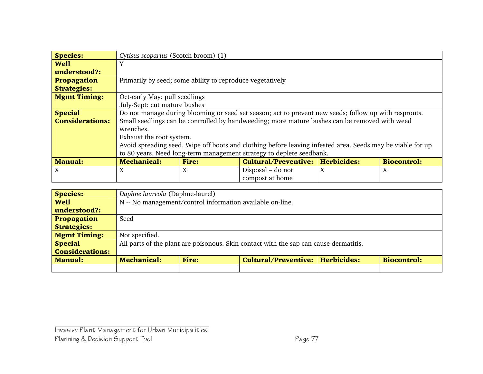| <b>Species:</b>        | Cytisus scoparius (Scotch broom) (1)                      |              |                                                                                                            |   |                    |
|------------------------|-----------------------------------------------------------|--------------|------------------------------------------------------------------------------------------------------------|---|--------------------|
| <b>Well</b>            | Y                                                         |              |                                                                                                            |   |                    |
| understood?:           |                                                           |              |                                                                                                            |   |                    |
| <b>Propagation</b>     | Primarily by seed; some ability to reproduce vegetatively |              |                                                                                                            |   |                    |
| <b>Strategies:</b>     |                                                           |              |                                                                                                            |   |                    |
| <b>Mgmt Timing:</b>    | Oct-early May: pull seedlings                             |              |                                                                                                            |   |                    |
|                        | July-Sept: cut mature bushes                              |              |                                                                                                            |   |                    |
| <b>Special</b>         |                                                           |              | Do not manage during blooming or seed set season; act to prevent new seeds; follow up with resprouts.      |   |                    |
| <b>Considerations:</b> |                                                           |              | Small seedlings can be controlled by handweeding; more mature bushes can be removed with weed              |   |                    |
|                        | wrenches.                                                 |              |                                                                                                            |   |                    |
|                        | Exhaust the root system.                                  |              |                                                                                                            |   |                    |
|                        |                                                           |              | Avoid spreading seed. Wipe off boots and clothing before leaving infested area. Seeds may be viable for up |   |                    |
|                        |                                                           |              | to 80 years. Need long-term management strategy to deplete seedbank.                                       |   |                    |
| <b>Manual:</b>         | <b>Mechanical:</b>                                        | <b>Fire:</b> | <b>Cultural/Preventive:   Herbicides:</b>                                                                  |   | <b>Biocontrol:</b> |
| X                      | X                                                         | X            | Disposal – do not                                                                                          | X | X                  |
|                        |                                                           |              | compost at home                                                                                            |   |                    |

| <b>Species:</b>        |                                                           | Daphne laureola (Daphne-laurel) |                                                                                       |  |                    |  |  |
|------------------------|-----------------------------------------------------------|---------------------------------|---------------------------------------------------------------------------------------|--|--------------------|--|--|
| <b>Well</b>            | N -- No management/control information available on-line. |                                 |                                                                                       |  |                    |  |  |
| understood?:           |                                                           |                                 |                                                                                       |  |                    |  |  |
| Propagation            | Seed                                                      |                                 |                                                                                       |  |                    |  |  |
| <b>Strategies:</b>     |                                                           |                                 |                                                                                       |  |                    |  |  |
| <b>Mgmt Timing:</b>    | Not specified.                                            |                                 |                                                                                       |  |                    |  |  |
| <b>Special</b>         |                                                           |                                 | All parts of the plant are poisonous. Skin contact with the sap can cause dermatitis. |  |                    |  |  |
| <b>Considerations:</b> |                                                           |                                 |                                                                                       |  |                    |  |  |
| <b>Manual:</b>         | <b>Mechanical:</b>                                        | <b>Fire:</b>                    | Cultural/Preventive:   Herbicides:                                                    |  | <b>Biocontrol:</b> |  |  |
|                        |                                                           |                                 |                                                                                       |  |                    |  |  |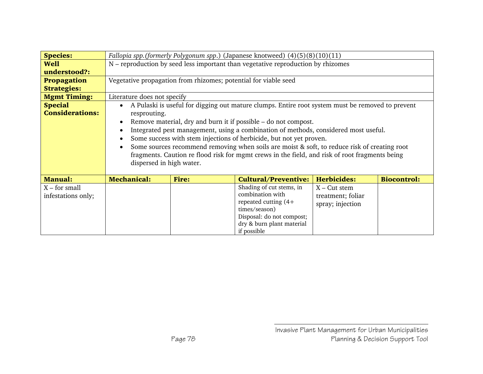| <b>Species:</b>        |                             |                                                                 | Fallopia spp.(formerly Polygonum spp.) (Japanese knotweed) (4)(5)(8)(10)(11)                     |                    |                    |
|------------------------|-----------------------------|-----------------------------------------------------------------|--------------------------------------------------------------------------------------------------|--------------------|--------------------|
| <b>Well</b>            |                             |                                                                 | N – reproduction by seed less important than vegetative reproduction by rhizomes                 |                    |                    |
| understood?:           |                             |                                                                 |                                                                                                  |                    |                    |
| <b>Propagation</b>     |                             | Vegetative propagation from rhizomes; potential for viable seed |                                                                                                  |                    |                    |
| <b>Strategies:</b>     |                             |                                                                 |                                                                                                  |                    |                    |
| <b>Mgmt Timing:</b>    | Literature does not specify |                                                                 |                                                                                                  |                    |                    |
| <b>Special</b>         | $\bullet$                   |                                                                 | A Pulaski is useful for digging out mature clumps. Entire root system must be removed to prevent |                    |                    |
| <b>Considerations:</b> | resprouting.                |                                                                 |                                                                                                  |                    |                    |
|                        | $\bullet$                   |                                                                 | Remove material, dry and burn it if possible – do not compost.                                   |                    |                    |
|                        |                             |                                                                 | Integrated pest management, using a combination of methods, considered most useful.              |                    |                    |
|                        | $\bullet$                   |                                                                 | Some success with stem injections of herbicide, but not yet proven.                              |                    |                    |
|                        | $\bullet$                   |                                                                 | Some sources recommend removing when soils are moist & soft, to reduce risk of creating root     |                    |                    |
|                        |                             |                                                                 | fragments. Caution re flood risk for mgmt crews in the field, and risk of root fragments being   |                    |                    |
|                        | dispersed in high water.    |                                                                 |                                                                                                  |                    |                    |
|                        |                             |                                                                 |                                                                                                  |                    |                    |
| <b>Manual:</b>         | <b>Mechanical:</b>          | <b>Fire:</b>                                                    | <b>Cultural/Preventive:</b>                                                                      | <b>Herbicides:</b> | <b>Biocontrol:</b> |
| $X$ – for small        |                             |                                                                 | Shading of cut stems, in                                                                         | $X - Cut$ stem     |                    |
| infestations only;     |                             |                                                                 | combination with                                                                                 | treatment; foliar  |                    |
|                        |                             |                                                                 | repeated cutting $(4+)$                                                                          | spray; injection   |                    |
|                        |                             |                                                                 | times/season)                                                                                    |                    |                    |
|                        |                             |                                                                 | Disposal: do not compost;                                                                        |                    |                    |
|                        |                             |                                                                 | dry & burn plant material                                                                        |                    |                    |
|                        |                             |                                                                 | if possible                                                                                      |                    |                    |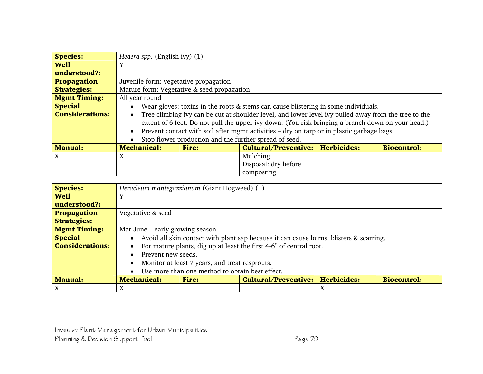| <b>Species:</b>        | Hedera spp. (English ivy) (1)              |                                                                                                   |                                                                                                      |  |                    |  |  |
|------------------------|--------------------------------------------|---------------------------------------------------------------------------------------------------|------------------------------------------------------------------------------------------------------|--|--------------------|--|--|
| <b>Well</b>            | Y                                          |                                                                                                   |                                                                                                      |  |                    |  |  |
| understood?:           |                                            |                                                                                                   |                                                                                                      |  |                    |  |  |
| <b>Propagation</b>     | Juvenile form: vegetative propagation      |                                                                                                   |                                                                                                      |  |                    |  |  |
| <b>Strategies:</b>     | Mature form: Vegetative & seed propagation |                                                                                                   |                                                                                                      |  |                    |  |  |
| <b>Mgmt Timing:</b>    | All year round                             |                                                                                                   |                                                                                                      |  |                    |  |  |
| <b>Special</b>         | $\bullet$                                  |                                                                                                   | Wear gloves: toxins in the roots & stems can cause blistering in some individuals.                   |  |                    |  |  |
| <b>Considerations:</b> | $\bullet$                                  |                                                                                                   | Tree climbing ivy can be cut at shoulder level, and lower level ivy pulled away from the tree to the |  |                    |  |  |
|                        |                                            | extent of 6 feet. Do not pull the upper ivy down. (You risk bringing a branch down on your head.) |                                                                                                      |  |                    |  |  |
|                        | $\bullet$                                  |                                                                                                   | Prevent contact with soil after mgmt activities - dry on tarp or in plastic garbage bags.            |  |                    |  |  |
|                        |                                            |                                                                                                   | Stop flower production and the further spread of seed.                                               |  |                    |  |  |
| <b>Manual:</b>         | <b>Mechanical:</b>                         | <b>Fire:</b>                                                                                      | Cultural/Preventive:   Herbicides:                                                                   |  | <b>Biocontrol:</b> |  |  |
| X                      | X                                          |                                                                                                   | Mulching                                                                                             |  |                    |  |  |
|                        |                                            |                                                                                                   | Disposal: dry before                                                                                 |  |                    |  |  |
|                        |                                            |                                                                                                   | composting                                                                                           |  |                    |  |  |

| <b>Species:</b>        |                                 | Heracleum mantegazzianum (Giant Hogweed) (1)    |                                                                                        |   |                    |  |  |  |
|------------------------|---------------------------------|-------------------------------------------------|----------------------------------------------------------------------------------------|---|--------------------|--|--|--|
| <b>Well</b>            | Y                               |                                                 |                                                                                        |   |                    |  |  |  |
| understood?:           |                                 |                                                 |                                                                                        |   |                    |  |  |  |
| <b>Propagation</b>     | Vegetative & seed               |                                                 |                                                                                        |   |                    |  |  |  |
| <b>Strategies:</b>     |                                 |                                                 |                                                                                        |   |                    |  |  |  |
| <b>Mgmt Timing:</b>    | Mar-June – early growing season |                                                 |                                                                                        |   |                    |  |  |  |
| <b>Special</b>         | $\bullet$                       |                                                 | Avoid all skin contact with plant sap because it can cause burns, blisters & scarring. |   |                    |  |  |  |
| <b>Considerations:</b> | $\bullet$                       |                                                 | For mature plants, dig up at least the first 4-6" of central root.                     |   |                    |  |  |  |
|                        | Prevent new seeds.<br>$\bullet$ |                                                 |                                                                                        |   |                    |  |  |  |
|                        | $\bullet$                       | Monitor at least 7 years, and treat resprouts.  |                                                                                        |   |                    |  |  |  |
|                        | $\bullet$                       | Use more than one method to obtain best effect. |                                                                                        |   |                    |  |  |  |
| <b>Manual:</b>         | <b>Mechanical:</b>              | <b>Fire:</b>                                    | <b>Cultural/Preventive:   Herbicides:</b>                                              |   | <b>Biocontrol:</b> |  |  |  |
|                        | Χ                               |                                                 |                                                                                        | X |                    |  |  |  |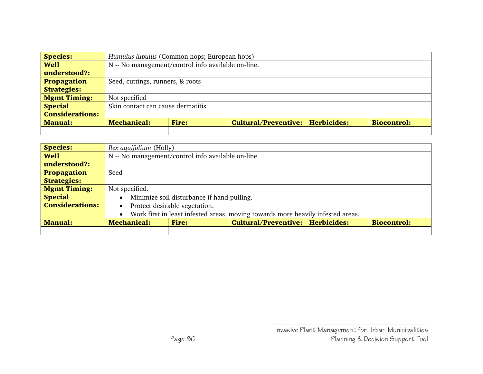| <b>Species:</b>        |                                                    | Humulus lupulus (Common hops; European hops) |                                    |  |                    |  |  |
|------------------------|----------------------------------------------------|----------------------------------------------|------------------------------------|--|--------------------|--|--|
| <b>Well</b>            | N -- No management/control info available on-line. |                                              |                                    |  |                    |  |  |
| understood?:           |                                                    |                                              |                                    |  |                    |  |  |
| Propagation            | Seed, cuttings, runners, & roots                   |                                              |                                    |  |                    |  |  |
| <b>Strategies:</b>     |                                                    |                                              |                                    |  |                    |  |  |
| <b>Mgmt Timing:</b>    | Not specified                                      |                                              |                                    |  |                    |  |  |
| <b>Special</b>         | Skin contact can cause dermatitis.                 |                                              |                                    |  |                    |  |  |
| <b>Considerations:</b> |                                                    |                                              |                                    |  |                    |  |  |
| <b>Manual:</b>         | <b>Mechanical:</b>                                 | <b>Fire:</b>                                 | Cultural/Preventive:   Herbicides: |  | <b>Biocontrol:</b> |  |  |
|                        |                                                    |                                              |                                    |  |                    |  |  |

| <b>Species:</b>        |                                                    | <i>Ilex aquifolium</i> (Holly)                                                  |                                    |  |                    |  |  |
|------------------------|----------------------------------------------------|---------------------------------------------------------------------------------|------------------------------------|--|--------------------|--|--|
| <b>Well</b>            | N -- No management/control info available on-line. |                                                                                 |                                    |  |                    |  |  |
| understood?:           |                                                    |                                                                                 |                                    |  |                    |  |  |
| <b>Propagation</b>     | Seed                                               |                                                                                 |                                    |  |                    |  |  |
| <b>Strategies:</b>     |                                                    |                                                                                 |                                    |  |                    |  |  |
| <b>Mgmt Timing:</b>    | Not specified.                                     |                                                                                 |                                    |  |                    |  |  |
| <b>Special</b>         | $\bullet$                                          | Minimize soil disturbance if hand pulling.                                      |                                    |  |                    |  |  |
| <b>Considerations:</b> | $\bullet$                                          | Protect desirable vegetation.                                                   |                                    |  |                    |  |  |
|                        | $\bullet$                                          | Work first in least infested areas, moving towards more heavily infested areas. |                                    |  |                    |  |  |
| <b>Manual:</b>         | <b>Mechanical:</b>                                 | <b>Fire:</b>                                                                    | Cultural/Preventive:   Herbicides: |  | <b>Biocontrol:</b> |  |  |
|                        |                                                    |                                                                                 |                                    |  |                    |  |  |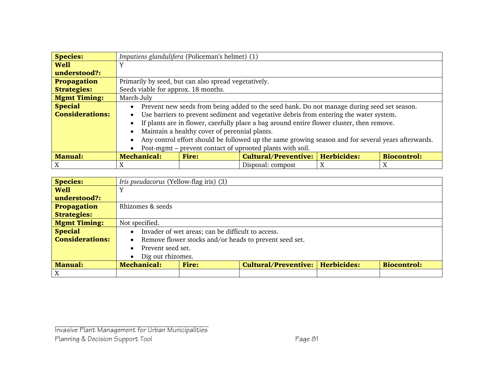| <b>Species:</b>        |                                                      | Impatiens glandulifera (Policeman's helmet) (1) |                                                                                                    |   |                    |  |  |  |
|------------------------|------------------------------------------------------|-------------------------------------------------|----------------------------------------------------------------------------------------------------|---|--------------------|--|--|--|
| <b>Well</b>            | Y                                                    |                                                 |                                                                                                    |   |                    |  |  |  |
| understood?:           |                                                      |                                                 |                                                                                                    |   |                    |  |  |  |
| <b>Propagation</b>     | Primarily by seed, but can also spread vegetatively. |                                                 |                                                                                                    |   |                    |  |  |  |
| <b>Strategies:</b>     | Seeds viable for approx. 18 months.                  |                                                 |                                                                                                    |   |                    |  |  |  |
| <b>Mgmt Timing:</b>    | March-July                                           |                                                 |                                                                                                    |   |                    |  |  |  |
| <b>Special</b>         | $\bullet$                                            |                                                 | Prevent new seeds from being added to the seed bank. Do not manage during seed set season.         |   |                    |  |  |  |
| <b>Considerations:</b> | $\bullet$                                            |                                                 | Use barriers to prevent sediment and vegetative debris from entering the water system.             |   |                    |  |  |  |
|                        | $\bullet$                                            |                                                 | If plants are in flower, carefully place a bag around entire flower cluster, then remove.          |   |                    |  |  |  |
|                        | $\bullet$                                            | Maintain a healthy cover of perennial plants.   |                                                                                                    |   |                    |  |  |  |
|                        | $\bullet$                                            |                                                 | Any control effort should be followed up the same growing season and for several years afterwards. |   |                    |  |  |  |
|                        | $\bullet$                                            |                                                 | Post-mgmt – prevent contact of uprooted plants with soil.                                          |   |                    |  |  |  |
| <b>Manual:</b>         | <b>Mechanical:</b>                                   | <b>Fire:</b>                                    | <b>Cultural/Preventive:   Herbicides:</b>                                                          |   | <b>Biocontrol:</b> |  |  |  |
| Χ                      | X                                                    |                                                 | Disposal: compost                                                                                  | X | X                  |  |  |  |

| <b>Species:</b>        |                                | <i>Iris pseudacorus</i> (Yellow-flag iris) (3)    |                                                        |  |                    |  |  |  |  |  |
|------------------------|--------------------------------|---------------------------------------------------|--------------------------------------------------------|--|--------------------|--|--|--|--|--|
| <b>Well</b>            |                                |                                                   |                                                        |  |                    |  |  |  |  |  |
| understood?:           |                                |                                                   |                                                        |  |                    |  |  |  |  |  |
| Propagation            | Rhizomes & seeds               |                                                   |                                                        |  |                    |  |  |  |  |  |
| <b>Strategies:</b>     |                                |                                                   |                                                        |  |                    |  |  |  |  |  |
| <b>Mgmt Timing:</b>    | Not specified.                 |                                                   |                                                        |  |                    |  |  |  |  |  |
| <b>Special</b>         | $\bullet$                      | Invader of wet areas; can be difficult to access. |                                                        |  |                    |  |  |  |  |  |
| <b>Considerations:</b> | $\bullet$                      |                                                   | Remove flower stocks and/or heads to prevent seed set. |  |                    |  |  |  |  |  |
|                        | Prevent seed set.<br>$\bullet$ |                                                   |                                                        |  |                    |  |  |  |  |  |
|                        | $\bullet$                      | Dig out rhizomes.                                 |                                                        |  |                    |  |  |  |  |  |
| <b>Manual:</b>         | <b>Mechanical:</b>             | <b>Fire:</b>                                      | <b>Cultural/Preventive:   Herbicides:</b>              |  | <b>Biocontrol:</b> |  |  |  |  |  |
|                        |                                |                                                   |                                                        |  |                    |  |  |  |  |  |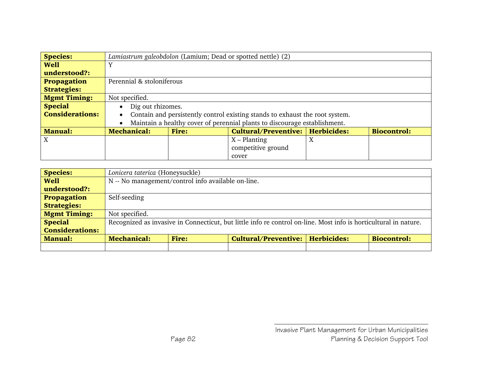| <b>Species:</b>        |                                | Lamiastrum galeobdolon (Lamium; Dead or spotted nettle) (2) |                                                                              |  |                    |  |  |  |  |  |
|------------------------|--------------------------------|-------------------------------------------------------------|------------------------------------------------------------------------------|--|--------------------|--|--|--|--|--|
| <b>Well</b>            |                                |                                                             |                                                                              |  |                    |  |  |  |  |  |
| understood?:           |                                |                                                             |                                                                              |  |                    |  |  |  |  |  |
| <b>Propagation</b>     | Perennial & stoloniferous      |                                                             |                                                                              |  |                    |  |  |  |  |  |
| <b>Strategies:</b>     |                                |                                                             |                                                                              |  |                    |  |  |  |  |  |
| <b>Mgmt Timing:</b>    | Not specified.                 |                                                             |                                                                              |  |                    |  |  |  |  |  |
| <b>Special</b>         | Dig out rhizomes.<br>$\bullet$ |                                                             |                                                                              |  |                    |  |  |  |  |  |
| <b>Considerations:</b> | $\bullet$                      |                                                             | Contain and persistently control existing stands to exhaust the root system. |  |                    |  |  |  |  |  |
|                        | $\bullet$                      |                                                             | Maintain a healthy cover of perennial plants to discourage establishment.    |  |                    |  |  |  |  |  |
| <b>Manual:</b>         | <b>Mechanical:</b>             | Fire:                                                       | Cultural/Preventive:   Herbicides:                                           |  | <b>Biocontrol:</b> |  |  |  |  |  |
| X                      |                                | $X$ – Planting<br>X                                         |                                                                              |  |                    |  |  |  |  |  |
|                        |                                |                                                             | competitive ground                                                           |  |                    |  |  |  |  |  |
|                        |                                |                                                             | cover                                                                        |  |                    |  |  |  |  |  |

| <b>Species:</b>        |                                                                                                | Lonicera taterica (Honeysuckle) |                                                                                                                  |  |  |  |  |  |  |  |
|------------------------|------------------------------------------------------------------------------------------------|---------------------------------|------------------------------------------------------------------------------------------------------------------|--|--|--|--|--|--|--|
| <b>Well</b>            | N -- No management/control info available on-line.                                             |                                 |                                                                                                                  |  |  |  |  |  |  |  |
| understood?:           |                                                                                                |                                 |                                                                                                                  |  |  |  |  |  |  |  |
| Propagation            | Self-seeding                                                                                   |                                 |                                                                                                                  |  |  |  |  |  |  |  |
| <b>Strategies:</b>     |                                                                                                |                                 |                                                                                                                  |  |  |  |  |  |  |  |
| <b>Mgmt Timing:</b>    | Not specified.                                                                                 |                                 |                                                                                                                  |  |  |  |  |  |  |  |
| <b>Special</b>         |                                                                                                |                                 | Recognized as invasive in Connecticut, but little info re control on-line. Most info is horticultural in nature. |  |  |  |  |  |  |  |
| <b>Considerations:</b> |                                                                                                |                                 |                                                                                                                  |  |  |  |  |  |  |  |
| <b>Manual:</b>         | Cultural/Preventive:   Herbicides:<br><b>Biocontrol:</b><br><b>Mechanical:</b><br><b>Fire:</b> |                                 |                                                                                                                  |  |  |  |  |  |  |  |
|                        |                                                                                                |                                 |                                                                                                                  |  |  |  |  |  |  |  |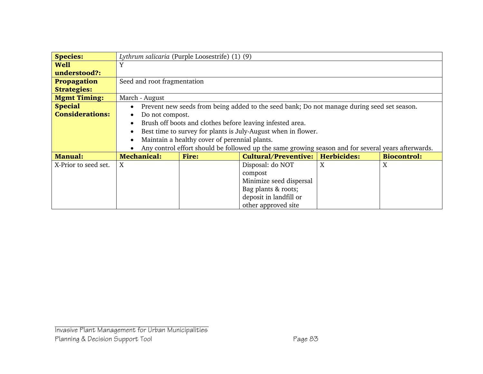| <b>Species:</b>        |                              | Lythrum salicaria (Purple Loosestrife) (1) (9) |                                                                                                    |                    |                    |  |  |  |  |  |  |
|------------------------|------------------------------|------------------------------------------------|----------------------------------------------------------------------------------------------------|--------------------|--------------------|--|--|--|--|--|--|
| <b>Well</b>            | Y                            |                                                |                                                                                                    |                    |                    |  |  |  |  |  |  |
| understood?:           |                              |                                                |                                                                                                    |                    |                    |  |  |  |  |  |  |
| <b>Propagation</b>     | Seed and root fragmentation  |                                                |                                                                                                    |                    |                    |  |  |  |  |  |  |
| <b>Strategies:</b>     |                              |                                                |                                                                                                    |                    |                    |  |  |  |  |  |  |
| <b>Mgmt Timing:</b>    | March - August               |                                                |                                                                                                    |                    |                    |  |  |  |  |  |  |
| <b>Special</b>         | $\bullet$                    |                                                | Prevent new seeds from being added to the seed bank; Do not manage during seed set season.         |                    |                    |  |  |  |  |  |  |
| <b>Considerations:</b> | Do not compost.<br>$\bullet$ |                                                |                                                                                                    |                    |                    |  |  |  |  |  |  |
|                        | $\bullet$                    |                                                | Brush off boots and clothes before leaving infested area.                                          |                    |                    |  |  |  |  |  |  |
|                        | $\bullet$                    |                                                | Best time to survey for plants is July-August when in flower.                                      |                    |                    |  |  |  |  |  |  |
|                        | $\bullet$                    | Maintain a healthy cover of perennial plants.  |                                                                                                    |                    |                    |  |  |  |  |  |  |
|                        | $\bullet$                    |                                                | Any control effort should be followed up the same growing season and for several years afterwards. |                    |                    |  |  |  |  |  |  |
| <b>Manual:</b>         | <b>Mechanical:</b>           | <b>Fire:</b>                                   | <b>Cultural/Preventive:</b>                                                                        | <b>Herbicides:</b> | <b>Biocontrol:</b> |  |  |  |  |  |  |
| X-Prior to seed set.   | X                            |                                                | Disposal: do NOT                                                                                   | X                  | X                  |  |  |  |  |  |  |
|                        |                              |                                                | compost                                                                                            |                    |                    |  |  |  |  |  |  |
|                        |                              | Minimize seed dispersal                        |                                                                                                    |                    |                    |  |  |  |  |  |  |
|                        |                              |                                                | Bag plants & roots;                                                                                |                    |                    |  |  |  |  |  |  |
|                        |                              |                                                | deposit in landfill or                                                                             |                    |                    |  |  |  |  |  |  |
|                        |                              |                                                | other approved site                                                                                |                    |                    |  |  |  |  |  |  |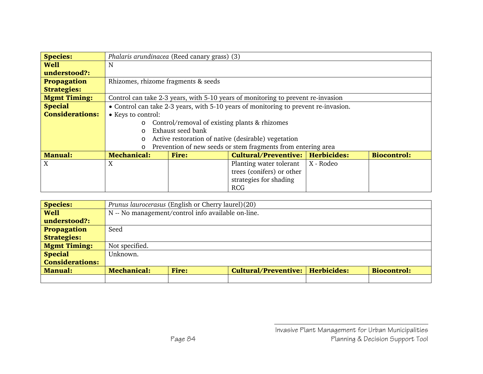| <b>Species:</b>        | Phalaris arundinacea (Reed canary grass) (3) |                                               |                                                                                     |           |                    |  |  |  |  |
|------------------------|----------------------------------------------|-----------------------------------------------|-------------------------------------------------------------------------------------|-----------|--------------------|--|--|--|--|
| <b>Well</b>            | N                                            |                                               |                                                                                     |           |                    |  |  |  |  |
| understood?:           |                                              |                                               |                                                                                     |           |                    |  |  |  |  |
| <b>Propagation</b>     | Rhizomes, rhizome fragments & seeds          |                                               |                                                                                     |           |                    |  |  |  |  |
| <b>Strategies:</b>     |                                              |                                               |                                                                                     |           |                    |  |  |  |  |
| <b>Mgmt Timing:</b>    |                                              |                                               | Control can take 2-3 years, with 5-10 years of monitoring to prevent re-invasion    |           |                    |  |  |  |  |
| <b>Special</b>         |                                              |                                               | • Control can take 2-3 years, with 5-10 years of monitoring to prevent re-invasion. |           |                    |  |  |  |  |
| <b>Considerations:</b> | • Keys to control:                           |                                               |                                                                                     |           |                    |  |  |  |  |
|                        | $\circ$                                      | Control/removal of existing plants & rhizomes |                                                                                     |           |                    |  |  |  |  |
|                        | $\Omega$                                     | Exhaust seed bank                             |                                                                                     |           |                    |  |  |  |  |
|                        | O                                            |                                               | Active restoration of native (desirable) vegetation                                 |           |                    |  |  |  |  |
|                        | O                                            |                                               | Prevention of new seeds or stem fragments from entering area                        |           |                    |  |  |  |  |
| <b>Manual:</b>         | <b>Mechanical:</b>                           | <b>Fire:</b>                                  | Cultural/Preventive:   Herbicides:                                                  |           | <b>Biocontrol:</b> |  |  |  |  |
| X                      | X                                            |                                               | Planting water tolerant                                                             | X - Rodeo |                    |  |  |  |  |
|                        |                                              |                                               | trees (conifers) or other                                                           |           |                    |  |  |  |  |
|                        |                                              |                                               | strategies for shading                                                              |           |                    |  |  |  |  |
|                        |                                              |                                               | <b>RCG</b>                                                                          |           |                    |  |  |  |  |

| <b>Species:</b>        | Prunus laurocerasus (English or Cherry laurel)(20)                                             |  |  |  |  |  |  |  |
|------------------------|------------------------------------------------------------------------------------------------|--|--|--|--|--|--|--|
| <b>Well</b>            | N -- No management/control info available on-line.                                             |  |  |  |  |  |  |  |
| understood?:           |                                                                                                |  |  |  |  |  |  |  |
| <b>Propagation</b>     | Seed                                                                                           |  |  |  |  |  |  |  |
| <b>Strategies:</b>     |                                                                                                |  |  |  |  |  |  |  |
| <b>Mgmt Timing:</b>    | Not specified.                                                                                 |  |  |  |  |  |  |  |
| <b>Special</b>         | Unknown.                                                                                       |  |  |  |  |  |  |  |
| <b>Considerations:</b> |                                                                                                |  |  |  |  |  |  |  |
| <b>Manual:</b>         | Cultural/Preventive:   Herbicides:<br><b>Biocontrol:</b><br><b>Mechanical:</b><br><b>Fire:</b> |  |  |  |  |  |  |  |
|                        |                                                                                                |  |  |  |  |  |  |  |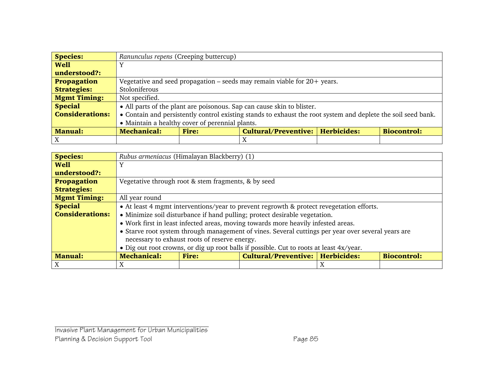| <b>Species:</b>        |                    | Ranunculus repens (Creeping buttercup)                                   |                                                                                                               |  |  |  |  |  |  |  |
|------------------------|--------------------|--------------------------------------------------------------------------|---------------------------------------------------------------------------------------------------------------|--|--|--|--|--|--|--|
| <b>Well</b>            | Y                  |                                                                          |                                                                                                               |  |  |  |  |  |  |  |
| understood?:           |                    |                                                                          |                                                                                                               |  |  |  |  |  |  |  |
| <b>Propagation</b>     |                    |                                                                          | Vegetative and seed propagation – seeds may remain viable for $20+$ years.                                    |  |  |  |  |  |  |  |
| <b>Strategies:</b>     | Stoloniferous      |                                                                          |                                                                                                               |  |  |  |  |  |  |  |
| <b>Mgmt Timing:</b>    | Not specified.     |                                                                          |                                                                                                               |  |  |  |  |  |  |  |
| <b>Special</b>         |                    |                                                                          | • All parts of the plant are poisonous. Sap can cause skin to blister.                                        |  |  |  |  |  |  |  |
| <b>Considerations:</b> |                    |                                                                          | • Contain and persistently control existing stands to exhaust the root system and deplete the soil seed bank. |  |  |  |  |  |  |  |
|                        |                    | • Maintain a healthy cover of perennial plants.                          |                                                                                                               |  |  |  |  |  |  |  |
| <b>Manual:</b>         | <b>Mechanical:</b> | Cultural/Preventive:   Herbicides:<br><b>Biocontrol:</b><br><b>Fire:</b> |                                                                                                               |  |  |  |  |  |  |  |
|                        |                    |                                                                          | X                                                                                                             |  |  |  |  |  |  |  |

| <b>Species:</b>        | Rubus armeniacus (Himalayan Blackberry) (1)         |                                               |                                                                                                    |   |                    |  |  |  |  |  |  |
|------------------------|-----------------------------------------------------|-----------------------------------------------|----------------------------------------------------------------------------------------------------|---|--------------------|--|--|--|--|--|--|
| <b>Well</b>            | Y                                                   |                                               |                                                                                                    |   |                    |  |  |  |  |  |  |
| understood?:           |                                                     |                                               |                                                                                                    |   |                    |  |  |  |  |  |  |
| <b>Propagation</b>     | Vegetative through root & stem fragments, & by seed |                                               |                                                                                                    |   |                    |  |  |  |  |  |  |
| <b>Strategies:</b>     |                                                     |                                               |                                                                                                    |   |                    |  |  |  |  |  |  |
| <b>Mgmt Timing:</b>    | All year round                                      |                                               |                                                                                                    |   |                    |  |  |  |  |  |  |
| <b>Special</b>         |                                                     |                                               | • At least 4 mgmt interventions/year to prevent regrowth & protect revegetation efforts.           |   |                    |  |  |  |  |  |  |
| <b>Considerations:</b> |                                                     |                                               | • Minimize soil disturbance if hand pulling; protect desirable vegetation.                         |   |                    |  |  |  |  |  |  |
|                        |                                                     |                                               | • Work first in least infected areas, moving towards more heavily infested areas.                  |   |                    |  |  |  |  |  |  |
|                        |                                                     |                                               | • Starve root system through management of vines. Several cuttings per year over several years are |   |                    |  |  |  |  |  |  |
|                        |                                                     | necessary to exhaust roots of reserve energy. |                                                                                                    |   |                    |  |  |  |  |  |  |
|                        |                                                     |                                               | • Dig out root crowns, or dig up root balls if possible. Cut to roots at least 4x/year.            |   |                    |  |  |  |  |  |  |
| <b>Manual:</b>         | <b>Mechanical:</b>                                  | <b>Fire:</b>                                  | Cultural/Preventive:   Herbicides:                                                                 |   | <b>Biocontrol:</b> |  |  |  |  |  |  |
| X                      | Χ                                                   |                                               |                                                                                                    | X |                    |  |  |  |  |  |  |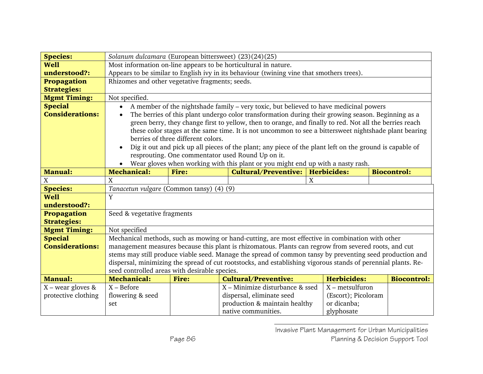| <b>Species:</b>        |                                                                                           | Solanum dulcamara (European bittersweet) (23)(24)(25) |                                                                                                               |                     |                    |  |  |  |  |  |
|------------------------|-------------------------------------------------------------------------------------------|-------------------------------------------------------|---------------------------------------------------------------------------------------------------------------|---------------------|--------------------|--|--|--|--|--|
| <b>Well</b>            | Most information on-line appears to be horticultural in nature.                           |                                                       |                                                                                                               |                     |                    |  |  |  |  |  |
| understood?:           | Appears to be similar to English ivy in its behaviour (twining vine that smothers trees). |                                                       |                                                                                                               |                     |                    |  |  |  |  |  |
| <b>Propagation</b>     | Rhizomes and other vegetative fragments; seeds.                                           |                                                       |                                                                                                               |                     |                    |  |  |  |  |  |
| <b>Strategies:</b>     |                                                                                           |                                                       |                                                                                                               |                     |                    |  |  |  |  |  |
| <b>Mgmt Timing:</b>    | Not specified.                                                                            |                                                       |                                                                                                               |                     |                    |  |  |  |  |  |
| <b>Special</b>         | $\bullet$                                                                                 |                                                       | A member of the nightshade family – very toxic, but believed to have medicinal powers                         |                     |                    |  |  |  |  |  |
| <b>Considerations:</b> | $\bullet$                                                                                 |                                                       | The berries of this plant undergo color transformation during their growing season. Beginning as a            |                     |                    |  |  |  |  |  |
|                        |                                                                                           |                                                       | green berry, they change first to yellow, then to orange, and finally to red. Not all the berries reach       |                     |                    |  |  |  |  |  |
|                        |                                                                                           |                                                       | these color stages at the same time. It is not uncommon to see a bittersweet nightshade plant bearing         |                     |                    |  |  |  |  |  |
|                        |                                                                                           | berries of three different colors.                    |                                                                                                               |                     |                    |  |  |  |  |  |
|                        |                                                                                           |                                                       | Dig it out and pick up all pieces of the plant; any piece of the plant left on the ground is capable of       |                     |                    |  |  |  |  |  |
|                        |                                                                                           |                                                       | resprouting. One commentator used Round Up on it.                                                             |                     |                    |  |  |  |  |  |
|                        |                                                                                           |                                                       | Wear gloves when working with this plant or you might end up with a nasty rash.                               |                     |                    |  |  |  |  |  |
| <b>Manual:</b>         | <b>Mechanical:</b>                                                                        | <b>Fire:</b>                                          | <b>Cultural/Preventive:</b>                                                                                   | <b>Herbicides:</b>  | <b>Biocontrol:</b> |  |  |  |  |  |
| X                      | X                                                                                         |                                                       |                                                                                                               | X                   |                    |  |  |  |  |  |
| <b>Species:</b>        | Tanacetun vulgare (Common tansy) (4) (9)                                                  |                                                       |                                                                                                               |                     |                    |  |  |  |  |  |
| <b>Well</b>            | Y                                                                                         |                                                       |                                                                                                               |                     |                    |  |  |  |  |  |
| understood?:           |                                                                                           |                                                       |                                                                                                               |                     |                    |  |  |  |  |  |
| Propagation            | Seed & vegetative fragments                                                               |                                                       |                                                                                                               |                     |                    |  |  |  |  |  |
| <b>Strategies:</b>     |                                                                                           |                                                       |                                                                                                               |                     |                    |  |  |  |  |  |
| <b>Mgmt Timing:</b>    | Not specified                                                                             |                                                       |                                                                                                               |                     |                    |  |  |  |  |  |
| <b>Special</b>         |                                                                                           |                                                       | Mechanical methods, such as mowing or hand-cutting, are most effective in combination with other              |                     |                    |  |  |  |  |  |
| <b>Considerations:</b> |                                                                                           |                                                       | management measures because this plant is rhizomatous. Plants can regrow from severed roots, and cut          |                     |                    |  |  |  |  |  |
|                        |                                                                                           |                                                       | stems may still produce viable seed. Manage the spread of common tansy by preventing seed production and      |                     |                    |  |  |  |  |  |
|                        |                                                                                           |                                                       | dispersal, minimizing the spread of cut rootstocks, and establishing vigorous stands of perennial plants. Re- |                     |                    |  |  |  |  |  |
|                        | seed controlled areas with desirable species.                                             |                                                       |                                                                                                               |                     |                    |  |  |  |  |  |
| <b>Manual:</b>         | <b>Mechanical:</b>                                                                        | <b>Fire:</b>                                          | <b>Cultural/Preventive:</b>                                                                                   | <b>Herbicides:</b>  | <b>Biocontrol:</b> |  |  |  |  |  |
| $X$ – wear gloves &    | $X - Before$                                                                              |                                                       | X - Minimize disturbance & ssed                                                                               | $X$ – metsulfuron   |                    |  |  |  |  |  |
| protective clothing    | flowering & seed                                                                          |                                                       | dispersal, eliminate seed                                                                                     | (Escort); Picoloram |                    |  |  |  |  |  |
|                        | set                                                                                       |                                                       | production & maintain healthy                                                                                 | or dicanba;         |                    |  |  |  |  |  |
|                        |                                                                                           |                                                       | native communities.                                                                                           | glyphosate          |                    |  |  |  |  |  |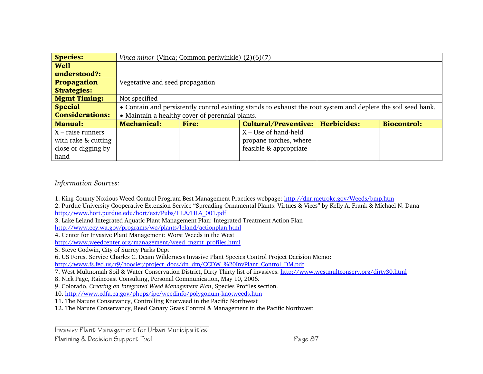| <b>Species:</b>        |                                                 | Vinca minor (Vinca; Common periwinkle) $(2)(6)(7)$                                                            |                                           |  |                    |  |  |  |  |  |
|------------------------|-------------------------------------------------|---------------------------------------------------------------------------------------------------------------|-------------------------------------------|--|--------------------|--|--|--|--|--|
| <b>Well</b>            |                                                 |                                                                                                               |                                           |  |                    |  |  |  |  |  |
| understood?:           |                                                 |                                                                                                               |                                           |  |                    |  |  |  |  |  |
| <b>Propagation</b>     |                                                 | Vegetative and seed propagation                                                                               |                                           |  |                    |  |  |  |  |  |
| <b>Strategies:</b>     |                                                 |                                                                                                               |                                           |  |                    |  |  |  |  |  |
| <b>Mgmt Timing:</b>    | Not specified                                   |                                                                                                               |                                           |  |                    |  |  |  |  |  |
| <b>Special</b>         |                                                 | • Contain and persistently control existing stands to exhaust the root system and deplete the soil seed bank. |                                           |  |                    |  |  |  |  |  |
| <b>Considerations:</b> | • Maintain a healthy cover of perennial plants. |                                                                                                               |                                           |  |                    |  |  |  |  |  |
| <b>Manual:</b>         | <b>Mechanical:</b>                              | <b>Fire:</b>                                                                                                  | <b>Cultural/Preventive:   Herbicides:</b> |  | <b>Biocontrol:</b> |  |  |  |  |  |
| $X$ – raise runners    |                                                 |                                                                                                               | $X -$ Use of hand-held                    |  |                    |  |  |  |  |  |
| with rake & cutting    | propane torches, where                          |                                                                                                               |                                           |  |                    |  |  |  |  |  |
| close or digging by    |                                                 |                                                                                                               | feasible & appropriate                    |  |                    |  |  |  |  |  |
| hand                   |                                                 |                                                                                                               |                                           |  |                    |  |  |  |  |  |

*Information Sources:*

1. King County Noxious Weed Control Program Best Management Practices webpage: http://dnr.metrokc.gov/Weeds/bmp.htm

2. Purdue University Cooperative Extension Service "Spreading Ornamental Plants: Virtues & Vices" by Kelly A. Frank & Michael N. Dana http://www.hort.purdue.edu/hort/ext/Pubs/HLA/HLA\_001.pdf

3. Lake Leland Integrated Aquatic Plant Management Plan: Integrated Treatment Action Plan

http://www.ecy.wa.gov/programs/wq/plants/leland/actionplan.html

4. Center for Invasive Plant Management: Worst Weeds in the West

http://www.weedcenter.org/management/weed\_mgmt\_profiles.html

5. Steve Godwin, City of Surrey Parks Dept

6. US Forest Service Charles C. Deam Wilderness Invasive Plant Species Control Project Decision Memo:

http://www.fs.fed.us/r9/hoosier/project\_docs/dn\_dm/CCDW\_%20InvPlant\_Control\_DM.pdf

7. West Multnomah Soil & Water Conservation District, Dirty Thirty list of invasives. http://www.westmultconserv.org/dirty30.html

8. Nick Page, Raincoast Consulting, Personal Communication, May 10, 2006.

9. Colorado, *Creating an Integrated Weed Management Plan*, Species Profiles section.

10. http://www.cdfa.ca.gov/phpps/ipc/weedinfo/polygonum-knotweeds.htm

11. The Nature Conservancy, Controlling Knotweed in the Pacific Northwest

12. The Nature Conservancy, Reed Canary Grass Control & Management in the Pacific Northwest

Invasive Plant Management for Urban Municipalities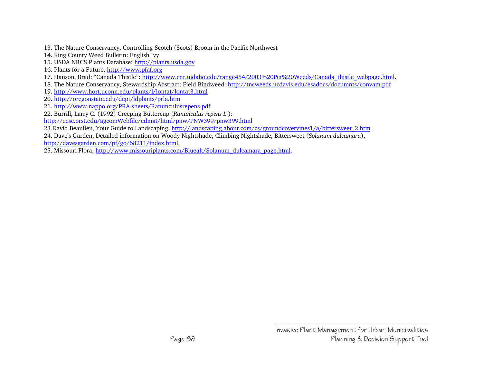- 13. The Nature Conservancy, Controlling Scotch (Scots) Broom in the Pacific Northwest
- 14. King County Weed Bulletin: English Ivy
- 15. USDA NRCS Plants Database: http://plants.usda.gov
- 16. Plants for a Future, http://www.pfaf.org
- 17. Hanson, Brad: "Canada Thistle": http://www.cnr.uidaho.edu/range454/2003%20Pet%20Weeds/Canada\_thistle\_webpage.html.
- 18. The Nature Conservancy, Stewardship Abstract: Field Bindweed: http://tncweeds.ucdavis.edu/esadocs/documnts/convam.pdf
- 19. http://www.hort.uconn.edu/plants/l/lontat/lontat3.html
- 20. http://oregonstate.edu/dept/ldplants/prla.htm
- 21. http://www.nappo.org/PRA-sheets/Ranunculusrepens.pdf
- 22. Burrill, Larry C. (1992) Creeping Buttercup (*Ranunculus repens L.*):
- http://eesc.orst.edu/agcomWebfile/edmat/html/pnw/PNW399/pnw399.html
- 23.David Beaulieu, Your Guide to Landscaping, http://landscaping.about.com/cs/groundcovervines1/a/bittersweet 2.htm .
- 24. Dave's Garden, Detailed information on Woody Nightshade, Climbing Nightshade, Bittersweet (*Solanum dulcamara*), http://davesgarden.com/pf/go/68211/index.html.
- 25. Missouri Flora, http://www.missouriplants.com/Bluealt/Solanum\_dulcamara\_page.html.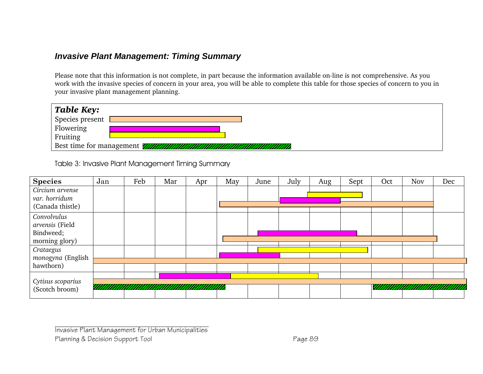### *Invasive Plant Management: Timing Summary*

Please note that this information is not complete, in part because the information available on-line is not comprehensive. As you work with the invasive species of concern in your area, you will be able to complete this table for those species of concern to you in your invasive plant management planning.

| <b>Table Key:</b>     |                                                                  |
|-----------------------|------------------------------------------------------------------|
| Species present       |                                                                  |
|                       |                                                                  |
| Flowering<br>Fruiting |                                                                  |
|                       | Best time for management <i>WANNAMANAMANAMANAMANAMANAMANAMAN</i> |

Table 3: Invasive Plant Management Timing Summary

| <b>Species</b>    | Jan | Feb | Mar | Apr | May | June | July | Aug | Sept | Oct | <b>Nov</b> | Dec |
|-------------------|-----|-----|-----|-----|-----|------|------|-----|------|-----|------------|-----|
| Circium arvense   |     |     |     |     |     |      |      |     |      |     |            |     |
| var. horridum     |     |     |     |     |     |      |      |     |      |     |            |     |
| (Canada thistle)  |     |     |     |     |     |      |      |     |      |     |            |     |
| Convolvulus       |     |     |     |     |     |      |      |     |      |     |            |     |
| arvensis (Field   |     |     |     |     |     |      |      |     |      |     |            |     |
| Bindweed;         |     |     |     |     |     |      |      |     |      |     |            |     |
| morning glory)    |     |     |     |     |     |      |      |     |      |     |            |     |
| Crataegus         |     |     |     |     |     |      |      |     |      |     |            |     |
| monogyna (English |     |     |     |     |     |      |      |     |      |     |            |     |
| hawthorn)         |     |     |     |     |     |      |      |     |      |     |            |     |
|                   |     |     |     |     |     |      |      |     |      |     |            |     |
| Cytisus scoparius |     |     |     |     |     |      |      |     |      |     |            |     |
| (Scotch broom)    |     |     |     |     |     |      |      |     |      |     |            |     |

Invasive Plant Management for Urban Municipalities Planning & Decision Support Tool **Page 89**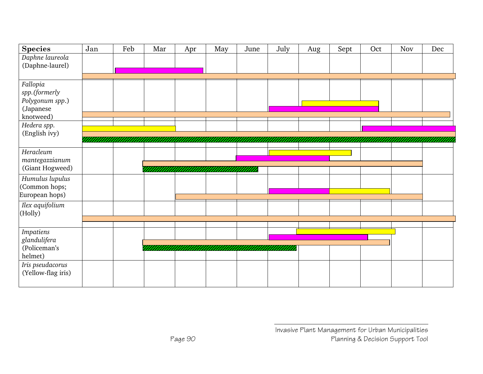| <b>Species</b>     | Jan | Feb | Mar | Apr     | May | June | July | Aug | Sept | Oct | Nov | Dec |  |
|--------------------|-----|-----|-----|---------|-----|------|------|-----|------|-----|-----|-----|--|
| Daphne laureola    |     |     |     |         |     |      |      |     |      |     |     |     |  |
| (Daphne-laurel)    |     |     |     |         |     |      |      |     |      |     |     |     |  |
|                    |     |     |     |         |     |      |      |     |      |     |     |     |  |
| Fallopia           |     |     |     |         |     |      |      |     |      |     |     |     |  |
| spp.(formerly      |     |     |     |         |     |      |      |     |      |     |     |     |  |
| Polygonum spp.)    |     |     |     |         |     |      |      |     |      |     |     |     |  |
| (Japanese          |     |     |     |         |     |      |      |     |      |     |     |     |  |
| knotweed)          |     |     |     |         |     |      |      |     |      |     |     |     |  |
| Hedera spp.        |     |     |     |         |     |      |      |     |      |     |     |     |  |
| (English ivy)      |     |     |     |         |     |      |      |     |      |     |     |     |  |
|                    |     |     |     |         |     |      |      |     |      |     |     |     |  |
| Heracleum          |     |     |     |         |     |      |      |     |      |     |     |     |  |
| mantegazzianum     |     |     |     |         |     |      |      |     |      |     |     |     |  |
| (Giant Hogweed)    |     |     |     |         |     |      |      |     |      |     |     |     |  |
| Humulus lupulus    |     |     |     |         |     |      |      |     |      |     |     |     |  |
| (Common hops;      |     |     |     |         |     |      |      |     |      |     |     |     |  |
| European hops)     |     |     |     |         |     |      |      |     |      |     |     |     |  |
| Ilex aquifolium    |     |     |     |         |     |      |      |     |      |     |     |     |  |
| (Holly)            |     |     |     |         |     |      |      |     |      |     |     |     |  |
|                    |     |     |     |         |     |      |      |     |      |     |     |     |  |
| <b>Impatiens</b>   |     |     |     |         |     |      |      |     |      |     |     |     |  |
| glandulifera       |     |     |     |         |     |      |      |     |      |     |     |     |  |
| (Policeman's       |     |     |     | mmmmmmm |     |      |      |     |      |     |     |     |  |
| helmet)            |     |     |     |         |     |      |      |     |      |     |     |     |  |
| Iris pseudacorus   |     |     |     |         |     |      |      |     |      |     |     |     |  |
| (Yellow-flag iris) |     |     |     |         |     |      |      |     |      |     |     |     |  |
|                    |     |     |     |         |     |      |      |     |      |     |     |     |  |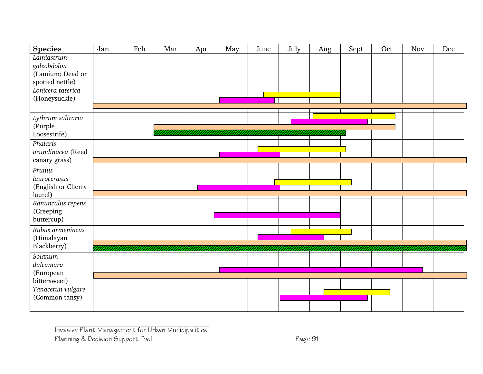| <b>Species</b>     | Jan | Feb | Mar | Apr | May | June | July | Aug | Sept | Oct | Nov | Dec |
|--------------------|-----|-----|-----|-----|-----|------|------|-----|------|-----|-----|-----|
| Lamiastrum         |     |     |     |     |     |      |      |     |      |     |     |     |
| galeobdolon        |     |     |     |     |     |      |      |     |      |     |     |     |
| (Lamium; Dead or   |     |     |     |     |     |      |      |     |      |     |     |     |
| spotted nettle)    |     |     |     |     |     |      |      |     |      |     |     |     |
| Lonicera taterica  |     |     |     |     |     |      |      |     |      |     |     |     |
| (Honeysuckle)      |     |     |     |     |     |      |      |     |      |     |     |     |
|                    |     |     |     |     |     |      |      |     |      |     |     |     |
| Lythrum salicaria  |     |     |     |     |     |      |      |     |      |     |     |     |
| (Purple            |     |     |     |     |     |      |      |     |      |     |     |     |
| Loosestrife)       |     |     |     |     |     |      |      |     |      |     |     |     |
| Phalaris           |     |     |     |     |     |      |      |     |      |     |     |     |
| arundinacea (Reed  |     |     |     |     |     |      |      |     |      |     |     |     |
| canary grass)      |     |     |     |     |     |      |      |     |      |     |     |     |
| Prunus             |     |     |     |     |     |      |      |     |      |     |     |     |
| laurocerasus       |     |     |     |     |     |      |      |     |      |     |     |     |
| (English or Cherry |     |     |     |     |     |      |      |     |      |     |     |     |
| laurel)            |     |     |     |     |     |      |      |     |      |     |     |     |
| Ranunculus repens  |     |     |     |     |     |      |      |     |      |     |     |     |
| (Creeping          |     |     |     |     |     |      |      |     |      |     |     |     |
| buttercup)         |     |     |     |     |     |      |      |     |      |     |     |     |
| Rubus armeniacus   |     |     |     |     |     |      |      |     |      |     |     |     |
| (Himalayan         |     |     |     |     |     |      |      |     |      |     |     |     |
| Blackberry)        |     |     |     |     |     |      |      |     |      |     |     |     |
| Solanum            |     |     |     |     |     |      |      |     |      |     |     |     |
| dulcamara          |     |     |     |     |     |      |      |     |      |     |     |     |
| (European          |     |     |     |     |     |      |      |     |      |     |     |     |
| bittersweet)       |     |     |     |     |     |      |      |     |      |     |     |     |
| Tanacetun vulgare  |     |     |     |     |     |      |      |     |      |     |     |     |
| (Common tansy)     |     |     |     |     |     |      |      |     |      |     |     |     |
|                    |     |     |     |     |     |      |      |     |      |     |     |     |
|                    |     |     |     |     |     |      |      |     |      |     |     |     |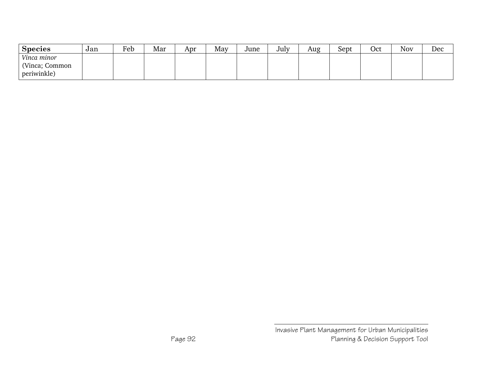| <b>Species</b>    | Jan | Feb | Mar | Apr | May | June | July | Aug | Sept | Oct | <b>Nov</b> | Dec |
|-------------------|-----|-----|-----|-----|-----|------|------|-----|------|-----|------------|-----|
| Vinca minor       |     |     |     |     |     |      |      |     |      |     |            |     |
| (Vinca;<br>Common |     |     |     |     |     |      |      |     |      |     |            |     |
| periwinkle)       |     |     |     |     |     |      |      |     |      |     |            |     |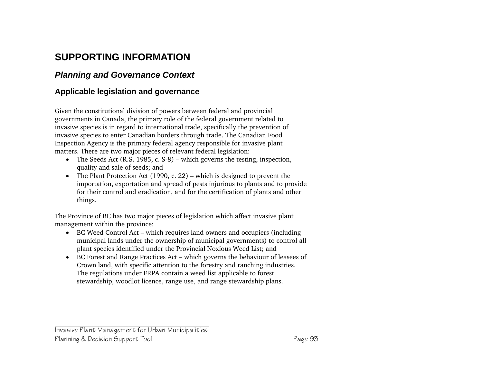## **SUPPORTING INFORMATION**

#### *Planning and Governance Context*

#### **Applicable legislation and governance**

Given the constitutional division of powers between federal and provincial governments in Canada, the primary role of the federal government related to invasive species is in regard to international trade, specifically the prevention of invasive species to enter Canadian borders through trade. The Canadian Food Inspection Agency is the primary federal agency responsible for invasive plant matters. There are two major pieces of relevant federal legislation:

- The Seeds Act (R.S. 1985, c. S-8) which governs the testing, inspection, quality and sale of seeds; and
- The Plant Protection Act (1990, c. 22) which is designed to prevent the importation, exportation and spread of pests injurious to plants and to provide for their control and eradication, and for the certification of plants and other things.

The Province of BC has two major pieces of legislation which affect invasive plant management within the province:

- BC Weed Control Act which requires land owners and occupiers (including municipal lands under the ownership of municipal governments) to control all plant species identified under the Provincial Noxious Weed List; and
- BC Forest and Range Practices Act which governs the behaviour of leasees of Crown land, with specific attention to the forestry and ranching industries. The regulations under FRPA contain a weed list applicable to forest stewardship, woodlot licence, range use, and range stewardship plans.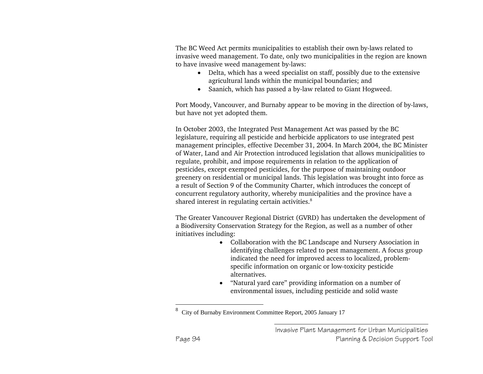The BC Weed Act permits municipalities to establish their own by-laws related to invasive weed management. To date, only two municipalities in the region are known to have invasive weed management by-laws:

- Delta, which has a weed specialist on staff, possibly due to the extensive agricultural lands within the municipal boundaries; and
- Saanich, which has passed a by-law related to Giant Hogweed.

Port Moody, Vancouver, and Burnaby appear to be moving in the direction of by-laws, but have not yet adopted them.

In October 2003, the Integrated Pest Management Act was passed by the BC legislature, requiring all pesticide and herbicide applicators to use integrated pest management principles, effective December 31, 2004. In March 2004, the BC Minister of Water, Land and Air Protection introduced legislation that allows municipalities to regulate, prohibit, and impose requirements in relation to the application of pesticides, except exempted pesticides, for the purpose of maintaining outdoor greenery on residential or municipal lands. This legislation was brought into force as a result of Section 9 of the Community Charter, which introduces the concept of concurrent regulatory authority, whereby municipalities and the province have a shared interest in regulating certain activities.<sup>8</sup>

The Greater Vancouver Regional District (GVRD) has undertaken the development of a Biodiversity Conservation Strategy for the Region, as well as a number of other initiatives including:

- Collaboration with the BC Landscape and Nursery Association in identifying challenges related to pest management. A focus group indicated the need for improved access to localized, problemspecific information on organic or low-toxicity pesticide alternatives.
- "Natural yard care" providing information on a number of environmental issues, including pesticide and solid waste

<sup>8</sup>City of Burnaby Environment Committee Report, 2005 January 17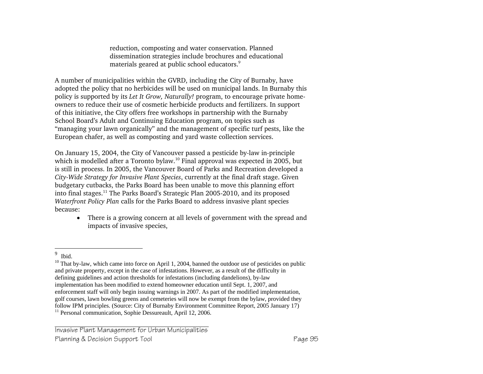reduction, composting and water conservation. Planned dissemination strategies include brochures and educational materials geared at public school educators.<sup>9</sup>

A number of municipalities within the GVRD, including the City of Burnaby, have adopted the policy that no herbicides will be used on municipal lands. In Burnaby this policy is supported by its *Let It Grow, Naturally!* program, to encourage private homeowners to reduce their use of cosmetic herbicide products and fertilizers. In support of this initiative, the City offers free workshops in partnership with the Burnaby School Board's Adult and Continuing Education program, on topics such as "managing your lawn organically" and the management of specific turf pests, like the European chafer, as well as composting and yard waste collection services.

On January 15, 2004, the City of Vancouver passed a pesticide by-law in-principle which is modelled after a Toronto bylaw.<sup>10</sup> Final approval was expected in 2005, but is still in process. In 2005, the Vancouver Board of Parks and Recreation developed a *City-Wide Strategy for Invasive Plant Species*, currently at the final draft stage. Given budgetary cutbacks, the Parks Board has been unable to move this planning effort into final stages.<sup>11</sup> The Parks Board's Strategic Plan 2005-2010, and its proposed *Waterfront Policy Plan* calls for the Parks Board to address invasive plant species because:

• There is a growing concern at all levels of government with the spread and impacts of invasive species,

<sup>9</sup>Ibid.

 $10$  That by-law, which came into force on April 1, 2004, banned the outdoor use of pesticides on public and private property, except in the case of infestations. However, as a result of the difficulty in defining guidelines and action thresholds for infestations (including dandelions), by-law implementation has been modified to extend homeowner education until Sept. 1, 2007, and enforcement staff will only begin issuing warnings in 2007. As part of the modified implementation, golf courses, lawn bowling greens and cemeteries will now be exempt from the bylaw, provided they follow IPM principles. (Source: City of Burnaby Environment Committee Report, 2005 January 17) <sup>11</sup> Personal communication, Sophie Dessureault, April 12, 2006.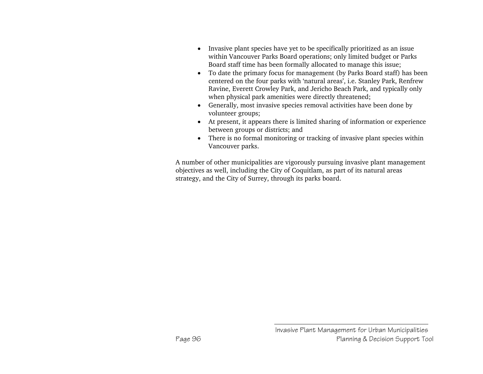- Invasive plant species have yet to be specifically prioritized as an issue within Vancouver Parks Board operations; only limited budget or Parks Board staff time has been formally allocated to manage this issue;
- To date the primary focus for management (by Parks Board staff) has been centered on the four parks with 'natural areas', i.e. Stanley Park, Renfrew Ravine, Everett Crowley Park, and Jericho Beach Park, and typically only when physical park amenities were directly threatened;
- Generally, most invasive species removal activities have been done by volunteer groups;
- At present, it appears there is limited sharing of information or experience between groups or districts; and
- There is no formal monitoring or tracking of invasive plant species within Vancouver parks.

A number of other municipalities are vigorously pursuing invasive plant management objectives as well, including the City of Coquitlam, as part of its natural areas strategy, and the City of Surrey, through its parks board.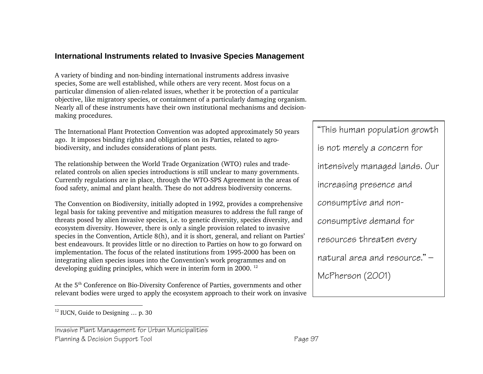#### **International Instruments related to Invasive Species Management**

A variety of binding and non-binding international instruments address invasive species, Some are well established, while others are very recent. Most focus on a particular dimension of alien-related issues, whether it be protection of a particular objective, like migratory species, or containment of a particularly damaging organism. Nearly all of these instruments have their own institutional mechanisms and decisionmaking procedures.

The International Plant Protection Convention was adopted approximately 50 years ago. It imposes binding rights and obligations on its Parties, related to agrobiodiversity, and includes considerations of plant pests.

The relationship between the World Trade Organization (WTO) rules and traderelated controls on alien species introductions is still unclear to many governments. Currently regulations are in place, through the WTO-SPS Agreement in the areas of food safety, animal and plant health. These do not address biodiversity concerns.

The Convention on Biodiversity, initially adopted in 1992, provides a comprehensive legal basis for taking preventive and mitigation measures to address the full range of threats posed by alien invasive species, i.e. to genetic diversity, species diversity, and ecosystem diversity. However, there is only a single provision related to invasive species in the Convention, Article 8(h), and it is short, general, and reliant on Parties' best endeavours. It provides little or no direction to Parties on how to go forward on implementation. The focus of the related institutions from 1995-2000 has been on integrating alien species issues into the Convention's work programmes and on developing guiding principles, which were in interim form in 2000.<sup>12</sup>

At the 5<sup>th</sup> Conference on Bio-Diversity Conference of Parties, governments and other relevant bodies were urged to apply the ecosystem approach to their work on invasive

Invasive Plant Management for Urban Municipalities Planning & Decision Support Tool **Page 97** 

"This human population growth is not merely a concern for intensively managed lands. Our increasing presence and consumptive and nonconsumptive demand for resources threaten every natural area and resource." — McPherson (2001)

 $^{12}$  IUCN, Guide to Designing  $\ldots$  p. 30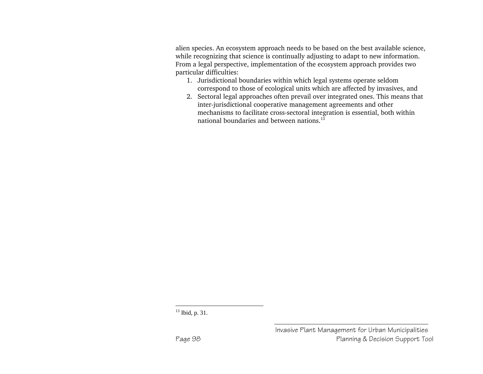alien species. An ecosystem approach needs to be based on the best available science, while recognizing that science is continually adjusting to adapt to new information. From a legal perspective, implementation of the ecosystem approach provides two particular difficulties:

- 1. Jurisdictional boundaries within which legal systems operate seldom correspond to those of ecological units which are affected by invasives, and
- 2. Sectoral legal approaches often prevail over integrated ones. This means that inter-jurisdictional cooperative management agreements and other mechanisms to facilitate cross-sectoral integration is essential, both within national boundaries and between nations.<sup>13</sup>

<sup>&</sup>lt;sup>13</sup> Ibid, p. 31.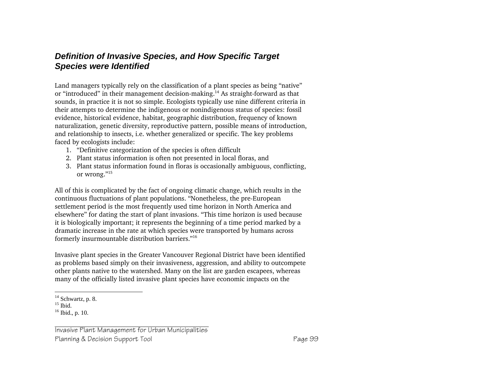### *Definition of Invasive Species, and How Specific Target Species were Identified*

Land managers typically rely on the classification of a plant species as being "native" or "introduced" in their management decision-making.14 As straight-forward as that sounds, in practice it is not so simple. Ecologists typically use nine different criteria in their attempts to determine the indigenous or nonindigenous status of species: fossil evidence, historical evidence, habitat, geographic distribution, frequency of known naturalization, genetic diversity, reproductive pattern, possible means of introduction, and relationship to insects, i.e. whether generalized or specific. The key problems faced by ecologists include:

- 1. "Definitive categorization of the species is often difficult
- 2. Plant status information is often not presented in local floras, and
- 3. Plant status information found in floras is occasionally ambiguous, conflicting, or wrong."15

All of this is complicated by the fact of ongoing climatic change, which results in the continuous fluctuations of plant populations. "Nonetheless, the pre-European settlement period is the most frequently used time horizon in North America and elsewhere" for dating the start of plant invasions. "This time horizon is used because it is biologically important; it represents the beginning of a time period marked by a dramatic increase in the rate at which species were transported by humans across formerly insurmountable distribution barriers."16

Invasive plant species in the Greater Vancouver Regional District have been identified as problems based simply on their invasiveness, aggression, and ability to outcompete other plants native to the watershed. Many on the list are garden escapees, whereas many of the officially listed invasive plant species have economic impacts on the

 $14$  Schwartz, p. 8.

 $15$  Ibid.

 $16$  Ibid., p. 10.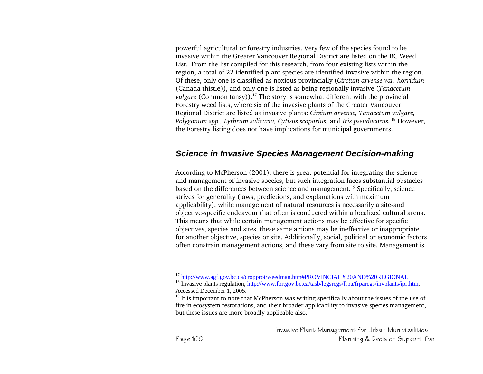powerful agricultural or forestry industries. Very few of the species found to be invasive within the Greater Vancouver Regional District are listed on the BC Weed List. From the list compiled for this research, from four existing lists within the region, a total of 22 identified plant species are identified invasive within the region. Of these, only one is classified as noxious provincially (*Circium arvense var. horridum*  (Canada thistle)), and only one is listed as being regionally invasive (*Tanacetum vulgare* (Common tansy)).<sup>17</sup> The story is somewhat different with the provincial Forestry weed lists, where six of the invasive plants of the Greater Vancouver Regional District are listed as invasive plants: *Cirsium arvense, Tanacetum vulgare, Polygonum spp., Lythrum salicaria, Cytisus scoparius,* and *Iris pseudacorus.* 18 However, the Forestry listing does not have implications for municipal governments.

#### *Science in Invasive Species Management Decision-making*

According to McPherson (2001), there is great potential for integrating the science and management of invasive species, but such integration faces substantial obstacles based on the differences between science and management.19 Specifically, science strives for generality (laws, predictions, and explanations with maximum applicability), while management of natural resources is necessarily a site-and objective-specific endeavour that often is conducted within a localized cultural arena. This means that while certain management actions may be effective for specific objectives, species and sites, these same actions may be ineffective or inappropriate for another objective, species or site. Additionally, social, political or economic factors often constrain management actions, and these vary from site to site. Management is

<sup>&</sup>lt;sup>17</sup> http://www.agf.gov.bc.ca/cropprot/weedman.htm#PROVINCIAL%20AND%20REGIONAL

<sup>18</sup> Invasive plants regulation, http://www.for.gov.bc.ca/tasb/legsregs/frpa/frparegs/invplants/ipr.htm, Accessed December 1, 2005.

 $19$  It is important to note that McPherson was writing specifically about the issues of the use of fire in ecosystem restorations, and their broader applicability to invasive species management, but these issues are more broadly applicable also.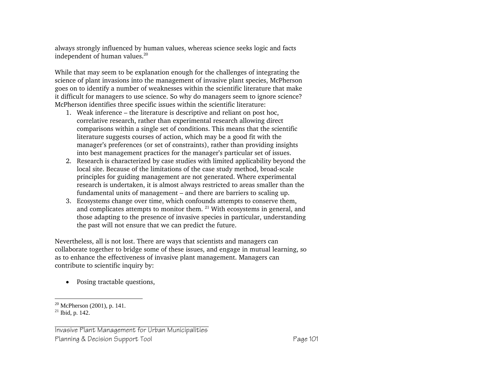always strongly influenced by human values, whereas science seeks logic and facts independent of human values.<sup>20</sup>

While that may seem to be explanation enough for the challenges of integrating the science of plant invasions into the management of invasive plant species, McPherson goes on to identify a number of weaknesses within the scientific literature that make it difficult for managers to use science. So why do managers seem to ignore science? McPherson identifies three specific issues within the scientific literature:

- 1. Weak inference the literature is descriptive and reliant on post hoc, correlative research, rather than experimental research allowing direct comparisons within a single set of conditions. This means that the scientific literature suggests courses of action, which may be a good fit with the manager's preferences (or set of constraints), rather than providing insights into best management practices for the manager's particular set of issues.
- 2. Research is characterized by case studies with limited applicability beyond the local site. Because of the limitations of the case study method, broad-scale principles for guiding management are not generated. Where experimental research is undertaken, it is almost always restricted to areas smaller than the fundamental units of management – and there are barriers to scaling up.
- 3. Ecosystems change over time, which confounds attempts to conserve them, and complicates attempts to monitor them.  $21$  With ecosystems in general, and those adapting to the presence of invasive species in particular, understanding the past will not ensure that we can predict the future.

Nevertheless, all is not lost. There are ways that scientists and managers can collaborate together to bridge some of these issues, and engage in mutual learning, so as to enhance the effectiveness of invasive plant management. Managers can contribute to scientific inquiry by:

• Posing tractable questions,

Invasive Plant Management for Urban Municipalities Planning & Decision Support Tool **Page 101** Page 101

 $20$  McPherson (2001), p. 141.

<sup>21</sup> Ibid, p. 142.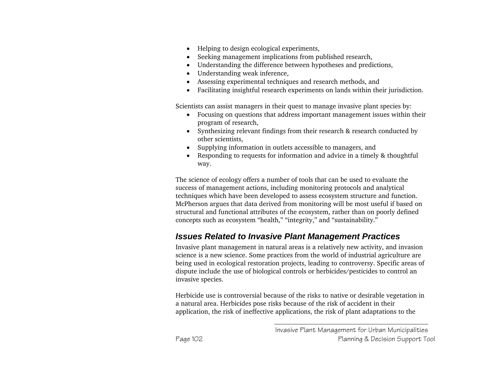- Helping to design ecological experiments,
- Seeking management implications from published research,
- Understanding the difference between hypotheses and predictions,
- Understanding weak inference,
- Assessing experimental techniques and research methods, and
- Facilitating insightful research experiments on lands within their jurisdiction.

Scientists can assist managers in their quest to manage invasive plant species by:

- Focusing on questions that address important management issues within their program of research,
- Synthesizing relevant findings from their research & research conducted by other scientists,
- Supplying information in outlets accessible to managers, and
- Responding to requests for information and advice in a timely & thoughtful way.

The science of ecology offers a number of tools that can be used to evaluate the success of management actions, including monitoring protocols and analytical techniques which have been developed to assess ecosystem structure and function. McPherson argues that data derived from monitoring will be most useful if based on structural and functional attributes of the ecosystem, rather than on poorly defined concepts such as ecosystem "health," "integrity," and "sustainability."

## *Issues Related to Invasive Plant Management Practices*

Invasive plant management in natural areas is a relatively new activity, and invasion science is a new science. Some practices from the world of industrial agriculture are being used in ecological restoration projects, leading to controversy. Specific areas of dispute include the use of biological controls or herbicides/pesticides to control an invasive species.

Herbicide use is controversial because of the risks to native or desirable vegetation in a natural area. Herbicides pose risks because of the risk of accident in their application, the risk of ineffective applications, the risk of plant adaptations to the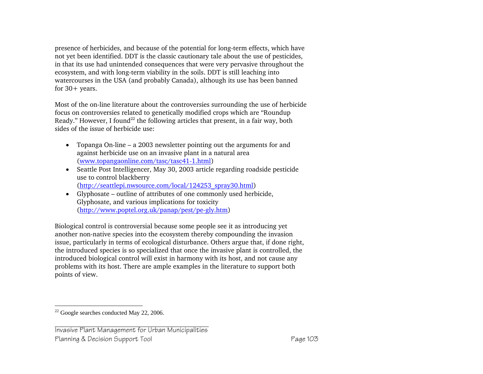presence of herbicides, and because of the potential for long-term effects, which have not yet been identified. DDT is the classic cautionary tale about the use of pesticides, in that its use had unintended consequences that were very pervasive throughout the ecosystem, and with long-term viability in the soils. DDT is still leaching into watercourses in the USA (and probably Canada), although its use has been banned for  $30+$  years.

Most of the on-line literature about the controversies surrounding the use of herbicide focus on controversies related to genetically modified crops which are "Roundup Ready." However, I found<sup>22</sup> the following articles that present, in a fair way, both sides of the issue of herbicide use:

- Topanga On-line a 2003 newsletter pointing out the arguments for and against herbicide use on an invasive plant in a natural area (www.topangaonline.com/tasc/tasc41-1.html)
- Seattle Post Intelligencer, May 30, 2003 article regarding roadside pesticide use to control blackberry (http://seattlepi.nwsource.com/local/124253\_spray30.html)
- Glyphosate outline of attributes of one commonly used herbicide, Glyphosate, and various implications for toxicity (http://www.poptel.org.uk/panap/pest/pe-gly.htm)

Biological control is controversial because some people see it as introducing yet another non-native species into the ecosystem thereby compounding the invasion issue, particularly in terms of ecological disturbance. Others argue that, if done right, the introduced species is so specialized that once the invasive plant is controlled, the introduced biological control will exist in harmony with its host, and not cause any problems with its host. There are ample examples in the literature to support both points of view.

<sup>22</sup> Google searches conducted May 22, 2006.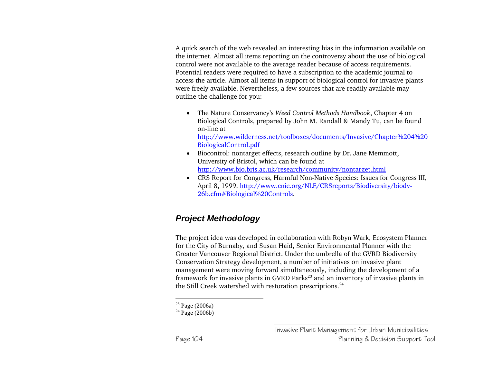A quick search of the web revealed an interesting bias in the information available on the internet. Almost all items reporting on the controversy about the use of biological control were not available to the average reader because of access requirements. Potential readers were required to have a subscription to the academic journal to access the article. Almost all items in support of biological control for invasive plants were freely available. Nevertheless, a few sources that are readily available may outline the challenge for you:

- The Nature Conservancy's *Weed Control Methods Handbook*, Chapter 4 on Biological Controls, prepared by John M. Randall & Mandy Tu, can be found on-line at http://www.wilderness.net/toolboxes/documents/Invasive/Chapter%204%20 BiologicalControl.pdf
- Biocontrol: nontarget effects, research outline by Dr. Jane Memmott, University of Bristol, which can be found at http://www.bio.bris.ac.uk/research/community/nontarget.html
- CRS Report for Congress, Harmful Non-Native Species: Issues for Congress III, April 8, 1999. http://www.cnie.org/NLE/CRSreports/Biodiversity/biodv-26b.cfm#Biological%20Controls.

## *Project Methodology*

The project idea was developed in collaboration with Robyn Wark, Ecosystem Planner for the City of Burnaby, and Susan Haid, Senior Environmental Planner with the Greater Vancouver Regional District. Under the umbrella of the GVRD Biodiversity Conservation Strategy development, a number of initiatives on invasive plant management were moving forward simultaneously, including the development of a framework for invasive plants in GVRD Parks<sup>23</sup> and an inventory of invasive plants in the Still Creek watershed with restoration prescriptions. $24$ 

 $23$  Page (2006a)

 $^{24}$  Page (2006b)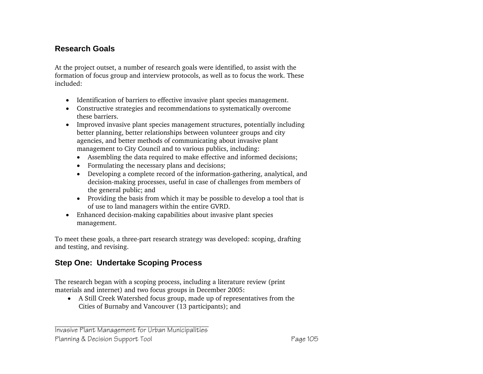### **Research Goals**

At the project outset, a number of research goals were identified, to assist with the formation of focus group and interview protocols, as well as to focus the work. These included:

- Identification of barriers to effective invasive plant species management.
- Constructive strategies and recommendations to systematically overcome these barriers.
- Improved invasive plant species management structures, potentially including better planning, better relationships between volunteer groups and city agencies, and better methods of communicating about invasive plant management to City Council and to various publics, including:
	- Assembling the data required to make effective and informed decisions;
	- Formulating the necessary plans and decisions;
	- Developing a complete record of the information-gathering, analytical, and decision-making processes, useful in case of challenges from members of the general public; and
	- Providing the basis from which it may be possible to develop a tool that is of use to land managers within the entire GVRD.
- Enhanced decision-making capabilities about invasive plant species management.

To meet these goals, a three-part research strategy was developed: scoping, drafting and testing, and revising.

## **Step One: Undertake Scoping Process**

The research began with a scoping process, including a literature review (print materials and internet) and two focus groups in December 2005:

• A Still Creek Watershed focus group, made up of representatives from the Cities of Burnaby and Vancouver (13 participants); and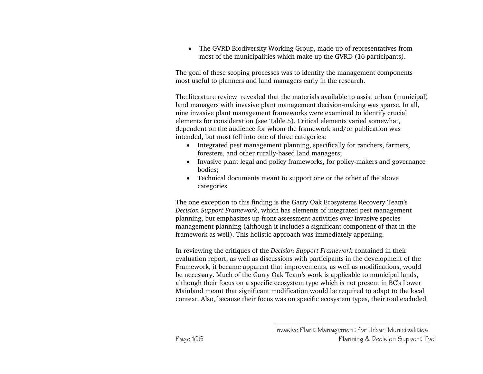• The GVRD Biodiversity Working Group, made up of representatives from most of the municipalities which make up the GVRD (16 participants).

The goal of these scoping processes was to identify the management components most useful to planners and land managers early in the research.

The literature review revealed that the materials available to assist urban (municipal) land managers with invasive plant management decision-making was sparse. In all, nine invasive plant management frameworks were examined to identify crucial elements for consideration (see Table 5). Critical elements varied somewhat, dependent on the audience for whom the framework and/or publication was intended, but most fell into one of three categories:

- Integrated pest management planning, specifically for ranchers, farmers, foresters, and other rurally-based land managers;
- Invasive plant legal and policy frameworks, for policy-makers and governance bodies;
- Technical documents meant to support one or the other of the above categories.

The one exception to this finding is the Garry Oak Ecosystems Recovery Team's *Decision Support Framework*, which has elements of integrated pest management planning, but emphasizes up-front assessment activities over invasive species management planning (although it includes a significant component of that in the framework as well). This holistic approach was immediately appealing.

In reviewing the critiques of the *Decision Support Framework* contained in their evaluation report, as well as discussions with participants in the development of the Framework, it became apparent that improvements, as well as modifications, would be necessary. Much of the Garry Oak Team's work is applicable to municipal lands, although their focus on a specific ecosystem type which is not present in BC's Lower Mainland meant that significant modification would be required to adapt to the local context. Also, because their focus was on specific ecosystem types, their tool excluded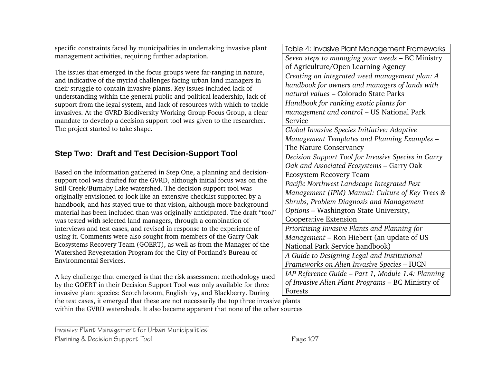specific constraints faced by municipalities in undertaking invasive plant management activities, requiring further adaptation.

The issues that emerged in the focus groups were far-ranging in nature, and indicative of the myriad challenges facing urban land managers in their struggle to contain invasive plants. Key issues included lack of understanding within the general public and political leadership, lack of support from the legal system, and lack of resources with which to tackle invasives. At the GVRD Biodiversity Working Group Focus Group, a clear mandate to develop a decision support tool was given to the researcher. The project started to take shape.

#### **Step Two: Draft and Test Decision-Support Tool**

Based on the information gathered in Step One, a planning and decisionsupport tool was drafted for the GVRD, although initial focus was on the Still Creek/Burnaby Lake watershed. The decision support tool was originally envisioned to look like an extensive checklist supported by a handbook, and has stayed true to that vision, although more background material has been included than was originally anticipated. The draft "tool" was tested with selected land managers, through a combination of interviews and test cases, and revised in response to the experience of using it. Comments were also sought from members of the Garry Oak Ecosystems Recovery Team (GOERT), as well as from the Manager of the Watershed Revegetation Program for the City of Portland's Bureau of Environmental Services.

A key challenge that emerged is that the risk assessment methodology used by the GOERT in their Decision Support Tool was only available for three invasive plant species: Scotch broom, English ivy, and Blackberry. During the test cases, it emerged that these are not necessarily the top three invasive plants

within the GVRD watersheds. It also became apparent that none of the other sources

Invasive Plant Management for Urban Municipalities Planning & Decision Support Tool **Page 107** 

Table 4: Invasive Plant Management Frameworks *Seven steps to managing your weeds* – BC Ministry of Agriculture/Open Learning Agency *Creating an integrated weed management plan: A handbook for owners and managers of lands with natural values* – Colorado State Parks *Handbook for ranking exotic plants for management and control* – US National Park Service *Global Invasive Species Initiative: Adaptive Management Templates and Planning Examples* – The Nature Conservancy *Decision Support Tool for Invasive Species in Garry Oak and Associated Ecosystems* – Garry Oak Ecosystem Recovery Team *Pacific Northwest Landscape Integrated Pest Management (IPM) Manual: Culture of Key Trees & Shrubs, Problem Diagnosis and Management Options* – Washington State University, Cooperative Extension *Prioritizing Invasive Plants and Planning for Management* – Ron Hiebert (an update of US National Park Service handbook) *A Guide to Designing Legal and Institutional Frameworks on Alien Invasive Species* – IUCN *IAP Reference Guide – Part 1, Module 1.4: Planning of Invasive Alien Plant Programs* – BC Ministry of Forests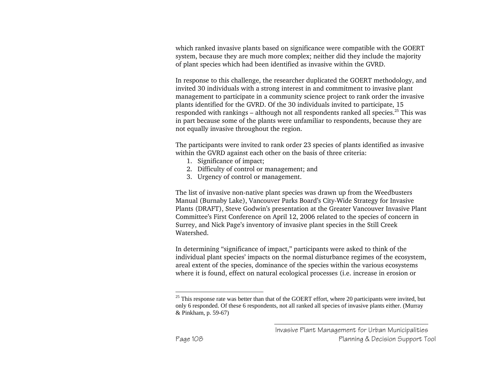which ranked invasive plants based on significance were compatible with the GOERT system, because they are much more complex; neither did they include the majority of plant species which had been identified as invasive within the GVRD.

In response to this challenge, the researcher duplicated the GOERT methodology, and invited 30 individuals with a strong interest in and commitment to invasive plant management to participate in a community science project to rank order the invasive plants identified for the GVRD. Of the 30 individuals invited to participate, 15 responded with rankings – although not all respondents ranked all species.<sup>25</sup> This was in part because some of the plants were unfamiliar to respondents, because they are not equally invasive throughout the region.

The participants were invited to rank order 23 species of plants identified as invasive within the GVRD against each other on the basis of three criteria:

- 1. Significance of impact;
- 2. Difficulty of control or management; and
- 3. Urgency of control or management.

The list of invasive non-native plant species was drawn up from the Weedbusters Manual (Burnaby Lake), Vancouver Parks Board's City-Wide Strategy for Invasive Plants (DRAFT), Steve Godwin's presentation at the Greater Vancouver Invasive Plant Committee's First Conference on April 12, 2006 related to the species of concern in Surrey, and Nick Page's inventory of invasive plant species in the Still Creek Watershed.

In determining "significance of impact," participants were asked to think of the individual plant species' impacts on the normal disturbance regimes of the ecosystem, areal extent of the species, dominance of the species within the various ecosystems where it is found, effect on natural ecological processes (i.e. increase in erosion or

 $25$  This response rate was better than that of the GOERT effort, where 20 participants were invited, but only 6 responded. Of these 6 respondents, not all ranked all species of invasive plants either. (Murray & Pinkham, p. 59-67)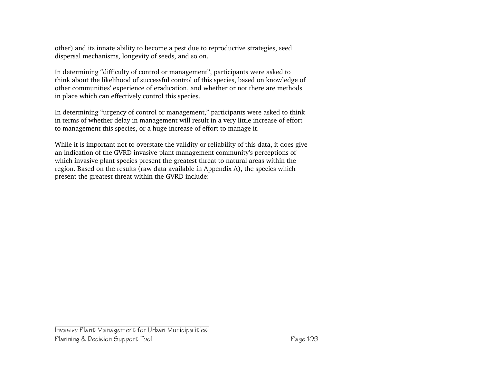other) and its innate ability to become a pest due to reproductive strategies, seed dispersal mechanisms, longevity of seeds, and so on.

In determining "difficulty of control or management", participants were asked to think about the likelihood of successful control of this species, based on knowledge of other communities' experience of eradication, and whether or not there are methods in place which can effectively control this species.

In determining "urgency of control or management," participants were asked to think in terms of whether delay in management will result in a very little increase of effort to management this species, or a huge increase of effort to manage it.

While it is important not to overstate the validity or reliability of this data, it does give an indication of the GVRD invasive plant management community's perceptions of which invasive plant species present the greatest threat to natural areas within the region. Based on the results (raw data available in Appendix A), the species which present the greatest threat within the GVRD include: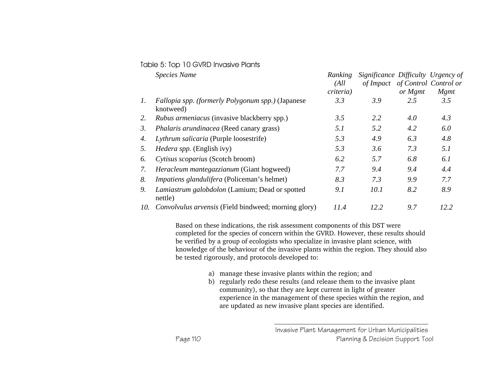| Table 5: Top 10 GVRD Invasive Plants |
|--------------------------------------|
|--------------------------------------|

|     | <b>Species Name</b>                                            | Ranking<br>(All)<br><i>criteria</i> ) | Significance Difficulty Urgency of | or Mgmt | of Impact of Control Control or<br><b>M</b> gmt |
|-----|----------------------------------------------------------------|---------------------------------------|------------------------------------|---------|-------------------------------------------------|
| 1.  | Fallopia spp. (formerly Polygonum spp.) (Japanese<br>knotweed) | 3.3                                   | 3.9                                | 2.5     | 3.5                                             |
| 2.  | <i>Rubus armeniacus</i> (invasive blackberry spp.)             | 3.5                                   | 2.2                                | 4.0     | 4.3                                             |
| 3.  | Phalaris arundinacea (Reed canary grass)                       | 5.1                                   | 5.2                                | 4.2     | 6.0                                             |
| 4.  | Lythrum salicaria (Purple loosestrife)                         | 5.3                                   | 4.9                                | 6.3     | 4.8                                             |
| 5.  | <i>Hedera spp.</i> (English ivy)                               | 5.3                                   | 3.6                                | 7.3     | 5.1                                             |
| 6.  | Cytisus scoparius (Scotch broom)                               | 6.2                                   | 5.7                                | 6.8     | 6.1                                             |
| 7.  | Heracleum mantegazzianum (Giant hogweed)                       | 7.7                                   | 9.4                                | 9.4     | 4.4                                             |
| 8.  | <i>Impatiens glandulifera</i> (Policeman's helmet)             | 8.3                                   | 7.3                                | 9.9     | 7.7                                             |
| 9.  | Lamiastrum galobdolon (Lamium; Dead or spotted<br>nettle)      | 9.1                                   | 10.1                               | 8.2     | 8.9                                             |
| 10. | Convolvulus arvensis (Field bindweed; morning glory)           | 11.4                                  | 12.2                               | 9.7     | 12.2                                            |

Based on these indications, the risk assessment components of this DST were completed for the species of concern within the GVRD. However, these results should be verified by a group of ecologists who specialize in invasive plant science, with knowledge of the behaviour of the invasive plants within the region. They should also be tested rigorously, and protocols developed to:

- a) manage these invasive plants within the region; and
- b) regularly redo these results (and release them to the invasive plant community), so that they are kept current in light of greater experience in the management of these species within the region, and are updated as new invasive plant species are identified.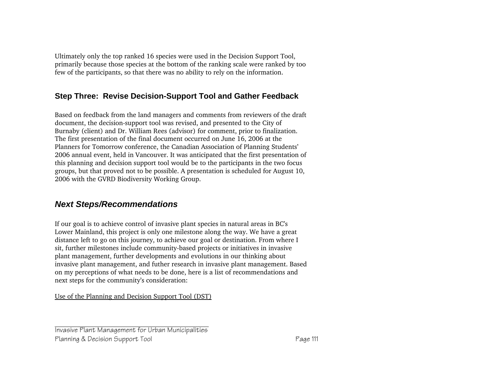Ultimately only the top ranked 16 species were used in the Decision Support Tool, primarily because those species at the bottom of the ranking scale were ranked by too few of the participants, so that there was no ability to rely on the information.

### **Step Three: Revise Decision-Support Tool and Gather Feedback**

Based on feedback from the land managers and comments from reviewers of the draft document, the decision-support tool was revised, and presented to the City of Burnaby (client) and Dr. William Rees (advisor) for comment, prior to finalization. The first presentation of the final document occurred on June 16, 2006 at the Planners for Tomorrow conference, the Canadian Association of Planning Students' 2006 annual event, held in Vancouver. It was anticipated that the first presentation of this planning and decision support tool would be to the participants in the two focus groups, but that proved not to be possible. A presentation is scheduled for August 10, 2006 with the GVRD Biodiversity Working Group.

## *Next Steps/Recommendations*

If our goal is to achieve control of invasive plant species in natural areas in BC's Lower Mainland, this project is only one milestone along the way. We have a great distance left to go on this journey, to achieve our goal or destination. From where I sit, further milestones include community-based projects or initiatives in invasive plant management, further developments and evolutions in our thinking about invasive plant management, and futher research in invasive plant management. Based on my perceptions of what needs to be done, here is a list of recommendations and next steps for the community's consideration:

Use of the Planning and Decision Support Tool (DST)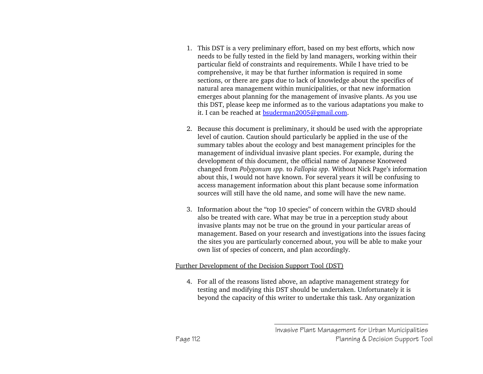- 1. This DST is a very preliminary effort, based on my best efforts, which now needs to be fully tested in the field by land managers, working within their particular field of constraints and requirements. While I have tried to be comprehensive, it may be that further information is required in some sections, or there are gaps due to lack of knowledge about the specifics of natural area management within municipalities, or that new information emerges about planning for the management of invasive plants. As you use this DST, please keep me informed as to the various adaptations you make to it. I can be reached at bsuderman2005@gmail.com.
- 2. Because this document is preliminary, it should be used with the appropriate level of caution. Caution should particularly be applied in the use of the summary tables about the ecology and best management principles for the management of individual invasive plant species. For example, during the development of this document, the official name of Japanese Knotweed changed from *Polygonum spp.* to *Fallopia spp.* Without Nick Page's information about this, I would not have known. For several years it will be confusing to access management information about this plant because some information sources will still have the old name, and some will have the new name.
- 3. Information about the "top 10 species" of concern within the GVRD should also be treated with care. What may be true in a perception study about invasive plants may not be true on the ground in your particular areas of management. Based on your research and investigations into the issues facing the sites you are particularly concerned about, you will be able to make your own list of species of concern, and plan accordingly.

#### Further Development of the Decision Support Tool (DST)

4. For all of the reasons listed above, an adaptive management strategy for testing and modifying this DST should be undertaken. Unfortunately it is beyond the capacity of this writer to undertake this task. Any organization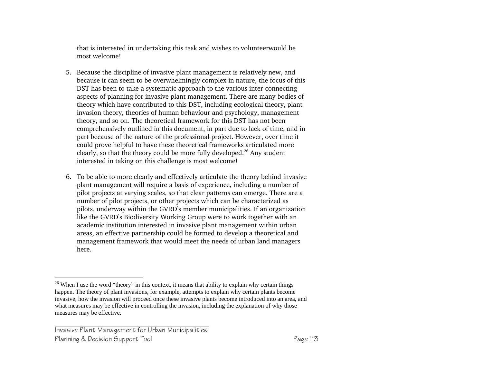that is interested in undertaking this task and wishes to volunteerwould be most welcome!

- 5. Because the discipline of invasive plant management is relatively new, and because it can seem to be overwhelmingly complex in nature, the focus of this DST has been to take a systematic approach to the various inter-connecting aspects of planning for invasive plant management. There are many bodies of theory which have contributed to this DST, including ecological theory, plant invasion theory, theories of human behaviour and psychology, management theory, and so on. The theoretical framework for this DST has not been comprehensively outlined in this document, in part due to lack of time, and in part because of the nature of the professional project. However, over time it could prove helpful to have these theoretical frameworks articulated more clearly, so that the theory could be more fully developed.26 Any student interested in taking on this challenge is most welcome!
- 6. To be able to more clearly and effectively articulate the theory behind invasive plant management will require a basis of experience, including a number of pilot projects at varying scales, so that clear patterns can emerge. There are a number of pilot projects, or other projects which can be characterized as pilots, underway within the GVRD's member municipalities. If an organization like the GVRD's Biodiversity Working Group were to work together with an academic institution interested in invasive plant management within urban areas, an effective partnership could be formed to develop a theoretical and management framework that would meet the needs of urban land managers here.

<sup>&</sup>lt;sup>26</sup> When I use the word "theory" in this context, it means that ability to explain why certain things happen. The theory of plant invasions, for example, attempts to explain why certain plants become invasive, how the invasion will proceed once these invasive plants become introduced into an area, and what measures may be effective in controlling the invasion, including the explanation of why those measures may be effective.

Invasive Plant Management for Urban Municipalities Planning & Decision Support Tool **Page 113**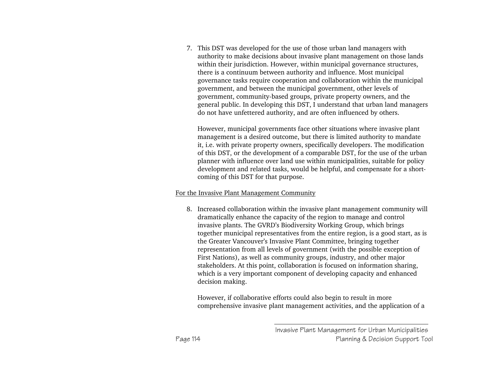7. This DST was developed for the use of those urban land managers with authority to make decisions about invasive plant management on those lands within their jurisdiction. However, within municipal governance structures, there is a continuum between authority and influence. Most municipal governance tasks require cooperation and collaboration within the municipal government, and between the municipal government, other levels of government, community-based groups, private property owners, and the general public. In developing this DST, I understand that urban land managers do not have unfettered authority, and are often influenced by others.

However, municipal governments face other situations where invasive plant management is a desired outcome, but there is limited authority to mandate it, i.e. with private property owners, specifically developers. The modification of this DST, or the development of a comparable DST, for the use of the urban planner with influence over land use within municipalities, suitable for policy development and related tasks, would be helpful, and compensate for a shortcoming of this DST for that purpose.

#### For the Invasive Plant Management Community

8. Increased collaboration within the invasive plant management community will dramatically enhance the capacity of the region to manage and control invasive plants. The GVRD's Biodiversity Working Group, which brings together municipal representatives from the entire region, is a good start, as is the Greater Vancouver's Invasive Plant Committee, bringing together representation from all levels of government (with the possible exception of First Nations), as well as community groups, industry, and other major stakeholders. At this point, collaboration is focused on information sharing, which is a very important component of developing capacity and enhanced decision making.

However, if collaborative efforts could also begin to result in more comprehensive invasive plant management activities, and the application of a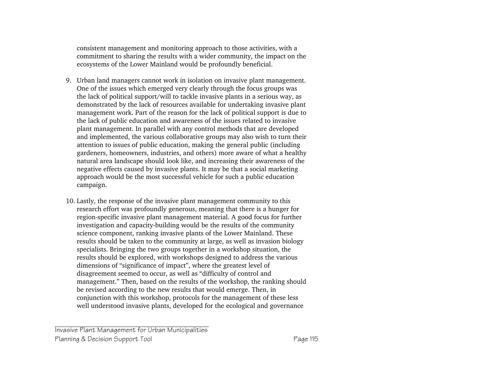consistent management and monitoring approach to those activities, with a commitment to sharing the results with a wider community, the impact on the ecosystems of the Lower Mainland would be profoundly beneficial.

- 9. Urban land managers cannot work in isolation on invasive plant management. One of the issues which emerged very clearly through the focus groups was the lack of political support/will to tackle invasive plants in a serious way, as demonstrated by the lack of resources available for undertaking invasive plant management work. Part of the reason for the lack of political support is due to the lack of public education and awareness of the issues related to invasive plant management. In parallel with any control methods that are developed and implemented, the various collaborative groups may also wish to turn their attention to issues of public education, making the general public (including gardeners, homeowners, industries, and others) more aware of what a healthy natural area landscape should look like, and increasing their awareness of the negative effects caused by invasive plants. It may be that a social marketing approach would be the most successful vehicle for such a public education campaign.
- 10. Lastly, the response of the invasive plant management community to this research effort was profoundly generous, meaning that there is a hunger for region-specific invasive plant management material. A good focus for further investigation and capacity-building would be the results of the community science component, ranking invasive plants of the Lower Mainland. These results should be taken to the community at large, as well as invasion biology specialists. Bringing the two groups together in a workshop situation, the results should be explored, with workshops designed to address the various dimensions of "significance of impact", where the greatest level of disagreement seemed to occur, as well as "difficulty of control and management." Then, based on the results of the workshop, the ranking should be revised according to the new results that would emerge. Then, in conjunction with this workshop, protocols for the management of these less well understood invasive plants, developed for the ecological and governance

Invasive Plant Management for Urban Municipalities Planning & Decision Support Tool **Page 115**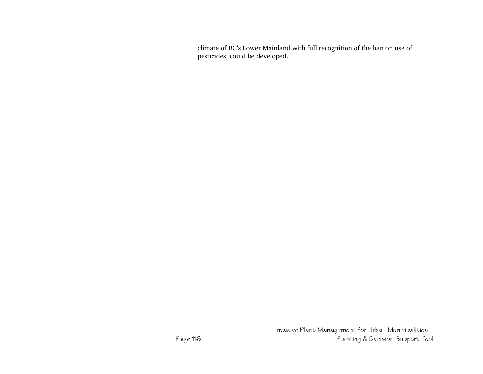climate of BC's Lower Mainland with full recognition of the ban on use of pesticides, could be developed.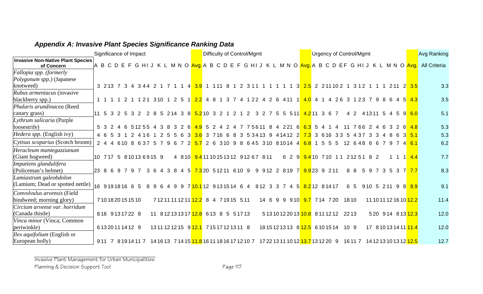|                                                        | Significance of Impact                        |                  |        |    |                |                      |               |                                                              |                  |             | Difficulty of Control/Mgmt |               |   |              |       |    |                                                                                                                                       |                |                                     |        |      | <b>Urgency of Control/Mgmt</b> |       |     |                                    |                    | <b>Avg Ranking</b>                                                                                                                                       |
|--------------------------------------------------------|-----------------------------------------------|------------------|--------|----|----------------|----------------------|---------------|--------------------------------------------------------------|------------------|-------------|----------------------------|---------------|---|--------------|-------|----|---------------------------------------------------------------------------------------------------------------------------------------|----------------|-------------------------------------|--------|------|--------------------------------|-------|-----|------------------------------------|--------------------|----------------------------------------------------------------------------------------------------------------------------------------------------------|
| <b>Invasive Non-Native Plant Species</b><br>of Concern |                                               |                  |        |    |                |                      |               |                                                              |                  |             |                            |               |   |              |       |    |                                                                                                                                       |                |                                     |        |      |                                |       |     |                                    |                    | A B C D E F G HI J K L M N O <mark>Avg.</mark> A B C D E F G HI J K L M N O <mark>Avg.</mark> A B C D EF G HI J K L M N O <mark>Avg.</mark> All Criteria |
| Fallopia spp. (formerly                                |                                               |                  |        |    |                |                      |               |                                                              |                  |             |                            |               |   |              |       |    |                                                                                                                                       |                |                                     |        |      |                                |       |     |                                    |                    |                                                                                                                                                          |
| Polygonum spp.) (Japanese                              |                                               |                  |        |    |                |                      |               |                                                              |                  |             |                            |               |   |              |       |    |                                                                                                                                       |                |                                     |        |      |                                |       |     |                                    |                    |                                                                                                                                                          |
| knotweed)                                              | 3 213 7 3 4 3 4 4 2 1 7 1 1 4 3 9 1 1 1 1 8 1 |                  |        |    |                |                      |               |                                                              |                  |             |                            |               |   |              |       |    | 2 3 1 1 1 1 1 1 1 3 <mark>2.5</mark> 2 2 1 1 0 2 1 3 1 2 1 1 1 2 1 1 2 <mark>3.5</mark>                                               |                |                                     |        |      |                                |       |     |                                    |                    | 3.3                                                                                                                                                      |
| Rubus armeniacus (invasive                             |                                               |                  |        |    |                |                      |               |                                                              |                  |             |                            |               |   |              |       |    |                                                                                                                                       |                |                                     |        |      |                                |       |     |                                    |                    |                                                                                                                                                          |
| blackberry spp.)                                       |                                               |                  |        |    |                |                      |               |                                                              |                  |             |                            |               |   |              |       |    | 1 1 1 1 2 1 121 310 1 2 5 1 <mark>2.2</mark> 4 8 1 3 7 4 122 4 2 6 411 1 <mark>4.0</mark> 4 1 4 26 3 123 7 9 8 6 4 5 <mark>4.3</mark> |                |                                     |        |      |                                |       |     |                                    |                    | 3.5                                                                                                                                                      |
| Phalaris arundinacea (Reed                             |                                               |                  |        |    |                |                      |               |                                                              |                  |             |                            |               |   |              |       |    |                                                                                                                                       |                |                                     |        |      |                                |       |     |                                    |                    |                                                                                                                                                          |
| canary grass)                                          | 11 5 3 2 5                                    |                  | 3 2    |    |                |                      |               | 2 8 5 214 3 8 <mark>5.2</mark> 10 3 2                        |                  |             |                            |               | 2 | $1\quad 2$   |       |    | 3 2 7 5 5 5 11                                                                                                                        |                | <mark>4.2</mark> 11 3 6 7           |        |      |                                |       |     | 4 2 41311 5 4 5 9 6.0              |                    | 5.1                                                                                                                                                      |
| Lythrum salicaria (Purple                              |                                               |                  |        |    |                |                      |               |                                                              |                  |             |                            |               |   |              |       |    |                                                                                                                                       |                |                                     |        |      |                                |       |     |                                    |                    |                                                                                                                                                          |
| loosestrife)                                           |                                               |                  | 512554 |    |                |                      | $\mathcal{B}$ | - 61<br>$\mathcal{P}$                                        | $\overline{4}$ Q | $5^{\circ}$ | $\Delta$                   | $\mathcal{P}$ |   | <sup>7</sup> |       |    | 75611 8 4 221 6                                                                                                                       |                | $6.3 \t5.4$                         |        |      |                                | 76624 |     |                                    | 2 6 4 8            | 5.3                                                                                                                                                      |
| <i>Hedera spp.</i> (English ivy)                       | 4 6 5                                         | -3               |        | 16 |                |                      |               | $\mathbf{3}$                                                 |                  | 3           | 716                        | -6            |   | 3            | 53413 | -9 | 4 14 12                                                                                                                               | $\overline{2}$ | <b>7.3</b>                          | 3 6 16 |      |                                |       |     |                                    | $3\,5.1$           | 5.3                                                                                                                                                      |
| Cytisus scoparius (Scotch broom)                       | $2\quad 4$                                    | 4 6 10 8 6 3 7 5 |        |    |                | $\overline{7}$<br>-9 | -6            | 7 2 5.7                                                      |                  |             |                            |               |   |              |       |    | 2 6 310 9 8 6 4 5 310 810 14 4 6.8 1 5 5 5                                                                                            |                |                                     |        |      | 12 6 4 8 6 6                   |       | 797 |                                    | $4 \overline{6.1}$ | 6.2                                                                                                                                                      |
| Heracleum mantegazzianum                               |                                               |                  |        |    |                |                      |               |                                                              |                  |             |                            |               |   |              |       |    |                                                                                                                                       |                |                                     |        |      |                                |       |     |                                    |                    |                                                                                                                                                          |
| (Giant hogweed)                                        | 10 717 5 81013 6915 9                         |                  |        |    |                |                      |               | 4 8 10 9.4 11 10 15 13 12 9 12 6 7 8 11                      |                  |             |                            |               |   |              |       |    |                                                                                                                                       |                | 6 2 9 9.4 10 7 10 1 1 2 1 2 5 1 8 2 |        |      |                                |       |     |                                    | $1 \quad 4.4$      | 7.7                                                                                                                                                      |
| Impatiens glandulifera                                 |                                               |                  |        |    |                |                      |               |                                                              |                  |             |                            |               |   |              |       |    |                                                                                                                                       |                |                                     |        |      |                                |       |     |                                    |                    |                                                                                                                                                          |
| (Policeman's helmet)                                   | 23869797                                      |                  |        |    | 3 <sub>6</sub> | 4 3 8                |               | 4 5 7.3 20 5 1 2 11 6 10 9                                   |                  |             |                            |               |   |              |       |    | 9 9 12 2 8 19 7 9 9 23 9 2 11                                                                                                         |                |                                     |        |      | 8 8                            |       |     | 5 9 7 3 5 3 7 <mark>7 7</mark>     |                    | 8.3                                                                                                                                                      |
| Lamiastrum galeobdolon                                 |                                               |                  |        |    |                |                      |               |                                                              |                  |             |                            |               |   |              |       |    |                                                                                                                                       |                |                                     |        |      |                                |       |     |                                    |                    |                                                                                                                                                          |
| (Lamium; Dead or spotted nettle)                       | 16 9191816 6 5                                |                  |        |    |                |                      |               |                                                              |                  |             |                            |               |   |              |       |    | 8 9 6 4 9 9 7 10.1 12 9 13 15 14 6 4 8 12 3 3 7 4 5 8.2 12 8 14 17                                                                    |                |                                     |        |      |                                |       |     | 6 5 910 5 211 9 8 <mark>8.9</mark> |                    | 9.1                                                                                                                                                      |
| Convolvulus arvensis (Field                            |                                               |                  |        |    |                |                      |               |                                                              |                  |             |                            |               |   |              |       |    |                                                                                                                                       |                |                                     |        |      |                                |       |     |                                    |                    |                                                                                                                                                          |
| bindweed; morning glory)                               | 7101820151510                                 |                  |        |    |                |                      |               | 71211111211 <mark>12.2</mark> 8 4 71915 511                  |                  |             |                            |               |   |              |       |    | 14 6 9 9 9 10 9.7 7 14 7 20 18 10                                                                                                     |                |                                     |        |      |                                |       |     | 11 10 11 12 16 10 12.2             |                    | 11.4                                                                                                                                                     |
| Circium arvense var. horridum                          |                                               |                  |        |    |                |                      |               |                                                              |                  |             |                            |               |   |              |       |    |                                                                                                                                       |                |                                     |        |      |                                |       |     |                                    |                    |                                                                                                                                                          |
| (Canada thistle)                                       | 816 9131722 8                                 |                  |        |    |                |                      |               | 11 8 12 13 13 17 12.8 6 13 8 5 5 17 13                       |                  |             |                            |               |   |              |       |    | 5 13 10 12 20 13 10.8 8 11 12 12 22 13                                                                                                |                |                                     |        |      |                                |       |     | 520 914 813 12.3                   |                    | 12.0                                                                                                                                                     |
| Vinca minor (Vinca; Common                             |                                               |                  |        |    |                |                      |               |                                                              |                  |             |                            |               |   |              |       |    |                                                                                                                                       |                |                                     |        |      |                                |       |     |                                    |                    |                                                                                                                                                          |
| periwinkle)                                            | 6 13 20 11 14 12 9                            |                  |        |    |                |                      |               | 13 11 12 12 15 9 12.1 7 15 17 12 13 11 8                     |                  |             |                            |               |   |              |       |    | 18 15 12 13 13 8 <mark>12.5</mark> 6 10 15 14                                                                                         |                |                                     |        | 10 9 |                                |       |     | 17 8 10 13 14 11 11.4              |                    | 12.0                                                                                                                                                     |
| <i>Ilex aquifolium</i> (English or                     |                                               |                  |        |    |                |                      |               |                                                              |                  |             |                            |               |   |              |       |    |                                                                                                                                       |                |                                     |        |      |                                |       |     |                                    |                    |                                                                                                                                                          |
| European holly)                                        | 911 7 8191411 7                               |                  |        |    |                |                      |               | 14 16 13   7 14 15 <mark>11.8</mark> 16 11 18 16 17 12 10  7 |                  |             |                            |               |   |              |       |    | 17 22 13 11 10 12 <mark>13.7</mark> 13 12 20 9                                                                                        |                |                                     |        |      |                                |       |     |                                    |                    | 12.7                                                                                                                                                     |

# *Appendix A: Invasive Plant Species Significance Ranking Data*

Invasive Plant Management for Urban Municipalities

Planning & Decision Support Tool **Page 117**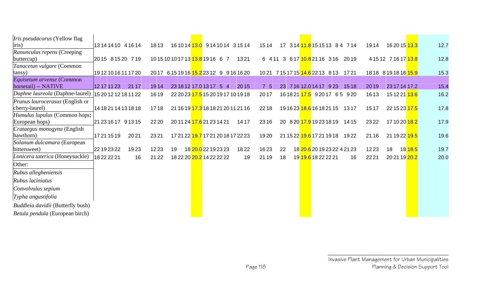| <i>Iris pseudacorus</i> (Yellow flag   |                      |       |       |    |                                                 |      |       |    |                                             |       |       |                                        |      |
|----------------------------------------|----------------------|-------|-------|----|-------------------------------------------------|------|-------|----|---------------------------------------------|-------|-------|----------------------------------------|------|
| iris)                                  | 13 14 14 10 4 16 14  |       | 1813  |    | 16 10 14 <mark>13.0</mark> 9 14 10 14 3 15 14   |      | 1514  |    | 17 3 14 <mark>11.8</mark> 15 15 13 8 4 7 14 |       | 1914  | 16 20 15 <mark>13.3</mark>             | 12.7 |
| Ranunculus repens (Creeping            | 2015 81520 719       |       |       |    | 10 15 10 10 17 13 <mark>13.8</mark> 19 16 6 7   | 1321 |       |    | 6 411 3 617 10.8 21 16 316 2019             |       |       | 4 15 12 7 16 17 13.8                   | 12.8 |
| buttercup)                             |                      |       |       |    |                                                 |      |       |    |                                             |       |       |                                        |      |
| Tanacetun vulgare (Common              |                      |       |       |    |                                                 |      |       |    |                                             |       |       |                                        |      |
| (tansy                                 | 19121016111720       |       |       |    | 2017 6151916 15.2 2312 9 91616 20               |      |       |    | 10 21 7 15 17 15 14.6 22 13 8 13 17 21      |       |       | 18 18  8  19  18  16 <mark>15.9</mark> | 15.3 |
| Equisetum arvense (Common              |                      |       |       |    |                                                 |      |       |    |                                             |       |       |                                        |      |
| horsetail) -- NATIVE                   | 12 17 11 23          | 21 17 | 1914  |    | 23 18 12 17 0 13 17 5 4                         | 2015 | 75    |    | 23 7 16 12.0 14 17 9 23                     | 1518  | 2019  | 23 17 14 17.2                          | 15.4 |
| Daphne laureola (Daphne-laurel)        | 15 20 12 12 18 11 22 |       | 1619  |    | 22 20 23 17.5 15 20 19 17 10 19 18              |      | 2017  |    | 16 18 21 17.5 9 20 17 6 5 9 20              |       | 1613  | 15 12 21 <mark>13.6</mark>             | 16.2 |
| <i>Prunus laurocerasus</i> (English or |                      |       |       |    |                                                 |      |       |    |                                             |       |       |                                        |      |
| cherry-laurel)                         | 14 18 21 14 13 18 18 |       | 1718  |    | 21 16 19 17.3 18 18 21 20 11 21 16              |      | 2218  |    | 19 16 23 <mark>18.6</mark> 16 18 21 15      | 1317  | 1517  | 22 15 23 17.5                          | 17.8 |
| Humulus lupulus (Common hops;          |                      |       |       |    |                                                 |      |       |    |                                             |       |       |                                        |      |
| European hops)                         | 21 23 16 17 9 13 15  |       | 22 20 |    | 20 11 24 17.6 21 23 14 21                       | 1417 | 2316  |    | 20 8 20 17.9 19 23 18 19                    | 14 15 | 2322  | 17 10 20 <mark>18.2</mark>             | 17.9 |
| <i>Crataegus monogyna</i> (English     |                      |       |       |    |                                                 |      |       |    |                                             |       |       |                                        |      |
| hawthorn)                              | 17 21 15 19          | 2021  | 2321  |    | 17 21 22 <mark>19.7</mark> 17 21 20 18 17 22 23 |      | 1920  |    | 21 15 22 19.6 17 21 19 18 19 22             |       | 21 16 | 21 19 22 <mark>19.5</mark>             | 19.6 |
| Solanum dulcamara (European            |                      |       |       |    |                                                 |      |       |    |                                             |       |       |                                        |      |
| bittersweet)                           | 22 19 23 22          | 1923  | 1223  | 19 | 18 20.0 22 19 23 23                             | 1822 | 1623  | 22 | 18 20.6 20 19 23 22 4 21 23                 |       | 1223  | 18                                     | 19.7 |
| Lonicera taterica (Honeysuckle)        | 18222221             | 16    | 21 22 |    | 18 22 20 20.2 14 22 22 22                       | 19   | 21 19 | 18 |                                             | 16    | 2221  | 20 21 19 20.2                          | 20.0 |
| Other:                                 |                      |       |       |    |                                                 |      |       |    |                                             |       |       |                                        |      |
| Rubus allegheniensis                   |                      |       |       |    |                                                 |      |       |    |                                             |       |       |                                        |      |
| Rubus laciniatus                       |                      |       |       |    |                                                 |      |       |    |                                             |       |       |                                        |      |
| Convolvulus sepium                     |                      |       |       |    |                                                 |      |       |    |                                             |       |       |                                        |      |
| Typha angustifolia                     |                      |       |       |    |                                                 |      |       |    |                                             |       |       |                                        |      |
| Buddleia davidii (Butterfly bush)      |                      |       |       |    |                                                 |      |       |    |                                             |       |       |                                        |      |
| Betula pendula (European birch)        |                      |       |       |    |                                                 |      |       |    |                                             |       |       |                                        |      |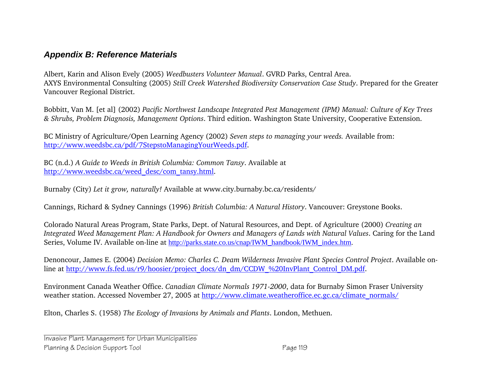## *Appendix B: Reference Materials*

Albert, Karin and Alison Evely (2005) *Weedbusters Volunteer Manual*. GVRD Parks, Central Area. AXYS Environmental Consulting (2005) *Still Creek Watershed Biodiversity Conservation Case Study*. Prepared for the Greater Vancouver Regional District.

Bobbitt, Van M. [et al] (2002) *Pacific Northwest Landscape Integrated Pest Management (IPM) Manual: Culture of Key Trees & Shrubs, Problem Diagnosis, Management Options*. Third edition. Washington State University, Cooperative Extension.

BC Ministry of Agriculture/Open Learning Agency (2002) *Seven steps to managing your weeds.* Available from: http://www.weedsbc.ca/pdf/7StepstoManagingYourWeeds.pdf.

BC (n.d.) *A Guide to Weeds in British Columbia: Common Tansy*. Available at http://www.weedsbc.ca/weed\_desc/com\_tansy.html.

Burnaby (City) *Let it grow, naturally!* Available at www.city.burnaby.bc.ca/residents/

Cannings, Richard & Sydney Cannings (1996) *British Columbia: A Natural History*. Vancouver: Greystone Books.

Colorado Natural Areas Program, State Parks, Dept. of Natural Resources, and Dept. of Agriculture (2000) *Creating an Integrated Weed Management Plan: A Handbook for Owners and Managers of Lands with Natural Values*. Caring for the Land Series, Volume IV. Available on-line at http://parks.state.co.us/cnap/IWM\_handbook/IWM\_index.htm.

Denoncour, James E. (2004) *Decision Memo: Charles C. Deam Wilderness Invasive Plant Species Control Project*. Available online at http://www.fs.fed.us/r9/hoosier/project\_docs/dn\_dm/CCDW\_%20InvPlant\_Control\_DM.pdf.

Environment Canada Weather Office. *Canadian Climate Normals 1971-2000*, data for Burnaby Simon Fraser University weather station. Accessed November 27, 2005 at http://www.climate.weatheroffice.ec.gc.ca/climate\_normals/

Elton, Charles S. (1958) *The Ecology of Invasions by Animals and Plants*. London, Methuen.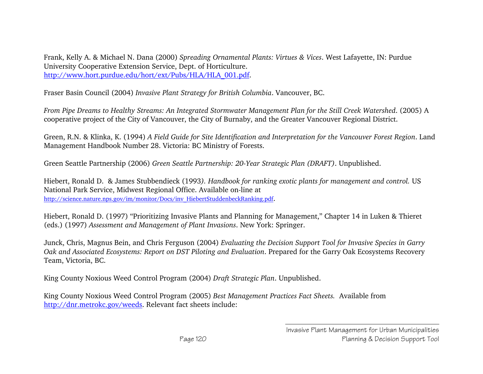Frank, Kelly A. & Michael N. Dana (2000) *Spreading Ornamental Plants: Virtues & Vices*. West Lafayette, IN: Purdue University Cooperative Extension Service, Dept. of Horticulture. http://www.hort.purdue.edu/hort/ext/Pubs/HLA/HLA\_001.pdf.

Fraser Basin Council (2004) *Invasive Plant Strategy for British Columbia*. Vancouver, BC.

*From Pipe Dreams to Healthy Streams: An Integrated Stormwater Management Plan for the Still Creek Watershed*. (2005) A cooperative project of the City of Vancouver, the City of Burnaby, and the Greater Vancouver Regional District.

Green, R.N. & Klinka, K. (1994) *A Field Guide for Site Identification and Interpretation for the Vancouver Forest Region*. Land Management Handbook Number 28. Victoria: BC Ministry of Forests.

Green Seattle Partnership (2006) *Green Seattle Partnership: 20-Year Strategic Plan (DRAFT)*. Unpublished.

Hiebert, Ronald D. & James Stubbendieck (1993*). Handbook for ranking exotic plants for management and control.* US National Park Service, Midwest Regional Office. Available on-line at http://science.nature.nps.gov/im/monitor/Docs/inv\_HiebertStuddenbeckRanking.pdf.

Hiebert, Ronald D. (1997) "Prioritizing Invasive Plants and Planning for Management," Chapter 14 in Luken & Thieret (eds.) (1997) *Assessment and Management of Plant Invasions*. New York: Springer.

Junck, Chris, Magnus Bein, and Chris Ferguson (2004) *Evaluating the Decision Support Tool for Invasive Species in Garry Oak and Associated Ecosystems: Report on DST Piloting and Evaluation*. Prepared for the Garry Oak Ecosystems Recovery Team, Victoria, BC.

King County Noxious Weed Control Program (2004) *Draft Strategic Plan*. Unpublished.

King County Noxious Weed Control Program (2005) *Best Management Practices Fact Sheets.* Available from http://dnr.metrokc.gov/weeds. Relevant fact sheets include: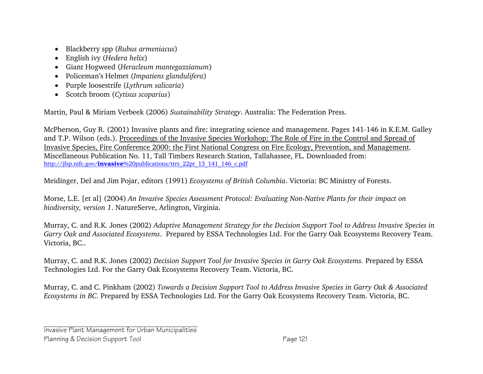- Blackberry spp (*Rubus armeniacus*)
- English ivy (*Hedera helix*)
- Giant Hogweed (*Heracleum mantegazzianum*)
- Policeman's Helmet (*Impatiens glandulifera*)
- Purple loosestrife (*Lythrum salicaria*)
- Scotch broom (*Cytisus scoparius*)

Martin, Paul & Miriam Verbeek (2006) *Sustainability Strategy*. Australia: The Federation Press.

McPherson, Guy R. (2001) Invasive plants and fire: integrating science and management. Pages 141-146 in K.E.M. Galley and T.P. Wilson (eds.). Proceedings of the Invasive Species Workshop: The Role of Fire in the Control and Spread of Invasive Species, Fire Conference 2000: the First National Congress on Fire Ecology, Prevention, and Management. Miscellaneous Publication No. 11, Tall Timbers Research Station, Tallahassee, FL. Downloaded from: http://jfsp.nifc.gov/**invasive**%20publications/ttrs\_22pr\_13\_141\_146\_c.pdf

Meidinger, Del and Jim Pojar, editors (1991) *Ecosystems of British Columbia*. Victoria: BC Ministry of Forests.

Morse, L.E. [et al] (2004) *An Invasive Species Assessment Protocol: Evaluating Non-Native Plants for their impact on biodiversity, version 1*. NatureServe, Arlington, Virginia.

Murray, C. and R.K. Jones (2002) *Adaptive Management Strategy for the Decision Support Tool to Address Invasive Species in Garry Oak and Associated Ecosystems*. Prepared by ESSA Technologies Ltd. For the Garry Oak Ecosystems Recovery Team. Victoria, BC..

Murray, C. and R.K. Jones (2002) *Decision Support Tool for Invasive Species in Garry Oak Ecosystems.* Prepared by ESSA Technologies Ltd. For the Garry Oak Ecosystems Recovery Team. Victoria, BC.

Murray, C. and C. Pinkham (2002) *Towards a Decision Support Tool to Address Invasive Species in Garry Oak & Associated Ecosystems in BC.* Prepared by ESSA Technologies Ltd. For the Garry Oak Ecosystems Recovery Team. Victoria, BC.

Invasive Plant Management for Urban Municipalities Planning & Decision Support Tool **Page 121** Page 121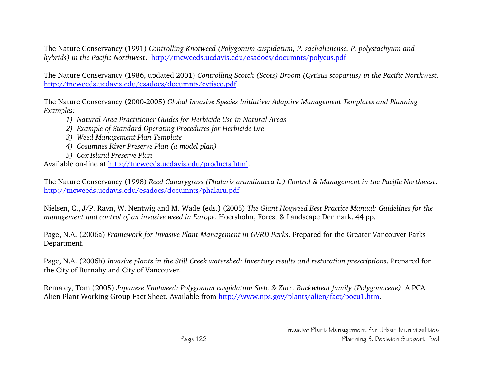The Nature Conservancy (1991) *Controlling Knotweed (Polygonum cuspidatum, P. sachalienense, P. polystachyum and hybrids) in the Pacific Northwest*. http://tncweeds.ucdavis.edu/esadocs/documnts/polycus.pdf

The Nature Conservancy (1986, updated 2001) *Controlling Scotch (Scots) Broom (Cytisus scoparius) in the Pacific Northwest*. http://tncweeds.ucdavis.edu/esadocs/documnts/cytisco.pdf

The Nature Conservancy (2000-2005) *Global Invasive Species Initiative: Adaptive Management Templates and Planning Examples:* 

- *1) Natural Area Practitioner Guides for Herbicide Use in Natural Areas*
- *2) Example of Standard Operating Procedures for Herbicide Use*
- *3) Weed Management Plan Template*
- *4) Cosumnes River Preserve Plan (a model plan)*
- *5) Cox Island Preserve Plan*

Available on-line at http://tncweeds.ucdavis.edu/products.html.

The Nature Conservancy (1998) *Reed Canarygrass (Phalaris arundinacea L.) Control & Management in the Pacific Northwest*. http://tncweeds.ucdavis.edu/esadocs/documnts/phalaru.pdf

Nielsen, C., J/P. Ravn, W. Nentwig and M. Wade (eds.) (2005) *The Giant Hogweed Best Practice Manual: Guidelines for the management and control of an invasive weed in Europe.* Hoersholm, Forest & Landscape Denmark. 44 pp.

Page, N.A. (2006a) *Framework for Invasive Plant Management in GVRD Parks*. Prepared for the Greater Vancouver Parks Department.

Page, N.A. (2006b) *Invasive plants in the Still Creek watershed: Inventory results and restoration prescriptions*. Prepared for the City of Burnaby and City of Vancouver.

Remaley, Tom (2005) *Japanese Knotweed: Polygonum cuspidatum Sieb. & Zucc. Buckwheat family (Polygonaceae)*. A PCA Alien Plant Working Group Fact Sheet. Available from http://www.nps.gov/plants/alien/fact/pocu1.htm.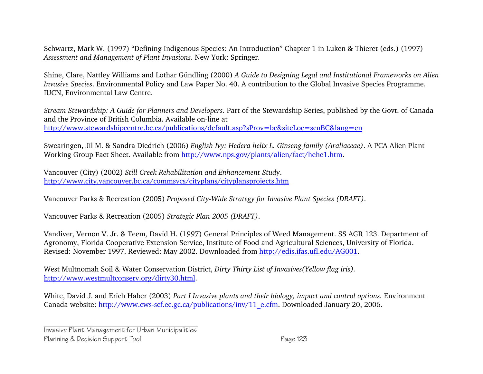Schwartz, Mark W. (1997) "Defining Indigenous Species: An Introduction" Chapter 1 in Luken & Thieret (eds.) (1997) *Assessment and Management of Plant Invasions*. New York: Springer.

Shine, Clare, Nattley Williams and Lothar Gündling (2000) *A Guide to Designing Legal and Institutional Frameworks on Alien Invasive Species*. Environmental Policy and Law Paper No. 40. A contribution to the Global Invasive Species Programme. IUCN, Environmental Law Centre.

*Stream Stewardship: A Guide for Planners and Developers*. Part of the Stewardship Series, published by the Govt. of Canada and the Province of British Columbia. Available on-line at http://www.stewardshipcentre.bc.ca/publications/default.asp?sProv=bc&siteLoc=scnBC&lang=en

Swearingen, Jil M. & Sandra Diedrich (2006) *English Ivy: Hedera helix L. Ginseng family (Araliaceae)*. A PCA Alien Plant Working Group Fact Sheet. Available from http://www.nps.gov/plants/alien/fact/hehe1.htm.

Vancouver (City) (2002) *Still Creek Rehabilitation and Enhancement Study*. http://www.city.vancouver.bc.ca/commsvcs/cityplans/cityplansprojects.htm

Vancouver Parks & Recreation (2005) *Proposed City-Wide Strategy for Invasive Plant Species (DRAFT)*.

Vancouver Parks & Recreation (2005) *Strategic Plan 2005 (DRAFT)*.

Vandiver, Vernon V. Jr. & Teem, David H. (1997) General Principles of Weed Management. SS AGR 123. Department of Agronomy, Florida Cooperative Extension Service, Institute of Food and Agricultural Sciences, University of Florida. Revised: November 1997. Reviewed: May 2002. Downloaded from http://edis.ifas.ufl.edu/AG001.

West Multnomah Soil & Water Conservation District, *Dirty Thirty List of Invasives(Yellow flag iris).* http://www.westmultconserv.org/dirty30.html.

White, David J. and Erich Haber (2003) *Part I Invasive plants and their biology, impact and control options.* Environment Canada website: http://www.cws-scf.ec.gc.ca/publications/inv/11\_e.cfm. Downloaded January 20, 2006.

Invasive Plant Management for Urban Municipalities Planning & Decision Support Tool **Page 123**